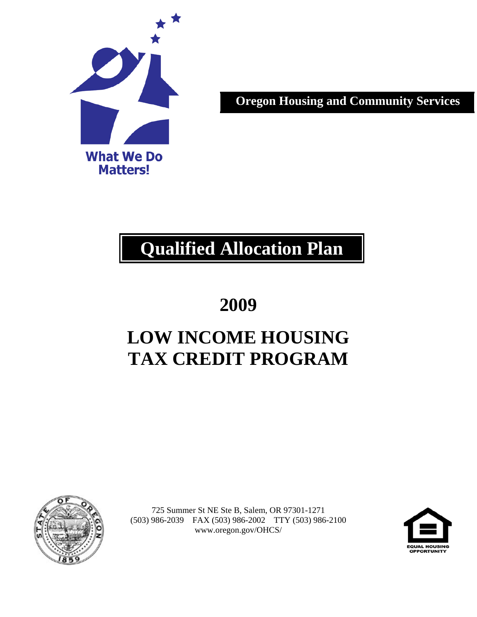

**Oregon Housing and Community Services**

# **Qualified Allocation Plan**

**2009** 

# **LOW INCOME HOUSING TAX CREDIT PROGRAM**



725 Summer St NE Ste B, Salem, OR 97301-1271 (503) 986-2039 FAX (503) 986-2002 TTY (503) 986-2100 www.oregon.gov/OHCS/

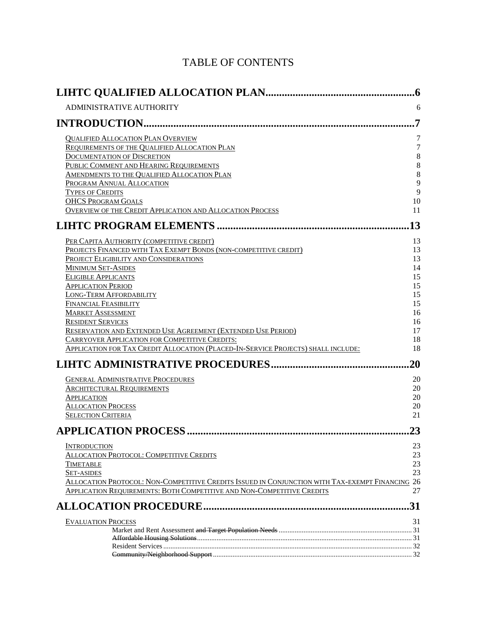# TABLE OF CONTENTS

|                                                                                                 | $\boldsymbol{.6}$     |
|-------------------------------------------------------------------------------------------------|-----------------------|
| <b>ADMINISTRATIVE AUTHORITY</b>                                                                 | 6                     |
| <b>INTRODUCTION</b>                                                                             | $\overline{7}$        |
|                                                                                                 |                       |
| <b>QUALIFIED ALLOCATION PLAN OVERVIEW</b>                                                       | 7<br>$\boldsymbol{7}$ |
| <b>REQUIREMENTS OF THE QUALIFIED ALLOCATION PLAN</b>                                            | $\,8\,$               |
| <b>DOCUMENTATION OF DISCRETION</b>                                                              | $\,8\,$               |
| PUBLIC COMMENT AND HEARING REQUIREMENTS<br>AMENDMENTS TO THE QUALIFIED ALLOCATION PLAN          | $\,8\,$               |
| PROGRAM ANNUAL ALLOCATION                                                                       | 9                     |
| <b>TYPES OF CREDITS</b>                                                                         | 9                     |
| <b>OHCS PROGRAM GOALS</b>                                                                       | 10                    |
| <b>OVERVIEW OF THE CREDIT APPLICATION AND ALLOCATION PROCESS</b>                                | 11                    |
|                                                                                                 | 13                    |
| PER CAPITA AUTHORITY (COMPETITIVE CREDIT)                                                       | 13                    |
| PROJECTS FINANCED WITH TAX EXEMPT BONDS (NON-COMPETITIVE CREDIT)                                | 13                    |
| PROJECT ELIGIBILITY AND CONSIDERATIONS                                                          | 13                    |
| <b>MINIMUM SET-ASIDES</b>                                                                       | 14                    |
| <b>ELIGIBLE APPLICANTS</b>                                                                      | 15                    |
| <b>APPLICATION PERIOD</b>                                                                       | 15                    |
| <b>LONG-TERM AFFORDABILITY</b>                                                                  | 15                    |
| <b>FINANCIAL FEASIBILITY</b>                                                                    | 15                    |
| <b>MARKET ASSESSMENT</b>                                                                        | 16                    |
| <b>RESIDENT SERVICES</b>                                                                        | 16                    |
| RESERVATION AND EXTENDED USE AGREEMENT (EXTENDED USE PERIOD)                                    | 17                    |
| CARRYOVER APPLICATION FOR COMPETITIVE CREDITS:                                                  | 18                    |
| <b>APPLICATION FOR TAX CREDIT ALLOCATION (PLACED-IN-SERVICE PROJECTS) SHALL INCLUDE:</b>        | 18                    |
|                                                                                                 | 20                    |
| <b>GENERAL ADMINISTRATIVE PROCEDURES</b>                                                        | 20                    |
| <b>ARCHITECTURAL REQUIREMENTS</b>                                                               | 20                    |
| <b>APPLICATION</b>                                                                              | $20\,$                |
| <b>ALLOCATION PROCESS</b>                                                                       | 20                    |
| <b>SELECTION CRITERIA</b>                                                                       | 21                    |
|                                                                                                 | 23                    |
| <b>INTRODUCTION</b>                                                                             | 23                    |
| <b>ALLOCATION PROTOCOL: COMPETITIVE CREDITS</b>                                                 | 23                    |
| <b>TIMETABLE</b>                                                                                | 23                    |
| <b>SET-ASIDES</b>                                                                               | 23                    |
| ALLOCATION PROTOCOL: NON-COMPETITIVE CREDITS ISSUED IN CONJUNCTION WITH TAX-EXEMPT FINANCING 26 |                       |
| <b>APPLICATION REQUIREMENTS: BOTH COMPETITIVE AND NON-COMPETITIVE CREDITS</b>                   | 27                    |
|                                                                                                 | 31                    |
| <b>EVALUATION PROCESS</b>                                                                       | 31                    |
|                                                                                                 |                       |
|                                                                                                 |                       |
|                                                                                                 |                       |
|                                                                                                 |                       |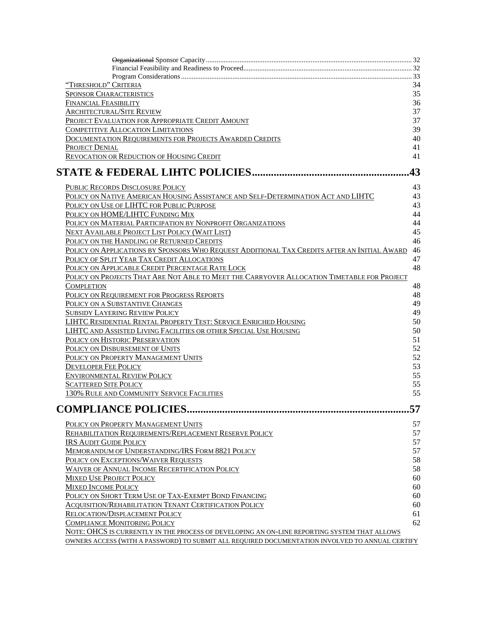| "THRESHOLD" CRITERIA                                                                            | 34 |
|-------------------------------------------------------------------------------------------------|----|
| <b>SPONSOR CHARACTERISTICS</b>                                                                  | 35 |
| <b>FINANCIAL FEASIBILITY</b>                                                                    | 36 |
| <b>ARCHITECTURAL/SITE REVIEW</b>                                                                | 37 |
| PROJECT EVALUATION FOR APPROPRIATE CREDIT AMOUNT                                                | 37 |
| <b>COMPETITIVE ALLOCATION LIMITATIONS</b>                                                       | 39 |
| DOCUMENTATION REQUIREMENTS FOR PROJECTS AWARDED CREDITS                                         | 40 |
| <b>PROJECT DENIAL</b>                                                                           | 41 |
| REVOCATION OR REDUCTION OF HOUSING CREDIT                                                       | 41 |
|                                                                                                 |    |
|                                                                                                 | 43 |
| PUBLIC RECORDS DISCLOSURE POLICY                                                                | 43 |
| POLICY ON NATIVE AMERICAN HOUSING ASSISTANCE AND SELF-DETERMINATION ACT AND LIHTC               | 43 |
| POLICY ON USE OF LIHTC FOR PUBLIC PURPOSE                                                       | 43 |
| POLICY ON HOME/LIHTC FUNDING MIX                                                                | 44 |
| POLICY ON MATERIAL PARTICIPATION BY NONPROFIT ORGANIZATIONS                                     | 44 |
| <b>NEXT AVAILABLE PROJECT LIST POLICY (WAIT LIST)</b>                                           | 45 |
| POLICY ON THE HANDLING OF RETURNED CREDITS                                                      | 46 |
| POLICY ON APPLICATIONS BY SPONSORS WHO REQUEST ADDITIONAL TAX CREDITS AFTER AN INITIAL AWARD    | 46 |
| POLICY OF SPLIT YEAR TAX CREDIT ALLOCATIONS                                                     | 47 |
| POLICY ON APPLICABLE CREDIT PERCENTAGE RATE LOCK                                                | 48 |
| POLICY ON PROJECTS THAT ARE NOT ABLE TO MEET THE CARRYOVER ALLOCATION TIMETABLE FOR PROJECT     |    |
|                                                                                                 | 48 |
| <b>COMPLETION</b>                                                                               | 48 |
| POLICY ON REQUIREMENT FOR PROGRESS REPORTS                                                      |    |
| POLICY ON A SUBSTANTIVE CHANGES                                                                 | 49 |
| <b>SUBSIDY LAYERING REVIEW POLICY</b>                                                           | 49 |
| LIHTC RESIDENTIAL RENTAL PROPERTY TEST: SERVICE ENRICHED HOUSING                                | 50 |
| LIHTC AND ASSISTED LIVING FACILITIES OR OTHER SPECIAL USE HOUSING                               | 50 |
| POLICY ON HISTORIC PRESERVATION                                                                 | 51 |
| POLICY ON DISBURSEMENT OF UNITS                                                                 | 52 |
| POLICY ON PROPERTY MANAGEMENT UNITS                                                             | 52 |
| <b>DEVELOPER FEE POLICY</b>                                                                     | 53 |
| <b>ENVIRONMENTAL REVIEW POLICY</b>                                                              | 55 |
| <b>SCATTERED SITE POLICY</b>                                                                    | 55 |
| 130% RULE AND COMMUNITY SERVICE FACILITIES                                                      | 55 |
| <b>COMPLIANCE POLICIES.</b>                                                                     | 57 |
|                                                                                                 | 57 |
| POLICY ON PROPERTY MANAGEMENT UNITS                                                             | 57 |
| REHABILITATION REQUIREMENTS/REPLACEMENT RESERVE POLICY                                          |    |
| <b>IRS AUDIT GUIDE POLICY</b>                                                                   | 57 |
| MEMORANDUM OF UNDERSTANDING/IRS FORM 8821 POLICY                                                | 57 |
| POLICY ON EXCEPTIONS/WAIVER REQUESTS                                                            | 58 |
| <b>WAIVER OF ANNUAL INCOME RECERTIFICATION POLICY</b>                                           | 58 |
| <b>MIXED USE PROJECT POLICY</b>                                                                 | 60 |
| <b>MIXED INCOME POLICY</b>                                                                      | 60 |
| POLICY ON SHORT TERM USE OF TAX-EXEMPT BOND FINANCING                                           | 60 |
| <b>ACQUISITION/REHABILITATION TENANT CERTIFICATION POLICY</b>                                   | 60 |
| RELOCATION/DISPLACEMENT POLICY                                                                  | 61 |
| <b>COMPLIANCE MONITORING POLICY</b>                                                             | 62 |
| NOTE: OHCS IS CURRENTLY IN THE PROCESS OF DEVELOPING AN ON-LINE REPORTING SYSTEM THAT ALLOWS    |    |
| OWNERS ACCESS (WITH A PASSWORD) TO SUBMIT ALL REQUIRED DOCUMENTATION INVOLVED TO ANNUAL CERTIFY |    |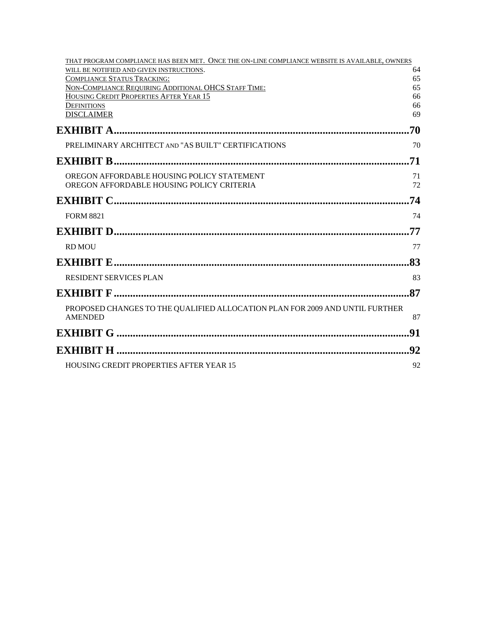| THAT PROGRAM COMPLIANCE HAS BEEN MET. ONCE THE ON-LINE COMPLIANCE WEBSITE IS AVAILABLE, OWNERS |          |
|------------------------------------------------------------------------------------------------|----------|
| WILL BE NOTIFIED AND GIVEN INSTRUCTIONS.                                                       | 64       |
| <b>COMPLIANCE STATUS TRACKING:</b><br>NON-COMPLIANCE REQUIRING ADDITIONAL OHCS STAFF TIME:     | 65<br>65 |
| HOUSING CREDIT PROPERTIES AFTER YEAR 15                                                        | 66       |
| <b>DEFINITIONS</b>                                                                             | 66       |
| <b>DISCLAIMER</b>                                                                              | 69       |
|                                                                                                |          |
| PRELIMINARY ARCHITECT AND "AS BUILT" CERTIFICATIONS                                            | 70       |
|                                                                                                |          |
| OREGON AFFORDABLE HOUSING POLICY STATEMENT                                                     | 71       |
| OREGON AFFORDABLE HOUSING POLICY CRITERIA                                                      | 72       |
|                                                                                                | .74      |
| <b>FORM 8821</b>                                                                               | 74       |
|                                                                                                |          |
| <b>RD MOU</b>                                                                                  | 77       |
|                                                                                                |          |
| <b>RESIDENT SERVICES PLAN</b>                                                                  | 83       |
|                                                                                                |          |
| PROPOSED CHANGES TO THE QUALIFIED ALLOCATION PLAN FOR 2009 AND UNTIL FURTHER                   |          |
| <b>AMENDED</b>                                                                                 | 87       |
|                                                                                                | .91      |
|                                                                                                |          |
| HOUSING CREDIT PROPERTIES AFTER YEAR 15                                                        | 92       |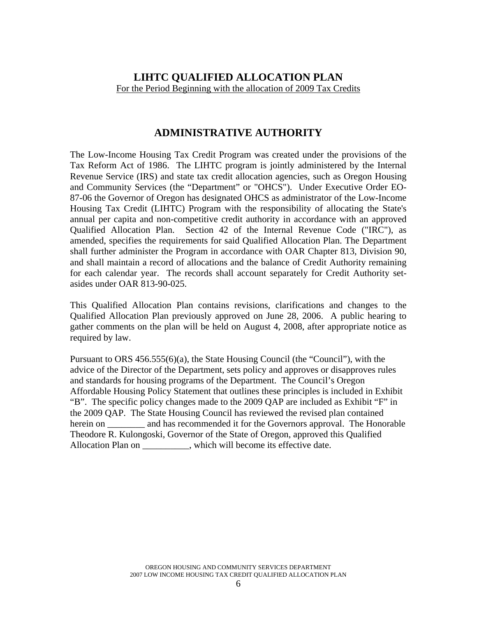# <span id="page-5-0"></span>**LIHTC QUALIFIED ALLOCATION PLAN**  For the Period Beginning with the allocation of 2009 Tax Credits

# **ADMINISTRATIVE AUTHORITY**

The Low-Income Housing Tax Credit Program was created under the provisions of the Tax Reform Act of 1986. The LIHTC program is jointly administered by the Internal Revenue Service (IRS) and state tax credit allocation agencies, such as Oregon Housing and Community Services (the "Department" or "OHCS"). Under Executive Order EO-87-06 the Governor of Oregon has designated OHCS as administrator of the Low-Income Housing Tax Credit (LIHTC) Program with the responsibility of allocating the State's annual per capita and non-competitive credit authority in accordance with an approved Qualified Allocation Plan. Section 42 of the Internal Revenue Code ("IRC"), as amended, specifies the requirements for said Qualified Allocation Plan. The Department shall further administer the Program in accordance with OAR Chapter 813, Division 90, and shall maintain a record of allocations and the balance of Credit Authority remaining for each calendar year. The records shall account separately for Credit Authority setasides under OAR 813-90-025.

This Qualified Allocation Plan contains revisions, clarifications and changes to the Qualified Allocation Plan previously approved on June 28, 2006. A public hearing to gather comments on the plan will be held on August 4, 2008, after appropriate notice as required by law.

Pursuant to ORS  $456.555(6)(a)$ , the State Housing Council (the "Council"), with the advice of the Director of the Department, sets policy and approves or disapproves rules and standards for housing programs of the Department. The Council's Oregon Affordable Housing Policy Statement that outlines these principles is included in Exhibit "B". The specific policy changes made to the 2009 QAP are included as Exhibit "F" in the 2009 QAP. The State Housing Council has reviewed the revised plan contained herein on \_\_\_\_\_\_\_\_ and has recommended it for the Governors approval. The Honorable Theodore R. Kulongoski, Governor of the State of Oregon, approved this Qualified Allocation Plan on \_\_\_\_\_\_\_\_\_, which will become its effective date.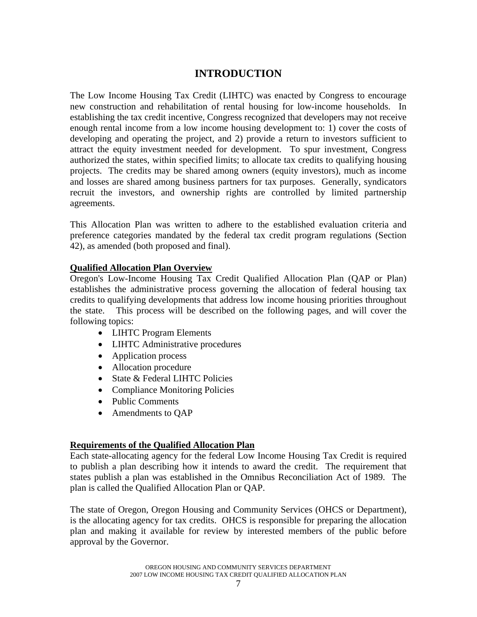# **INTRODUCTION**

<span id="page-6-0"></span>The Low Income Housing Tax Credit (LIHTC) was enacted by Congress to encourage new construction and rehabilitation of rental housing for low-income households. In establishing the tax credit incentive, Congress recognized that developers may not receive enough rental income from a low income housing development to: 1) cover the costs of developing and operating the project, and 2) provide a return to investors sufficient to attract the equity investment needed for development. To spur investment, Congress authorized the states, within specified limits; to allocate tax credits to qualifying housing projects. The credits may be shared among owners (equity investors), much as income and losses are shared among business partners for tax purposes. Generally, syndicators recruit the investors, and ownership rights are controlled by limited partnership agreements.

This Allocation Plan was written to adhere to the established evaluation criteria and preference categories mandated by the federal tax credit program regulations (Section 42), as amended (both proposed and final).

#### **Qualified Allocation Plan Overview**

Oregon's Low-Income Housing Tax Credit Qualified Allocation Plan (QAP or Plan) establishes the administrative process governing the allocation of federal housing tax credits to qualifying developments that address low income housing priorities throughout the state. This process will be described on the following pages, and will cover the following topics:

- LIHTC Program Elements
- LIHTC Administrative procedures
- Application process
- Allocation procedure
- State & Federal LIHTC Policies
- Compliance Monitoring Policies
- Public Comments
- Amendments to OAP

#### **Requirements of the Qualified Allocation Plan**

Each state-allocating agency for the federal Low Income Housing Tax Credit is required to publish a plan describing how it intends to award the credit. The requirement that states publish a plan was established in the Omnibus Reconciliation Act of 1989. The plan is called the Qualified Allocation Plan or QAP.

The state of Oregon, Oregon Housing and Community Services (OHCS or Department), is the allocating agency for tax credits. OHCS is responsible for preparing the allocation plan and making it available for review by interested members of the public before approval by the Governor.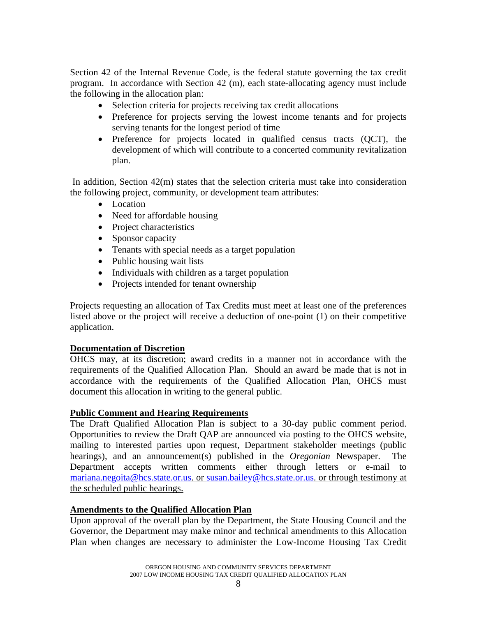<span id="page-7-0"></span>Section 42 of the Internal Revenue Code, is the federal statute governing the tax credit program. In accordance with Section 42 (m), each state-allocating agency must include the following in the allocation plan:

- Selection criteria for projects receiving tax credit allocations
- Preference for projects serving the lowest income tenants and for projects serving tenants for the longest period of time
- Preference for projects located in qualified census tracts (QCT), the development of which will contribute to a concerted community revitalization plan.

 In addition, Section 42(m) states that the selection criteria must take into consideration the following project, community, or development team attributes:

- Location
- Need for affordable housing
- Project characteristics
- Sponsor capacity
- Tenants with special needs as a target population
- Public housing wait lists
- Individuals with children as a target population
- Projects intended for tenant ownership

Projects requesting an allocation of Tax Credits must meet at least one of the preferences listed above or the project will receive a deduction of one-point (1) on their competitive application.

# **Documentation of Discretion**

OHCS may, at its discretion; award credits in a manner not in accordance with the requirements of the Qualified Allocation Plan. Should an award be made that is not in accordance with the requirements of the Qualified Allocation Plan, OHCS must document this allocation in writing to the general public.

# **Public Comment and Hearing Requirements**

The Draft Qualified Allocation Plan is subject to a 30-day public comment period. Opportunities to review the Draft QAP are announced via posting to the OHCS website, mailing to interested parties upon request, Department stakeholder meetings (public hearings), and an announcement(s) published in the *Oregonian* Newspaper. The Department accepts written comments either through letters or e-mail to mariana.negoita@hcs.state.or.us. or [susan.bailey@hcs.state.or.us.](mailto:susan.bailey@hcs.state.or.us) or through testimony at the scheduled public hearings.

# **Amendments to the Qualified Allocation Plan**

Upon approval of the overall plan by the Department, the State Housing Council and the Governor, the Department may make minor and technical amendments to this Allocation Plan when changes are necessary to administer the Low-Income Housing Tax Credit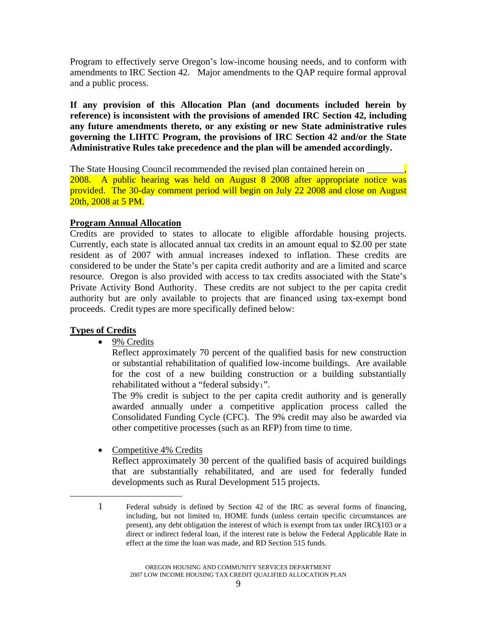<span id="page-8-0"></span>Program to effectively serve Oregon's low-income housing needs, and to conform with amendments to IRC Section 42. Major amendments to the QAP require formal approval and a public process.

**If any provision of this Allocation Plan (and documents included herein by reference) is inconsistent with the provisions of amended IRC Section 42, including any future amendments thereto, or any existing or new State administrative rules governing the LIHTC Program, the provisions of IRC Section 42 and/or the State Administrative Rules take precedence and the plan will be amended accordingly.** 

The State Housing Council recommended the revised plan contained herein on 2008. A public hearing was held on August 8 2008 after appropriate notice was provided. The 30-day comment period will begin on July 22 2008 and close on August 20th, 2008 at 5 PM.

# **Program Annual Allocation**

Credits are provided to states to allocate to eligible affordable housing projects. Currently, each state is allocated annual tax credits in an amount equal to \$2.00 per state resident as of 2007 with annual increases indexed to inflation. These credits are considered to be under the State's per capita credit authority and are a limited and scarce resource. Oregon is also provided with access to tax credits associated with the State's Private Activity Bond Authority. These credits are not subject to the per capita credit authority but are only available to projects that are financed using tax-exempt bond proceeds. Credit types are more specifically defined below:

# **Types of Credits**

<span id="page-8-1"></span>-

• 9% Credits

Reflect approximately 70 percent of the qualified basis for new construction or substantial rehabilitation of qualified low-income buildings. Are available for the cost of a new building construction or a building substantially rehabilitated without a "federal subsidy[1](#page-8-1)".

The 9% credit is subject to the per capita credit authority and is generally awarded annually under a competitive application process called the Consolidated Funding Cycle (CFC). The 9% credit may also be awarded via other competitive processes (such as an RFP) from time to time.

• Competitive 4% Credits

Reflect approximately 30 percent of the qualified basis of acquired buildings that are substantially rehabilitated, and are used for federally funded developments such as Rural Development 515 projects.

<sup>1</sup> Federal subsidy is defined by Section 42 of the IRC as several forms of financing, including, but not limited to, HOME funds (unless certain specific circumstances are present), any debt obligation the interest of which is exempt from tax under IRC§103 or a direct or indirect federal loan, if the interest rate is below the Federal Applicable Rate in effect at the time the loan was made, and RD Section 515 funds.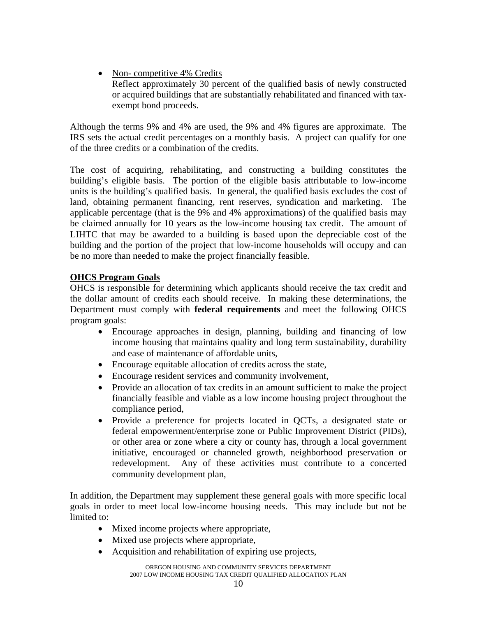<span id="page-9-0"></span>• Non-competitive 4% Credits Reflect approximately 30 percent of the qualified basis of newly constructed or acquired buildings that are substantially rehabilitated and financed with taxexempt bond proceeds.

Although the terms 9% and 4% are used, the 9% and 4% figures are approximate. The IRS sets the actual credit percentages on a monthly basis. A project can qualify for one of the three credits or a combination of the credits.

The cost of acquiring, rehabilitating, and constructing a building constitutes the building's eligible basis. The portion of the eligible basis attributable to low-income units is the building's qualified basis. In general, the qualified basis excludes the cost of land, obtaining permanent financing, rent reserves, syndication and marketing. The applicable percentage (that is the 9% and 4% approximations) of the qualified basis may be claimed annually for 10 years as the low-income housing tax credit. The amount of LIHTC that may be awarded to a building is based upon the depreciable cost of the building and the portion of the project that low-income households will occupy and can be no more than needed to make the project financially feasible.

# **OHCS Program Goals**

OHCS is responsible for determining which applicants should receive the tax credit and the dollar amount of credits each should receive. In making these determinations, the Department must comply with **federal requirements** and meet the following OHCS program goals:

- Encourage approaches in design, planning, building and financing of low income housing that maintains quality and long term sustainability, durability and ease of maintenance of affordable units,
- Encourage equitable allocation of credits across the state,
- Encourage resident services and community involvement,
- Provide an allocation of tax credits in an amount sufficient to make the project financially feasible and viable as a low income housing project throughout the compliance period,
- Provide a preference for projects located in QCTs, a designated state or federal empowerment/enterprise zone or Public Improvement District (PIDs), or other area or zone where a city or county has, through a local government initiative, encouraged or channeled growth, neighborhood preservation or redevelopment. Any of these activities must contribute to a concerted community development plan,

In addition, the Department may supplement these general goals with more specific local goals in order to meet local low-income housing needs. This may include but not be limited to:

- Mixed income projects where appropriate,
- Mixed use projects where appropriate,
- Acquisition and rehabilitation of expiring use projects,

OREGON HOUSING AND COMMUNITY SERVICES DEPARTMENT 2007 LOW INCOME HOUSING TAX CREDIT QUALIFIED ALLOCATION PLAN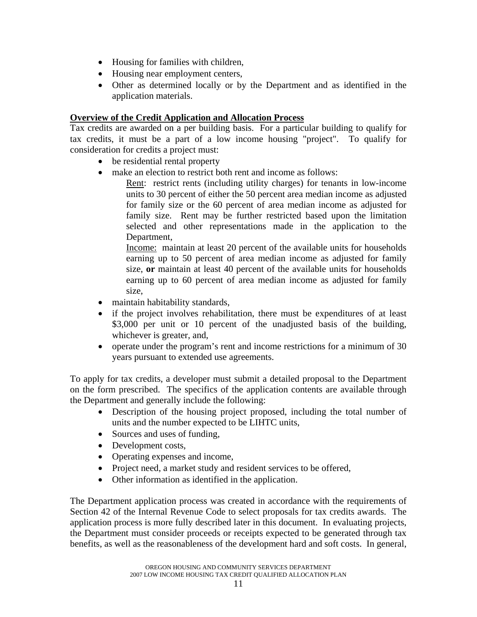- <span id="page-10-0"></span>• Housing for families with children,
- Housing near employment centers,
- Other as determined locally or by the Department and as identified in the application materials.

# **Overview of the Credit Application and Allocation Process**

Tax credits are awarded on a per building basis. For a particular building to qualify for tax credits, it must be a part of a low income housing "project". To qualify for consideration for credits a project must:

- be residential rental property
- make an election to restrict both rent and income as follows:

Rent: restrict rents (including utility charges) for tenants in low-income units to 30 percent of either the 50 percent area median income as adjusted for family size or the 60 percent of area median income as adjusted for family size. Rent may be further restricted based upon the limitation selected and other representations made in the application to the Department,

Income: maintain at least 20 percent of the available units for households earning up to 50 percent of area median income as adjusted for family size, **or** maintain at least 40 percent of the available units for households earning up to 60 percent of area median income as adjusted for family size,

- maintain habitability standards,
- if the project involves rehabilitation, there must be expenditures of at least \$3,000 per unit or 10 percent of the unadjusted basis of the building, whichever is greater, and,
- operate under the program's rent and income restrictions for a minimum of 30 years pursuant to extended use agreements.

To apply for tax credits, a developer must submit a detailed proposal to the Department on the form prescribed. The specifics of the application contents are available through the Department and generally include the following:

- Description of the housing project proposed, including the total number of units and the number expected to be LIHTC units,
- Sources and uses of funding,
- Development costs,
- Operating expenses and income,
- Project need, a market study and resident services to be offered,
- Other information as identified in the application.

The Department application process was created in accordance with the requirements of Section 42 of the Internal Revenue Code to select proposals for tax credits awards. The application process is more fully described later in this document. In evaluating projects, the Department must consider proceeds or receipts expected to be generated through tax benefits, as well as the reasonableness of the development hard and soft costs. In general,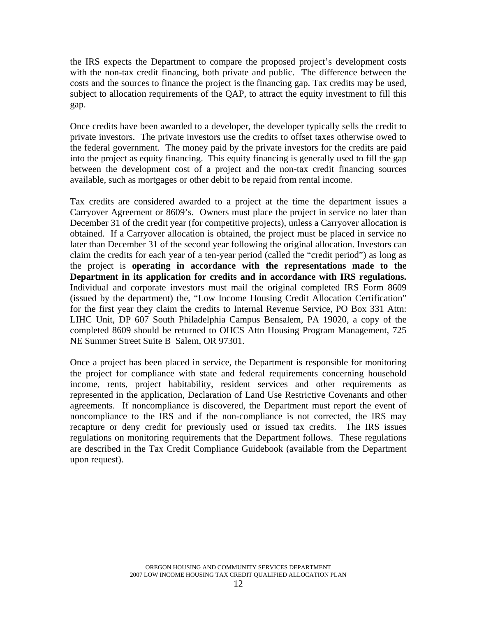the IRS expects the Department to compare the proposed project's development costs with the non-tax credit financing, both private and public. The difference between the costs and the sources to finance the project is the financing gap. Tax credits may be used, subject to allocation requirements of the QAP, to attract the equity investment to fill this gap.

Once credits have been awarded to a developer, the developer typically sells the credit to private investors. The private investors use the credits to offset taxes otherwise owed to the federal government. The money paid by the private investors for the credits are paid into the project as equity financing. This equity financing is generally used to fill the gap between the development cost of a project and the non-tax credit financing sources available, such as mortgages or other debit to be repaid from rental income.

Tax credits are considered awarded to a project at the time the department issues a Carryover Agreement or 8609's. Owners must place the project in service no later than December 31 of the credit year (for competitive projects), unless a Carryover allocation is obtained. If a Carryover allocation is obtained, the project must be placed in service no later than December 31 of the second year following the original allocation. Investors can claim the credits for each year of a ten-year period (called the "credit period") as long as the project is **operating in accordance with the representations made to the Department in its application for credits and in accordance with IRS regulations.** Individual and corporate investors must mail the original completed IRS Form 8609 (issued by the department) the, "Low Income Housing Credit Allocation Certification" for the first year they claim the credits to Internal Revenue Service, PO Box 331 Attn: LIHC Unit, DP 607 South Philadelphia Campus Bensalem, PA 19020, a copy of the completed 8609 should be returned to OHCS Attn Housing Program Management, 725 NE Summer Street Suite B Salem, OR 97301.

Once a project has been placed in service, the Department is responsible for monitoring the project for compliance with state and federal requirements concerning household income, rents, project habitability, resident services and other requirements as represented in the application, Declaration of Land Use Restrictive Covenants and other agreements. If noncompliance is discovered, the Department must report the event of noncompliance to the IRS and if the non-compliance is not corrected, the IRS may recapture or deny credit for previously used or issued tax credits. The IRS issues regulations on monitoring requirements that the Department follows. These regulations are described in the Tax Credit Compliance Guidebook (available from the Department upon request).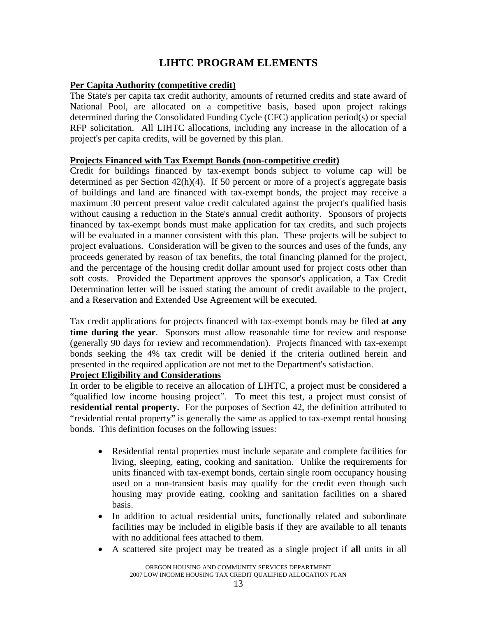# **LIHTC PROGRAM ELEMENTS**

# <span id="page-12-0"></span>**Per Capita Authority (competitive credit)**

The State's per capita tax credit authority, amounts of returned credits and state award of National Pool, are allocated on a competitive basis, based upon project rakings determined during the Consolidated Funding Cycle (CFC) application period(s) or special RFP solicitation. All LIHTC allocations, including any increase in the allocation of a project's per capita credits, will be governed by this plan.

#### **Projects Financed with Tax Exempt Bonds (non-competitive credit)**

Credit for buildings financed by tax-exempt bonds subject to volume cap will be determined as per Section 42(h)(4). If 50 percent or more of a project's aggregate basis of buildings and land are financed with tax-exempt bonds, the project may receive a maximum 30 percent present value credit calculated against the project's qualified basis without causing a reduction in the State's annual credit authority. Sponsors of projects financed by tax-exempt bonds must make application for tax credits, and such projects will be evaluated in a manner consistent with this plan. These projects will be subject to project evaluations. Consideration will be given to the sources and uses of the funds, any proceeds generated by reason of tax benefits, the total financing planned for the project, and the percentage of the housing credit dollar amount used for project costs other than soft costs. Provided the Department approves the sponsor's application, a Tax Credit Determination letter will be issued stating the amount of credit available to the project, and a Reservation and Extended Use Agreement will be executed.

Tax credit applications for projects financed with tax-exempt bonds may be filed **at any time during the year**. Sponsors must allow reasonable time for review and response (generally 90 days for review and recommendation). Projects financed with tax-exempt bonds seeking the 4% tax credit will be denied if the criteria outlined herein and presented in the required application are not met to the Department's satisfaction.

# **Project Eligibility and Considerations**

In order to be eligible to receive an allocation of LIHTC, a project must be considered a "qualified low income housing project". To meet this test, a project must consist of **residential rental property.** For the purposes of Section 42, the definition attributed to "residential rental property" is generally the same as applied to tax-exempt rental housing bonds. This definition focuses on the following issues:

- Residential rental properties must include separate and complete facilities for living, sleeping, eating, cooking and sanitation. Unlike the requirements for units financed with tax-exempt bonds, certain single room occupancy housing used on a non-transient basis may qualify for the credit even though such housing may provide eating, cooking and sanitation facilities on a shared basis.
- In addition to actual residential units, functionally related and subordinate facilities may be included in eligible basis if they are available to all tenants with no additional fees attached to them.
- A scattered site project may be treated as a single project if **all** units in all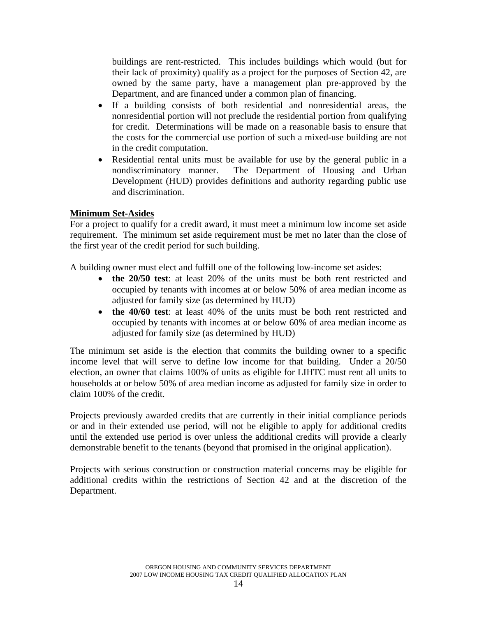<span id="page-13-0"></span>buildings are rent-restricted. This includes buildings which would (but for their lack of proximity) qualify as a project for the purposes of Section 42, are owned by the same party, have a management plan pre-approved by the Department, and are financed under a common plan of financing.

- If a building consists of both residential and nonresidential areas, the nonresidential portion will not preclude the residential portion from qualifying for credit. Determinations will be made on a reasonable basis to ensure that the costs for the commercial use portion of such a mixed-use building are not in the credit computation.
- Residential rental units must be available for use by the general public in a nondiscriminatory manner. The Department of Housing and Urban Development (HUD) provides definitions and authority regarding public use and discrimination.

#### **Minimum Set-Asides**

For a project to qualify for a credit award, it must meet a minimum low income set aside requirement. The minimum set aside requirement must be met no later than the close of the first year of the credit period for such building.

A building owner must elect and fulfill one of the following low-income set asides:

- **the 20/50 test**: at least 20% of the units must be both rent restricted and occupied by tenants with incomes at or below 50% of area median income as adjusted for family size (as determined by HUD)
- **the 40/60 test**: at least 40% of the units must be both rent restricted and occupied by tenants with incomes at or below 60% of area median income as adjusted for family size (as determined by HUD)

The minimum set aside is the election that commits the building owner to a specific income level that will serve to define low income for that building. Under a 20/50 election, an owner that claims 100% of units as eligible for LIHTC must rent all units to households at or below 50% of area median income as adjusted for family size in order to claim 100% of the credit.

Projects previously awarded credits that are currently in their initial compliance periods or and in their extended use period, will not be eligible to apply for additional credits until the extended use period is over unless the additional credits will provide a clearly demonstrable benefit to the tenants (beyond that promised in the original application).

Projects with serious construction or construction material concerns may be eligible for additional credits within the restrictions of Section 42 and at the discretion of the Department.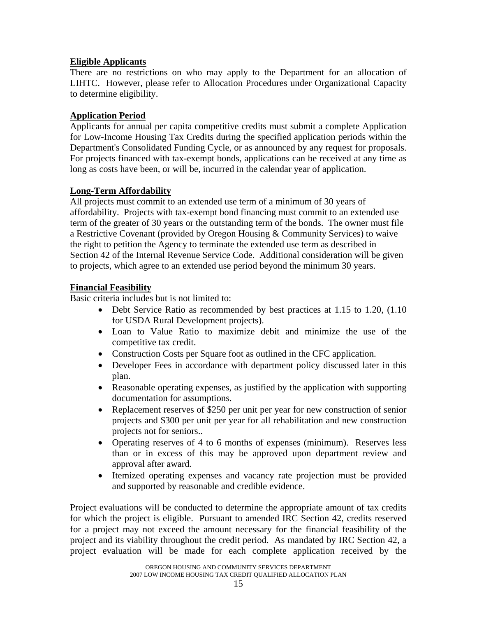# <span id="page-14-0"></span>**Eligible Applicants**

There are no restrictions on who may apply to the Department for an allocation of LIHTC. However, please refer to Allocation Procedures under Organizational Capacity to determine eligibility.

# **Application Period**

Applicants for annual per capita competitive credits must submit a complete Application for Low-Income Housing Tax Credits during the specified application periods within the Department's Consolidated Funding Cycle, or as announced by any request for proposals. For projects financed with tax-exempt bonds, applications can be received at any time as long as costs have been, or will be, incurred in the calendar year of application.

# **Long-Term Affordability**

All projects must commit to an extended use term of a minimum of 30 years of affordability. Projects with tax-exempt bond financing must commit to an extended use term of the greater of 30 years or the outstanding term of the bonds. The owner must file a Restrictive Covenant (provided by Oregon Housing & Community Services) to waive the right to petition the Agency to terminate the extended use term as described in Section 42 of the Internal Revenue Service Code. Additional consideration will be given to projects, which agree to an extended use period beyond the minimum 30 years.

# **Financial Feasibility**

Basic criteria includes but is not limited to:

- Debt Service Ratio as recommended by best practices at 1.15 to 1.20, (1.10) for USDA Rural Development projects).
- Loan to Value Ratio to maximize debit and minimize the use of the competitive tax credit.
- Construction Costs per Square foot as outlined in the CFC application.
- Developer Fees in accordance with department policy discussed later in this plan.
- Reasonable operating expenses, as justified by the application with supporting documentation for assumptions.
- Replacement reserves of \$250 per unit per year for new construction of senior projects and \$300 per unit per year for all rehabilitation and new construction projects not for seniors..
- Operating reserves of 4 to 6 months of expenses (minimum). Reserves less than or in excess of this may be approved upon department review and approval after award.
- Itemized operating expenses and vacancy rate projection must be provided and supported by reasonable and credible evidence.

Project evaluations will be conducted to determine the appropriate amount of tax credits for which the project is eligible. Pursuant to amended IRC Section 42, credits reserved for a project may not exceed the amount necessary for the financial feasibility of the project and its viability throughout the credit period. As mandated by IRC Section 42, a project evaluation will be made for each complete application received by the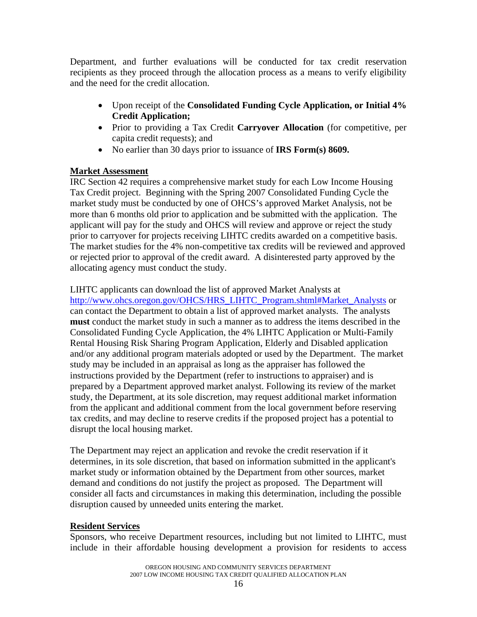<span id="page-15-0"></span>Department, and further evaluations will be conducted for tax credit reservation recipients as they proceed through the allocation process as a means to verify eligibility and the need for the credit allocation.

- Upon receipt of the **Consolidated Funding Cycle Application, or Initial 4% Credit Application;**
- Prior to providing a Tax Credit **Carryover Allocation** (for competitive, per capita credit requests); and
- No earlier than 30 days prior to issuance of **IRS Form(s) 8609.**

# **Market Assessment**

IRC Section 42 requires a comprehensive market study for each Low Income Housing Tax Credit project. Beginning with the Spring 2007 Consolidated Funding Cycle the market study must be conducted by one of OHCS's approved Market Analysis, not be more than 6 months old prior to application and be submitted with the application. The applicant will pay for the study and OHCS will review and approve or reject the study prior to carryover for projects receiving LIHTC credits awarded on a competitive basis. The market studies for the 4% non-competitive tax credits will be reviewed and approved or rejected prior to approval of the credit award. A disinterested party approved by the allocating agency must conduct the study.

LIHTC applicants can download the list of approved Market Analysts at [http://www.ohcs.oregon.gov/OHCS/HRS\\_LIHTC\\_Program.shtml#Market\\_Analysts](http://www.ohcs.oregon.gov/OHCS/HRS_LIHTC_Program.shtml#Market_Analysts) or can contact the Department to obtain a list of approved market analysts. The analysts **must** conduct the market study in such a manner as to address the items described in the Consolidated Funding Cycle Application, the 4% LIHTC Application or Multi-Family Rental Housing Risk Sharing Program Application, Elderly and Disabled application and/or any additional program materials adopted or used by the Department. The market study may be included in an appraisal as long as the appraiser has followed the instructions provided by the Department (refer to instructions to appraiser) and is prepared by a Department approved market analyst. Following its review of the market study, the Department, at its sole discretion, may request additional market information from the applicant and additional comment from the local government before reserving tax credits, and may decline to reserve credits if the proposed project has a potential to disrupt the local housing market.

The Department may reject an application and revoke the credit reservation if it determines, in its sole discretion, that based on information submitted in the applicant's market study or information obtained by the Department from other sources, market demand and conditions do not justify the project as proposed. The Department will consider all facts and circumstances in making this determination, including the possible disruption caused by unneeded units entering the market.

# **Resident Services**

Sponsors, who receive Department resources, including but not limited to LIHTC, must include in their affordable housing development a provision for residents to access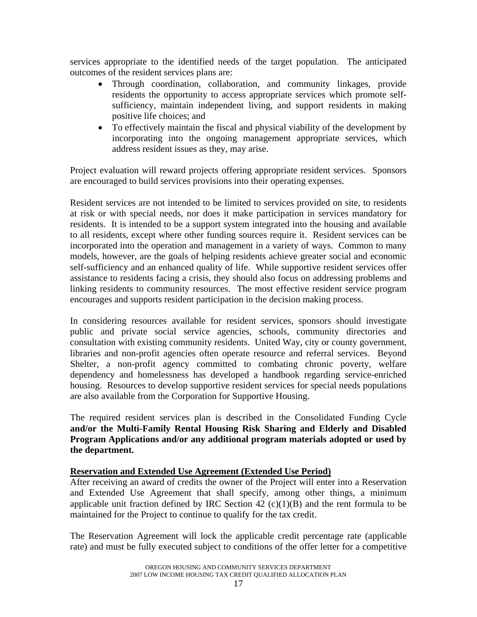<span id="page-16-0"></span>services appropriate to the identified needs of the target population. The anticipated outcomes of the resident services plans are:

- Through coordination, collaboration, and community linkages, provide residents the opportunity to access appropriate services which promote selfsufficiency, maintain independent living, and support residents in making positive life choices; and
- To effectively maintain the fiscal and physical viability of the development by incorporating into the ongoing management appropriate services, which address resident issues as they, may arise.

Project evaluation will reward projects offering appropriate resident services. Sponsors are encouraged to build services provisions into their operating expenses.

Resident services are not intended to be limited to services provided on site, to residents at risk or with special needs, nor does it make participation in services mandatory for residents. It is intended to be a support system integrated into the housing and available to all residents, except where other funding sources require it. Resident services can be incorporated into the operation and management in a variety of ways. Common to many models, however, are the goals of helping residents achieve greater social and economic self-sufficiency and an enhanced quality of life. While supportive resident services offer assistance to residents facing a crisis, they should also focus on addressing problems and linking residents to community resources. The most effective resident service program encourages and supports resident participation in the decision making process.

In considering resources available for resident services, sponsors should investigate public and private social service agencies, schools, community directories and consultation with existing community residents. United Way, city or county government, libraries and non-profit agencies often operate resource and referral services. Beyond Shelter, a non-profit agency committed to combating chronic poverty, welfare dependency and homelessness has developed a handbook regarding service-enriched housing. Resources to develop supportive resident services for special needs populations are also available from the Corporation for Supportive Housing.

The required resident services plan is described in the Consolidated Funding Cycle **and/or the Multi-Family Rental Housing Risk Sharing and Elderly and Disabled Program Applications and/or any additional program materials adopted or used by the department.**

# **Reservation and Extended Use Agreement (Extended Use Period)**

After receiving an award of credits the owner of the Project will enter into a Reservation and Extended Use Agreement that shall specify, among other things, a minimum applicable unit fraction defined by IRC Section  $42$  (c)(1)(B) and the rent formula to be maintained for the Project to continue to qualify for the tax credit.

The Reservation Agreement will lock the applicable credit percentage rate (applicable rate) and must be fully executed subject to conditions of the offer letter for a competitive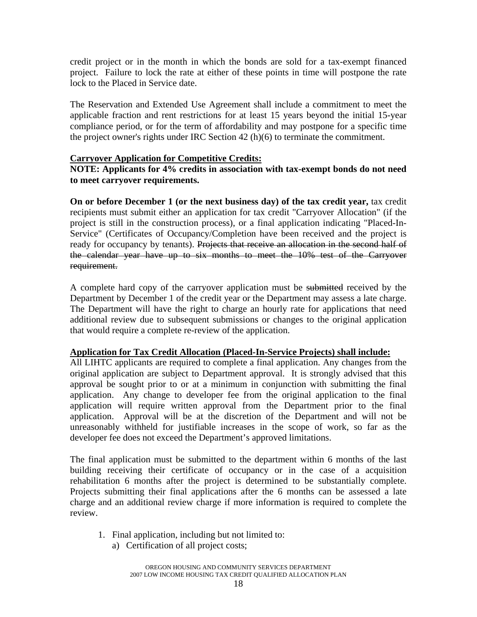<span id="page-17-0"></span>credit project or in the month in which the bonds are sold for a tax-exempt financed project. Failure to lock the rate at either of these points in time will postpone the rate lock to the Placed in Service date.

The Reservation and Extended Use Agreement shall include a commitment to meet the applicable fraction and rent restrictions for at least 15 years beyond the initial 15-year compliance period, or for the term of affordability and may postpone for a specific time the project owner's rights under IRC Section 42 (h)(6) to terminate the commitment.

#### **Carryover Application for Competitive Credits:**

#### **NOTE: Applicants for 4% credits in association with tax-exempt bonds do not need to meet carryover requirements.**

**On or before December 1 (or the next business day) of the tax credit year,** tax credit recipients must submit either an application for tax credit "Carryover Allocation" (if the project is still in the construction process), or a final application indicating "Placed-In-Service" (Certificates of Occupancy/Completion have been received and the project is ready for occupancy by tenants). Projects that receive an allocation in the second half of the calendar year have up to six months to meet the 10% test of the Carryover requirement.

A complete hard copy of the carryover application must be submitted received by the Department by December 1 of the credit year or the Department may assess a late charge. The Department will have the right to charge an hourly rate for applications that need additional review due to subsequent submissions or changes to the original application that would require a complete re-review of the application.

#### **Application for Tax Credit Allocation (Placed-In-Service Projects) shall include:**

All LIHTC applicants are required to complete a final application. Any changes from the original application are subject to Department approval. It is strongly advised that this approval be sought prior to or at a minimum in conjunction with submitting the final application. Any change to developer fee from the original application to the final application will require written approval from the Department prior to the final application. Approval will be at the discretion of the Department and will not be unreasonably withheld for justifiable increases in the scope of work, so far as the developer fee does not exceed the Department's approved limitations.

The final application must be submitted to the department within 6 months of the last building receiving their certificate of occupancy or in the case of a acquisition rehabilitation 6 months after the project is determined to be substantially complete. Projects submitting their final applications after the 6 months can be assessed a late charge and an additional review charge if more information is required to complete the review.

- 1. Final application, including but not limited to:
	- a) Certification of all project costs;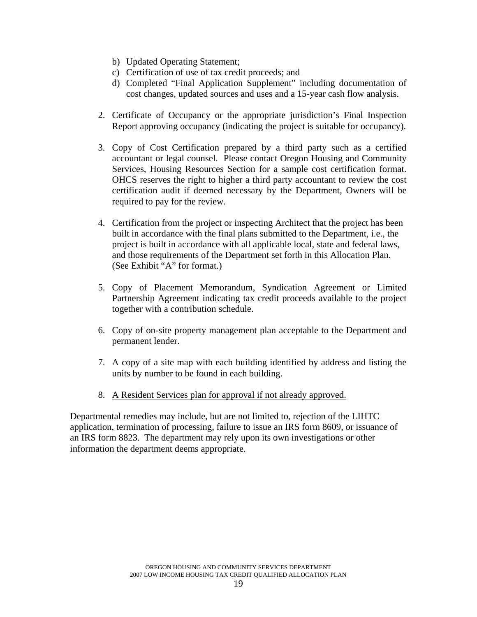- b) Updated Operating Statement;
- c) Certification of use of tax credit proceeds; and
- d) Completed "Final Application Supplement" including documentation of cost changes, updated sources and uses and a 15-year cash flow analysis.
- 2. Certificate of Occupancy or the appropriate jurisdiction's Final Inspection Report approving occupancy (indicating the project is suitable for occupancy).
- 3. Copy of Cost Certification prepared by a third party such as a certified accountant or legal counsel. Please contact Oregon Housing and Community Services, Housing Resources Section for a sample cost certification format. OHCS reserves the right to higher a third party accountant to review the cost certification audit if deemed necessary by the Department, Owners will be required to pay for the review.
- 4. Certification from the project or inspecting Architect that the project has been built in accordance with the final plans submitted to the Department, i.e., the project is built in accordance with all applicable local, state and federal laws, and those requirements of the Department set forth in this Allocation Plan. (See Exhibit "A" for format.)
- 5. Copy of Placement Memorandum, Syndication Agreement or Limited Partnership Agreement indicating tax credit proceeds available to the project together with a contribution schedule.
- 6. Copy of on-site property management plan acceptable to the Department and permanent lender.
- 7. A copy of a site map with each building identified by address and listing the units by number to be found in each building.
- 8. A Resident Services plan for approval if not already approved.

Departmental remedies may include, but are not limited to, rejection of the LIHTC application, termination of processing, failure to issue an IRS form 8609, or issuance of an IRS form 8823. The department may rely upon its own investigations or other information the department deems appropriate.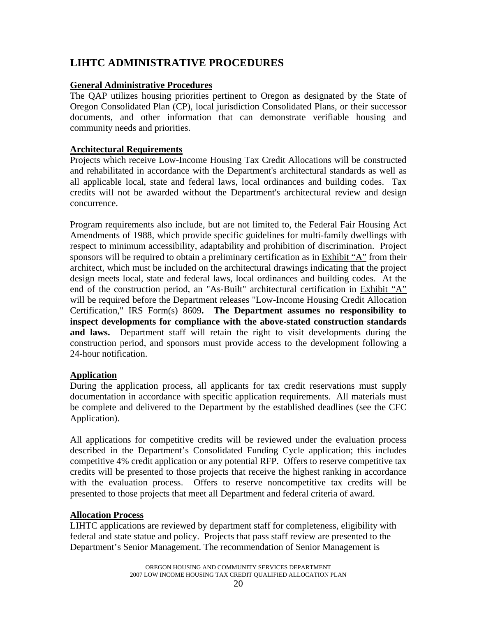# <span id="page-19-0"></span>**LIHTC ADMINISTRATIVE PROCEDURES**

#### **General Administrative Procedures**

The QAP utilizes housing priorities pertinent to Oregon as designated by the State of Oregon Consolidated Plan (CP), local jurisdiction Consolidated Plans, or their successor documents, and other information that can demonstrate verifiable housing and community needs and priorities.

#### **Architectural Requirements**

Projects which receive Low-Income Housing Tax Credit Allocations will be constructed and rehabilitated in accordance with the Department's architectural standards as well as all applicable local, state and federal laws, local ordinances and building codes. Tax credits will not be awarded without the Department's architectural review and design concurrence.

Program requirements also include, but are not limited to, the Federal Fair Housing Act Amendments of 1988, which provide specific guidelines for multi-family dwellings with respect to minimum accessibility, adaptability and prohibition of discrimination. Project sponsors will be required to obtain a preliminary certification as in Exhibit "A" from their architect, which must be included on the architectural drawings indicating that the project design meets local, state and federal laws, local ordinances and building codes. At the end of the construction period, an "As-Built" architectural certification in Exhibit "A" will be required before the Department releases "Low-Income Housing Credit Allocation Certification," IRS Form(s) 8609**. The Department assumes no responsibility to inspect developments for compliance with the above-stated construction standards and laws.** Department staff will retain the right to visit developments during the construction period, and sponsors must provide access to the development following a 24-hour notification.

#### **Application**

During the application process, all applicants for tax credit reservations must supply documentation in accordance with specific application requirements. All materials must be complete and delivered to the Department by the established deadlines (see the CFC Application).

All applications for competitive credits will be reviewed under the evaluation process described in the Department's Consolidated Funding Cycle application; this includes competitive 4% credit application or any potential RFP. Offers to reserve competitive tax credits will be presented to those projects that receive the highest ranking in accordance with the evaluation process. Offers to reserve noncompetitive tax credits will be presented to those projects that meet all Department and federal criteria of award.

#### **Allocation Process**

LIHTC applications are reviewed by department staff for completeness, eligibility with federal and state statue and policy. Projects that pass staff review are presented to the Department's Senior Management. The recommendation of Senior Management is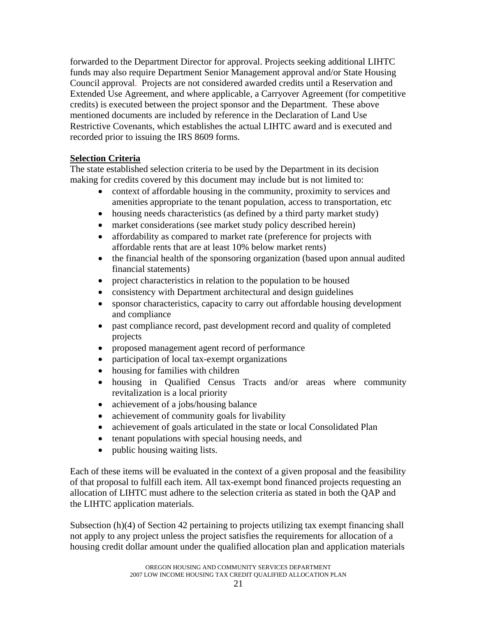<span id="page-20-0"></span>forwarded to the Department Director for approval. Projects seeking additional LIHTC funds may also require Department Senior Management approval and/or State Housing Council approval. Projects are not considered awarded credits until a Reservation and Extended Use Agreement, and where applicable, a Carryover Agreement (for competitive credits) is executed between the project sponsor and the Department. These above mentioned documents are included by reference in the Declaration of Land Use Restrictive Covenants, which establishes the actual LIHTC award and is executed and recorded prior to issuing the IRS 8609 forms.

# **Selection Criteria**

The state established selection criteria to be used by the Department in its decision making for credits covered by this document may include but is not limited to:

- context of affordable housing in the community, proximity to services and amenities appropriate to the tenant population, access to transportation, etc
- housing needs characteristics (as defined by a third party market study)
- market considerations (see market study policy described herein)
- affordability as compared to market rate (preference for projects with affordable rents that are at least 10% below market rents)
- the financial health of the sponsoring organization (based upon annual audited financial statements)
- project characteristics in relation to the population to be housed
- consistency with Department architectural and design guidelines
- sponsor characteristics, capacity to carry out affordable housing development and compliance
- past compliance record, past development record and quality of completed projects
- proposed management agent record of performance
- participation of local tax-exempt organizations
- housing for families with children
- housing in Qualified Census Tracts and/or areas where community revitalization is a local priority
- achievement of a jobs/housing balance
- achievement of community goals for livability
- achievement of goals articulated in the state or local Consolidated Plan
- tenant populations with special housing needs, and
- public housing waiting lists.

Each of these items will be evaluated in the context of a given proposal and the feasibility of that proposal to fulfill each item. All tax-exempt bond financed projects requesting an allocation of LIHTC must adhere to the selection criteria as stated in both the QAP and the LIHTC application materials.

Subsection (h)(4) of Section 42 pertaining to projects utilizing tax exempt financing shall not apply to any project unless the project satisfies the requirements for allocation of a housing credit dollar amount under the qualified allocation plan and application materials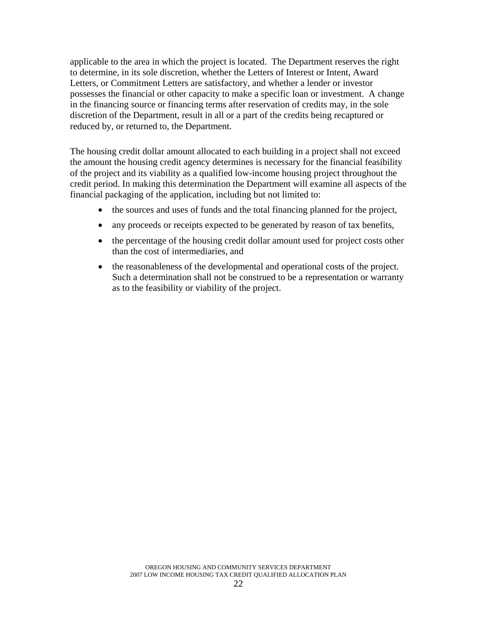applicable to the area in which the project is located. The Department reserves the right to determine, in its sole discretion, whether the Letters of Interest or Intent, Award Letters, or Commitment Letters are satisfactory, and whether a lender or investor possesses the financial or other capacity to make a specific loan or investment. A change in the financing source or financing terms after reservation of credits may, in the sole discretion of the Department, result in all or a part of the credits being recaptured or reduced by, or returned to, the Department.

The housing credit dollar amount allocated to each building in a project shall not exceed the amount the housing credit agency determines is necessary for the financial feasibility of the project and its viability as a qualified low-income housing project throughout the credit period. In making this determination the Department will examine all aspects of the financial packaging of the application, including but not limited to:

- the sources and uses of funds and the total financing planned for the project,
- any proceeds or receipts expected to be generated by reason of tax benefits,
- the percentage of the housing credit dollar amount used for project costs other than the cost of intermediaries, and
- the reasonableness of the developmental and operational costs of the project. Such a determination shall not be construed to be a representation or warranty as to the feasibility or viability of the project.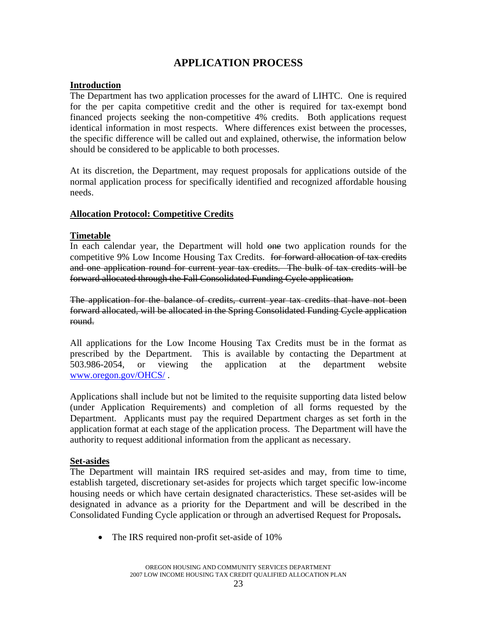# **APPLICATION PROCESS**

#### <span id="page-22-0"></span>**Introduction**

The Department has two application processes for the award of LIHTC. One is required for the per capita competitive credit and the other is required for tax-exempt bond financed projects seeking the non-competitive 4% credits. Both applications request identical information in most respects. Where differences exist between the processes, the specific difference will be called out and explained, otherwise, the information below should be considered to be applicable to both processes.

At its discretion, the Department, may request proposals for applications outside of the normal application process for specifically identified and recognized affordable housing needs.

#### **Allocation Protocol: Competitive Credits**

#### **Timetable**

In each calendar year, the Department will hold one two application rounds for the competitive 9% Low Income Housing Tax Credits. for forward allocation of tax credits and one application round for current year tax credits. The bulk of tax credits will be forward allocated through the Fall Consolidated Funding Cycle application.

The application for the balance of credits, current year tax credits that have not been forward allocated, will be allocated in the Spring Consolidated Funding Cycle application round.

All applications for the Low Income Housing Tax Credits must be in the format as prescribed by the Department. This is available by contacting the Department at 503.986-2054, or viewing the application at the department website www.oregon.gov/OHCS/ .

Applications shall include but not be limited to the requisite supporting data listed below (under Application Requirements) and completion of all forms requested by the Department. Applicants must pay the required Department charges as set forth in the application format at each stage of the application process. The Department will have the authority to request additional information from the applicant as necessary.

#### **Set-asides**

The Department will maintain IRS required set-asides and may, from time to time, establish targeted, discretionary set-asides for projects which target specific low-income housing needs or which have certain designated characteristics. These set-asides will be designated in advance as a priority for the Department and will be described in the Consolidated Funding Cycle application or through an advertised Request for Proposals**.** 

• The IRS required non-profit set-aside of 10%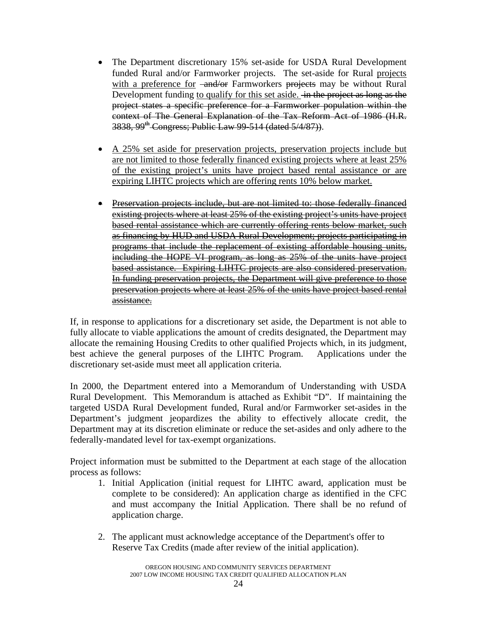- The Department discretionary 15% set-aside for USDA Rural Development funded Rural and/or Farmworker projects. The set-aside for Rural projects with a preference for  $\frac{1}{\sqrt{2}}$  Farmworkers projects may be without Rural Development funding to qualify for this set aside. <del>In the project as long as the</del> project states a specific preference for a Farmworker population within the context of The General Explanation of the Tax Reform Act of 1986 (H.R. 3838, 99<sup>th</sup> Congress; Public Law 99-514 (dated 5/4/87)).
- A 25% set aside for preservation projects, preservation projects include but are not limited to those federally financed existing projects where at least 25% of the existing project's units have project based rental assistance or are expiring LIHTC projects which are offering rents 10% below market.
- Preservation projects include, but are not limited to: those federally financed existing projects where at least 25% of the existing project's units have project based rental assistance which are currently offering rents below market, such as financing by HUD and USDA Rural Development; projects participating in programs that include the replacement of existing affordable housing units, including the HOPE VI program, as long as 25% of the units have project based assistance. Expiring LIHTC projects are also considered preservation. In funding preservation projects, the Department will give preference to those preservation projects where at least 25% of the units have project based rental assistance.

If, in response to applications for a discretionary set aside, the Department is not able to fully allocate to viable applications the amount of credits designated, the Department may allocate the remaining Housing Credits to other qualified Projects which, in its judgment, best achieve the general purposes of the LIHTC Program. Applications under the discretionary set-aside must meet all application criteria.

In 2000, the Department entered into a Memorandum of Understanding with USDA Rural Development. This Memorandum is attached as Exhibit "D". If maintaining the targeted USDA Rural Development funded, Rural and/or Farmworker set-asides in the Department's judgment jeopardizes the ability to effectively allocate credit, the Department may at its discretion eliminate or reduce the set-asides and only adhere to the federally-mandated level for tax-exempt organizations.

Project information must be submitted to the Department at each stage of the allocation process as follows:

- 1. Initial Application (initial request for LIHTC award, application must be complete to be considered): An application charge as identified in the CFC and must accompany the Initial Application. There shall be no refund of application charge.
- 2. The applicant must acknowledge acceptance of the Department's offer to Reserve Tax Credits (made after review of the initial application).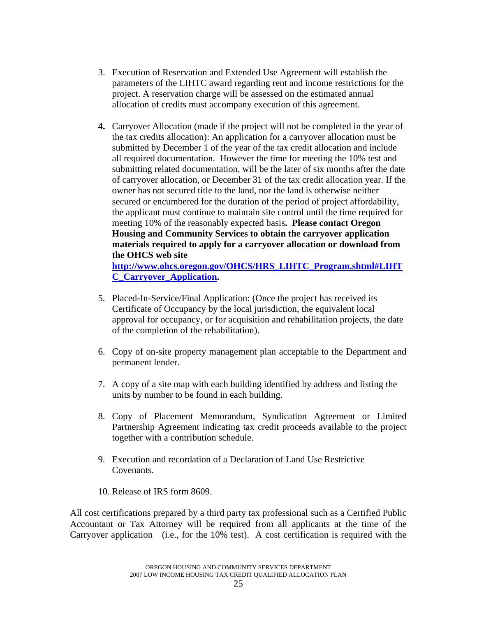- 3. Execution of Reservation and Extended Use Agreement will establish the parameters of the LIHTC award regarding rent and income restrictions for the project. A reservation charge will be assessed on the estimated annual allocation of credits must accompany execution of this agreement.
- **4.** Carryover Allocation (made if the project will not be completed in the year of the tax credits allocation): An application for a carryover allocation must be submitted by December 1 of the year of the tax credit allocation and include all required documentation. However the time for meeting the 10% test and submitting related documentation, will be the later of six months after the date of carryover allocation, or December 31 of the tax credit allocation year. If the owner has not secured title to the land, nor the land is otherwise neither secured or encumbered for the duration of the period of project affordability, the applicant must continue to maintain site control until the time required for meeting 10% of the reasonably expected basis**. Please contact Oregon Housing and Community Services to obtain the carryover application materials required to apply for a carryover allocation or download from the OHCS web site [http://www.ohcs.oregon.gov/OHCS/HRS\\_LIHTC\\_Program.shtml#LIHT](http://www.ohcs.oregon.gov/OHCS/HRS_LIHTC_Program.shtml#LIHTC_Carryover_Application) [C\\_Carryover\\_Application.](http://www.ohcs.oregon.gov/OHCS/HRS_LIHTC_Program.shtml#LIHTC_Carryover_Application)**
- 5. Placed-In-Service/Final Application: (Once the project has received its Certificate of Occupancy by the local jurisdiction, the equivalent local approval for occupancy, or for acquisition and rehabilitation projects, the date of the completion of the rehabilitation).
- 6. Copy of on-site property management plan acceptable to the Department and permanent lender.
- 7. A copy of a site map with each building identified by address and listing the units by number to be found in each building.
- 8. Copy of Placement Memorandum, Syndication Agreement or Limited Partnership Agreement indicating tax credit proceeds available to the project together with a contribution schedule.
- 9. Execution and recordation of a Declaration of Land Use Restrictive Covenants.
- 10. Release of IRS form 8609.

All cost certifications prepared by a third party tax professional such as a Certified Public Accountant or Tax Attorney will be required from all applicants at the time of the Carryover application (i.e., for the 10% test). A cost certification is required with the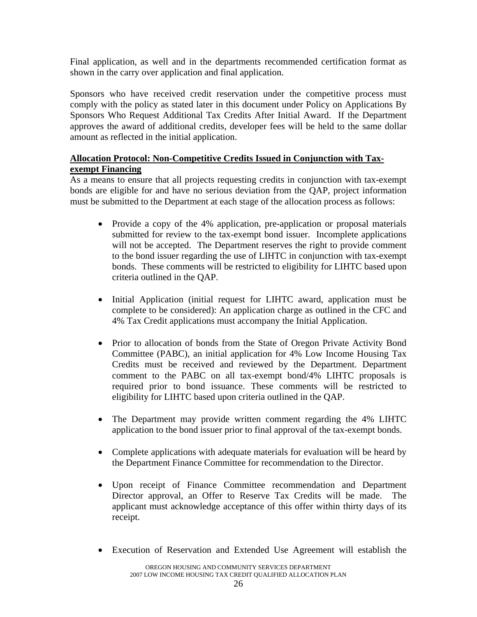<span id="page-25-0"></span>Final application, as well and in the departments recommended certification format as shown in the carry over application and final application.

Sponsors who have received credit reservation under the competitive process must comply with the policy as stated later in this document under Policy on Applications By Sponsors Who Request Additional Tax Credits After Initial Award. If the Department approves the award of additional credits, developer fees will be held to the same dollar amount as reflected in the initial application.

# **Allocation Protocol: Non-Competitive Credits Issued in Conjunction with Taxexempt Financing**

As a means to ensure that all projects requesting credits in conjunction with tax-exempt bonds are eligible for and have no serious deviation from the QAP, project information must be submitted to the Department at each stage of the allocation process as follows:

- Provide a copy of the 4% application, pre-application or proposal materials submitted for review to the tax-exempt bond issuer. Incomplete applications will not be accepted. The Department reserves the right to provide comment to the bond issuer regarding the use of LIHTC in conjunction with tax-exempt bonds. These comments will be restricted to eligibility for LIHTC based upon criteria outlined in the QAP.
- Initial Application (initial request for LIHTC award, application must be complete to be considered): An application charge as outlined in the CFC and 4% Tax Credit applications must accompany the Initial Application.
- Prior to allocation of bonds from the State of Oregon Private Activity Bond Committee (PABC), an initial application for 4% Low Income Housing Tax Credits must be received and reviewed by the Department. Department comment to the PABC on all tax-exempt bond/4% LIHTC proposals is required prior to bond issuance. These comments will be restricted to eligibility for LIHTC based upon criteria outlined in the QAP.
- The Department may provide written comment regarding the 4% LIHTC application to the bond issuer prior to final approval of the tax-exempt bonds.
- Complete applications with adequate materials for evaluation will be heard by the Department Finance Committee for recommendation to the Director.
- Upon receipt of Finance Committee recommendation and Department Director approval, an Offer to Reserve Tax Credits will be made. The applicant must acknowledge acceptance of this offer within thirty days of its receipt.
- Execution of Reservation and Extended Use Agreement will establish the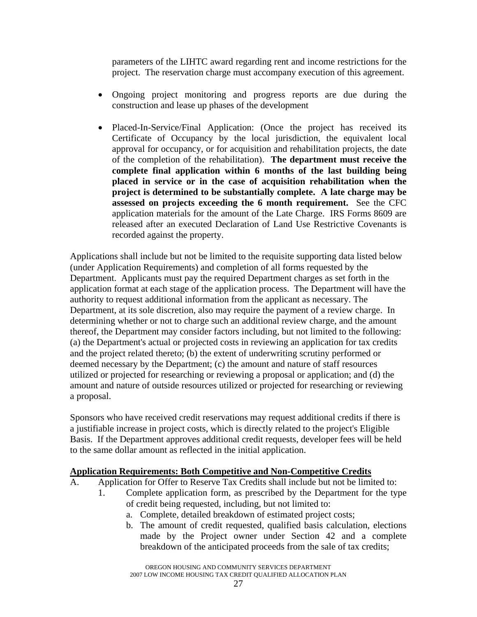<span id="page-26-0"></span>parameters of the LIHTC award regarding rent and income restrictions for the project. The reservation charge must accompany execution of this agreement.

- Ongoing project monitoring and progress reports are due during the construction and lease up phases of the development
- Placed-In-Service/Final Application: (Once the project has received its Certificate of Occupancy by the local jurisdiction, the equivalent local approval for occupancy, or for acquisition and rehabilitation projects, the date of the completion of the rehabilitation). **The department must receive the complete final application within 6 months of the last building being placed in service or in the case of acquisition rehabilitation when the project is determined to be substantially complete. A late charge may be assessed on projects exceeding the 6 month requirement.** See the CFC application materials for the amount of the Late Charge. IRS Forms 8609 are released after an executed Declaration of Land Use Restrictive Covenants is recorded against the property.

Applications shall include but not be limited to the requisite supporting data listed below (under Application Requirements) and completion of all forms requested by the Department. Applicants must pay the required Department charges as set forth in the application format at each stage of the application process. The Department will have the authority to request additional information from the applicant as necessary. The Department, at its sole discretion, also may require the payment of a review charge. In determining whether or not to charge such an additional review charge, and the amount thereof, the Department may consider factors including, but not limited to the following: (a) the Department's actual or projected costs in reviewing an application for tax credits and the project related thereto; (b) the extent of underwriting scrutiny performed or deemed necessary by the Department; (c) the amount and nature of staff resources utilized or projected for researching or reviewing a proposal or application; and (d) the amount and nature of outside resources utilized or projected for researching or reviewing a proposal.

Sponsors who have received credit reservations may request additional credits if there is a justifiable increase in project costs, which is directly related to the project's Eligible Basis. If the Department approves additional credit requests, developer fees will be held to the same dollar amount as reflected in the initial application.

# **Application Requirements: Both Competitive and Non-Competitive Credits**

- A. Application for Offer to Reserve Tax Credits shall include but not be limited to:
	- 1. Complete application form, as prescribed by the Department for the type of credit being requested, including, but not limited to:
		- a. Complete, detailed breakdown of estimated project costs;
		- b. The amount of credit requested, qualified basis calculation, elections made by the Project owner under Section 42 and a complete breakdown of the anticipated proceeds from the sale of tax credits;

OREGON HOUSING AND COMMUNITY SERVICES DEPARTMENT 2007 LOW INCOME HOUSING TAX CREDIT QUALIFIED ALLOCATION PLAN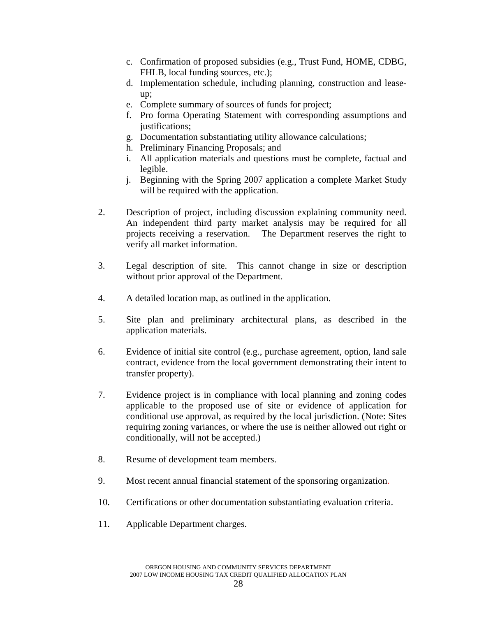- c. Confirmation of proposed subsidies (e.g., Trust Fund, HOME, CDBG, FHLB, local funding sources, etc.);
- d. Implementation schedule, including planning, construction and leaseup;
- e. Complete summary of sources of funds for project;
- f. Pro forma Operating Statement with corresponding assumptions and justifications;
- g. Documentation substantiating utility allowance calculations;
- h. Preliminary Financing Proposals; and
- i. All application materials and questions must be complete, factual and legible.
- j. Beginning with the Spring 2007 application a complete Market Study will be required with the application.
- 2. Description of project, including discussion explaining community need. An independent third party market analysis may be required for all projects receiving a reservation. The Department reserves the right to verify all market information.
- 3. Legal description of site. This cannot change in size or description without prior approval of the Department.
- 4. A detailed location map, as outlined in the application.
- 5. Site plan and preliminary architectural plans, as described in the application materials.
- 6. Evidence of initial site control (e.g., purchase agreement, option, land sale contract, evidence from the local government demonstrating their intent to transfer property).
- 7. Evidence project is in compliance with local planning and zoning codes applicable to the proposed use of site or evidence of application for conditional use approval, as required by the local jurisdiction. (Note: Sites requiring zoning variances, or where the use is neither allowed out right or conditionally, will not be accepted.)
- 8. Resume of development team members.
- 9. Most recent annual financial statement of the sponsoring organization.
- 10. Certifications or other documentation substantiating evaluation criteria.
- 11. Applicable Department charges.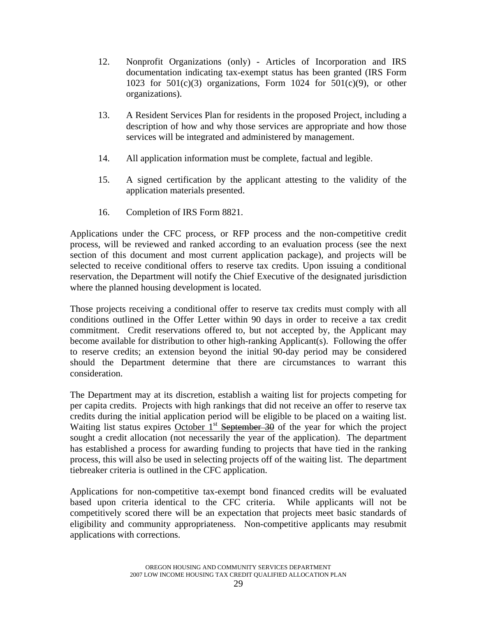- 12. Nonprofit Organizations (only) Articles of Incorporation and IRS documentation indicating tax-exempt status has been granted (IRS Form 1023 for  $501(c)(3)$  organizations, Form 1024 for  $501(c)(9)$ , or other organizations).
- 13. A Resident Services Plan for residents in the proposed Project, including a description of how and why those services are appropriate and how those services will be integrated and administered by management.
- 14. All application information must be complete, factual and legible.
- 15. A signed certification by the applicant attesting to the validity of the application materials presented.
- 16. Completion of IRS Form 8821.

Applications under the CFC process, or RFP process and the non-competitive credit process, will be reviewed and ranked according to an evaluation process (see the next section of this document and most current application package), and projects will be selected to receive conditional offers to reserve tax credits. Upon issuing a conditional reservation, the Department will notify the Chief Executive of the designated jurisdiction where the planned housing development is located.

Those projects receiving a conditional offer to reserve tax credits must comply with all conditions outlined in the Offer Letter within 90 days in order to receive a tax credit commitment. Credit reservations offered to, but not accepted by, the Applicant may become available for distribution to other high-ranking Applicant(s). Following the offer to reserve credits; an extension beyond the initial 90-day period may be considered should the Department determine that there are circumstances to warrant this consideration.

The Department may at its discretion, establish a waiting list for projects competing for per capita credits. Projects with high rankings that did not receive an offer to reserve tax credits during the initial application period will be eligible to be placed on a waiting list. Waiting list status expires October  $1<sup>st</sup>$  September 30 of the year for which the project sought a credit allocation (not necessarily the year of the application). The department has established a process for awarding funding to projects that have tied in the ranking process, this will also be used in selecting projects off of the waiting list. The department tiebreaker criteria is outlined in the CFC application.

Applications for non-competitive tax-exempt bond financed credits will be evaluated based upon criteria identical to the CFC criteria. While applicants will not be competitively scored there will be an expectation that projects meet basic standards of eligibility and community appropriateness. Non-competitive applicants may resubmit applications with corrections.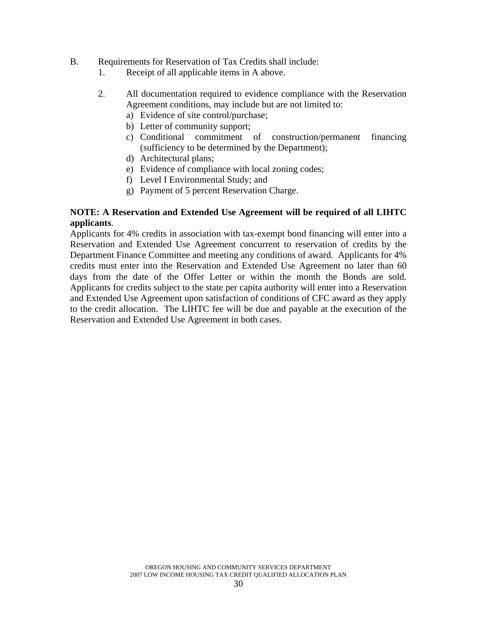#### B. Requirements for Reservation of Tax Credits shall include:

- 1. Receipt of all applicable items in A above.
- 2. All documentation required to evidence compliance with the Reservation Agreement conditions, may include but are not limited to:
	- a) Evidence of site control/purchase;
	- b) Letter of community support;
	- c) Conditional commitment of construction/permanent financing (sufficiency to be determined by the Department);
	- d) Architectural plans;
	- e) Evidence of compliance with local zoning codes;
	- f) Level I Environmental Study; and
	- g) Payment of 5 percent Reservation Charge.

### **NOTE: A Reservation and Extended Use Agreement will be required of all LIHTC applicants**.

Applicants for 4% credits in association with tax-exempt bond financing will enter into a Reservation and Extended Use Agreement concurrent to reservation of credits by the Department Finance Committee and meeting any conditions of award. Applicants for 4% credits must enter into the Reservation and Extended Use Agreement no later than 60 days from the date of the Offer Letter or within the month the Bonds are sold. Applicants for credits subject to the state per capita authority will enter into a Reservation and Extended Use Agreement upon satisfaction of conditions of CFC award as they apply to the credit allocation. The LIHTC fee will be due and payable at the execution of the Reservation and Extended Use Agreement in both cases.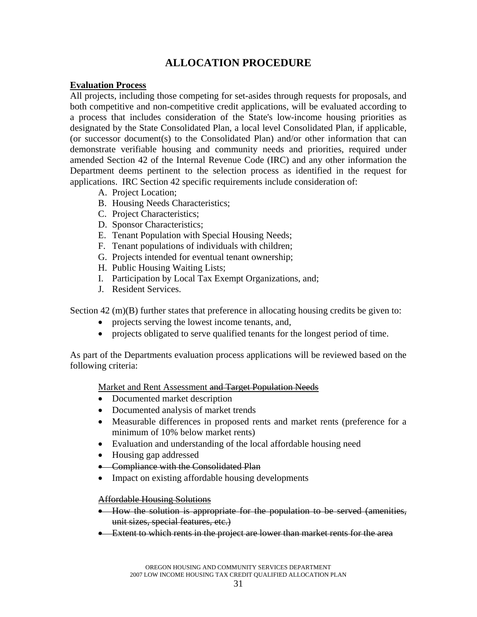# **ALLOCATION PROCEDURE**

#### <span id="page-30-0"></span>**Evaluation Process**

All projects, including those competing for set-asides through requests for proposals, and both competitive and non-competitive credit applications, will be evaluated according to a process that includes consideration of the State's low-income housing priorities as designated by the State Consolidated Plan, a local level Consolidated Plan, if applicable, (or successor document(s) to the Consolidated Plan) and/or other information that can demonstrate verifiable housing and community needs and priorities, required under amended Section 42 of the Internal Revenue Code (IRC) and any other information the Department deems pertinent to the selection process as identified in the request for applications. IRC Section 42 specific requirements include consideration of:

- A. Project Location;
- B. Housing Needs Characteristics;
- C. Project Characteristics;
- D. Sponsor Characteristics;
- E. Tenant Population with Special Housing Needs;
- F. Tenant populations of individuals with children;
- G. Projects intended for eventual tenant ownership;
- H. Public Housing Waiting Lists;
- I. Participation by Local Tax Exempt Organizations, and;
- J. Resident Services.

Section 42 (m)(B) further states that preference in allocating housing credits be given to:

- projects serving the lowest income tenants, and,
- projects obligated to serve qualified tenants for the longest period of time.

As part of the Departments evaluation process applications will be reviewed based on the following criteria:

Market and Rent Assessment and Target Population Needs

- Documented market description
- Documented analysis of market trends
- Measurable differences in proposed rents and market rents (preference for a minimum of 10% below market rents)
- Evaluation and understanding of the local affordable housing need
- Housing gap addressed
- Compliance with the Consolidated Plan
- Impact on existing affordable housing developments

#### Affordable Housing Solutions

- How the solution is appropriate for the population to be served (amenities, unit sizes, special features, etc.)
- Extent to which rents in the project are lower than market rents for the area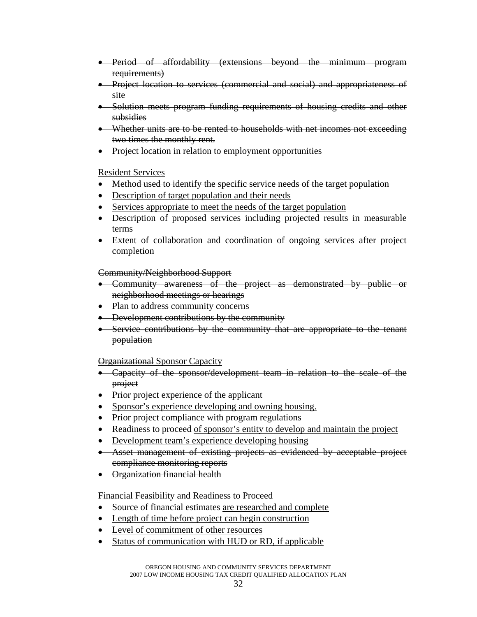- <span id="page-31-0"></span>• Period of affordability (extensions beyond the minimum program requirements)
- Project location to services (commercial and social) and appropriateness of site
- Solution meets program funding requirements of housing credits and other subsidies
- Whether units are to be rented to households with net incomes not exceeding two times the monthly rent.
- Project location in relation to employment opportunities

#### Resident Services

- Method used to identify the specific service needs of the target population
- Description of target population and their needs
- Services appropriate to meet the needs of the target population
- Description of proposed services including projected results in measurable terms
- Extent of collaboration and coordination of ongoing services after project completion

#### Community/Neighborhood Support

- Community awareness of the project as demonstrated by public or neighborhood meetings or hearings
- Plan to address community concerns
- Development contributions by the community
- Service contributions by the community that are appropriate to the tenant population

# Organizational Sponsor Capacity

- Capacity of the sponsor/development team in relation to the scale of the project
- Prior project experience of the applicant
- Sponsor's experience developing and owning housing.
- Prior project compliance with program regulations
- Readiness to proceed of sponsor's entity to develop and maintain the project
- Development team's experience developing housing
- Asset management of existing projects as evidenced by acceptable project compliance monitoring reports
- Organization financial health

#### Financial Feasibility and Readiness to Proceed

- Source of financial estimates are researched and complete
- Length of time before project can begin construction
- Level of commitment of other resources
- Status of communication with HUD or RD, if applicable

OREGON HOUSING AND COMMUNITY SERVICES DEPARTMENT 2007 LOW INCOME HOUSING TAX CREDIT QUALIFIED ALLOCATION PLAN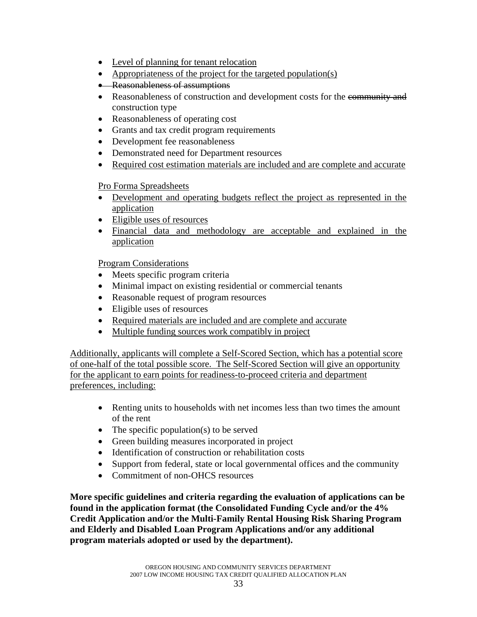- <span id="page-32-0"></span>• Level of planning for tenant relocation
- Appropriateness of the project for the targeted population(s)
- Reasonableness of assumptions
- Reasonableness of construction and development costs for the community and construction type
- Reasonableness of operating cost
- Grants and tax credit program requirements
- Development fee reasonableness
- Demonstrated need for Department resources
- Required cost estimation materials are included and are complete and accurate

# Pro Forma Spreadsheets

- Development and operating budgets reflect the project as represented in the application
- Eligible uses of resources
- Financial data and methodology are acceptable and explained in the application

# Program Considerations

- Meets specific program criteria
- Minimal impact on existing residential or commercial tenants
- Reasonable request of program resources
- Eligible uses of resources
- Required materials are included and are complete and accurate
- Multiple funding sources work compatibly in project

Additionally, applicants will complete a Self-Scored Section, which has a potential score of one-half of the total possible score. The Self-Scored Section will give an opportunity for the applicant to earn points for readiness-to-proceed criteria and department preferences, including:

- Renting units to households with net incomes less than two times the amount of the rent
- The specific population(s) to be served
- Green building measures incorporated in project
- Identification of construction or rehabilitation costs
- Support from federal, state or local governmental offices and the community
- Commitment of non-OHCS resources

**More specific guidelines and criteria regarding the evaluation of applications can be found in the application format (the Consolidated Funding Cycle and/or the 4% Credit Application and/or the Multi-Family Rental Housing Risk Sharing Program and Elderly and Disabled Loan Program Applications and/or any additional program materials adopted or used by the department).**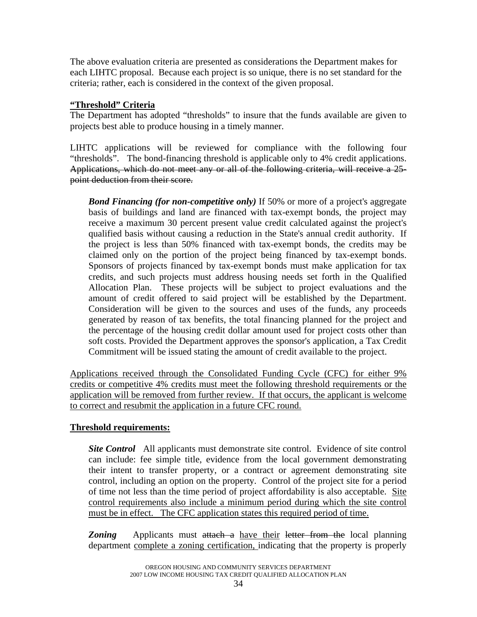<span id="page-33-0"></span>The above evaluation criteria are presented as considerations the Department makes for each LIHTC proposal. Because each project is so unique, there is no set standard for the criteria; rather, each is considered in the context of the given proposal.

### **"Threshold" Criteria**

The Department has adopted "thresholds" to insure that the funds available are given to projects best able to produce housing in a timely manner.

LIHTC applications will be reviewed for compliance with the following four "thresholds". The bond-financing threshold is applicable only to 4% credit applications. Applications, which do not meet any or all of the following criteria, will receive a 25 point deduction from their score.

*Bond Financing (for non-competitive only)* If 50% or more of a project's aggregate basis of buildings and land are financed with tax-exempt bonds, the project may receive a maximum 30 percent present value credit calculated against the project's qualified basis without causing a reduction in the State's annual credit authority. If the project is less than 50% financed with tax-exempt bonds, the credits may be claimed only on the portion of the project being financed by tax-exempt bonds. Sponsors of projects financed by tax-exempt bonds must make application for tax credits, and such projects must address housing needs set forth in the Qualified Allocation Plan. These projects will be subject to project evaluations and the amount of credit offered to said project will be established by the Department. Consideration will be given to the sources and uses of the funds, any proceeds generated by reason of tax benefits, the total financing planned for the project and the percentage of the housing credit dollar amount used for project costs other than soft costs. Provided the Department approves the sponsor's application, a Tax Credit Commitment will be issued stating the amount of credit available to the project.

Applications received through the Consolidated Funding Cycle (CFC) for either 9% credits or competitive 4% credits must meet the following threshold requirements or the application will be removed from further review. If that occurs, the applicant is welcome to correct and resubmit the application in a future CFC round.

# **Threshold requirements:**

*Site Control* All applicants must demonstrate site control. Evidence of site control can include: fee simple title, evidence from the local government demonstrating their intent to transfer property, or a contract or agreement demonstrating site control, including an option on the property. Control of the project site for a period of time not less than the time period of project affordability is also acceptable. Site control requirements also include a minimum period during which the site control must be in effect. The CFC application states this required period of time.

**Zoning** Applicants must attach a have their letter from the local planning department complete a zoning certification, indicating that the property is properly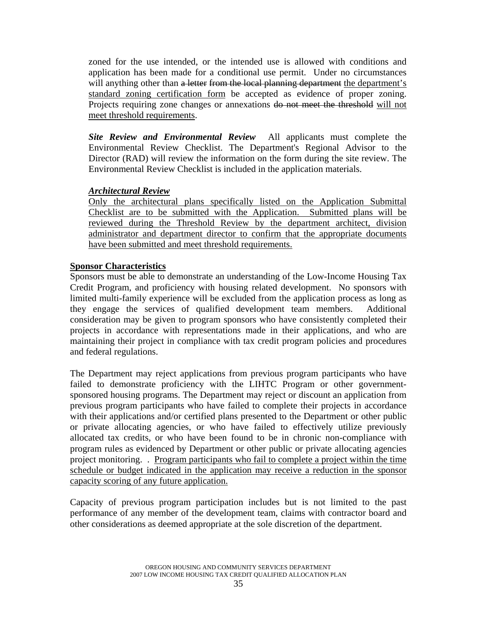<span id="page-34-0"></span>zoned for the use intended, or the intended use is allowed with conditions and application has been made for a conditional use permit. Under no circumstances will anything other than a letter from the local planning department the department's standard zoning certification form be accepted as evidence of proper zoning. Projects requiring zone changes or annexations do not meet the threshold will not meet threshold requirements.

*Site Review and Environmental Review* All applicants must complete the Environmental Review Checklist. The Department's Regional Advisor to the Director (RAD) will review the information on the form during the site review. The Environmental Review Checklist is included in the application materials.

#### *Architectural Review*

Only the architectural plans specifically listed on the Application Submittal Checklist are to be submitted with the Application. Submitted plans will be reviewed during the Threshold Review by the department architect, division administrator and department director to confirm that the appropriate documents have been submitted and meet threshold requirements.

#### **Sponsor Characteristics**

Sponsors must be able to demonstrate an understanding of the Low-Income Housing Tax Credit Program, and proficiency with housing related development. No sponsors with limited multi-family experience will be excluded from the application process as long as they engage the services of qualified development team members. Additional consideration may be given to program sponsors who have consistently completed their projects in accordance with representations made in their applications, and who are maintaining their project in compliance with tax credit program policies and procedures and federal regulations.

The Department may reject applications from previous program participants who have failed to demonstrate proficiency with the LIHTC Program or other governmentsponsored housing programs. The Department may reject or discount an application from previous program participants who have failed to complete their projects in accordance with their applications and/or certified plans presented to the Department or other public or private allocating agencies, or who have failed to effectively utilize previously allocated tax credits, or who have been found to be in chronic non-compliance with program rules as evidenced by Department or other public or private allocating agencies project monitoring. . Program participants who fail to complete a project within the time schedule or budget indicated in the application may receive a reduction in the sponsor capacity scoring of any future application.

Capacity of previous program participation includes but is not limited to the past performance of any member of the development team, claims with contractor board and other considerations as deemed appropriate at the sole discretion of the department.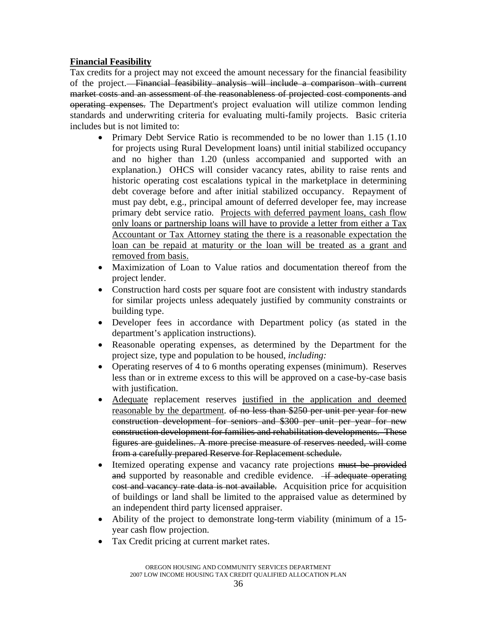# <span id="page-35-0"></span>**Financial Feasibility**

Tax credits for a project may not exceed the amount necessary for the financial feasibility of the project. Financial feasibility analysis will include a comparison with current market costs and an assessment of the reasonableness of projected cost components and operating expenses. The Department's project evaluation will utilize common lending standards and underwriting criteria for evaluating multi-family projects. Basic criteria includes but is not limited to:

- Primary Debt Service Ratio is recommended to be no lower than 1.15 (1.10) for projects using Rural Development loans) until initial stabilized occupancy and no higher than 1.20 (unless accompanied and supported with an explanation.) OHCS will consider vacancy rates, ability to raise rents and historic operating cost escalations typical in the marketplace in determining debt coverage before and after initial stabilized occupancy. Repayment of must pay debt, e.g., principal amount of deferred developer fee, may increase primary debt service ratio. Projects with deferred payment loans, cash flow only loans or partnership loans will have to provide a letter from either a Tax Accountant or Tax Attorney stating the there is a reasonable expectation the loan can be repaid at maturity or the loan will be treated as a grant and removed from basis.
- Maximization of Loan to Value ratios and documentation thereof from the project lender.
- Construction hard costs per square foot are consistent with industry standards for similar projects unless adequately justified by community constraints or building type.
- Developer fees in accordance with Department policy (as stated in the department's application instructions).
- Reasonable operating expenses, as determined by the Department for the project size, type and population to be housed, *including:*
- Operating reserves of 4 to 6 months operating expenses (minimum). Reserves less than or in extreme excess to this will be approved on a case-by-case basis with justification.
- Adequate replacement reserves justified in the application and deemed reasonable by the department. of no less than \$250 per unit per year for new construction development for seniors and \$300 per unit per year for new construction development for families and rehabilitation developments. These figures are guidelines. A more precise measure of reserves needed, will come from a carefully prepared Reserve for Replacement schedule.
- Itemized operating expense and vacancy rate projections must be provided and supported by reasonable and credible evidence.  $-$ if adequate operating cost and vacancy rate data is not available. Acquisition price for acquisition of buildings or land shall be limited to the appraised value as determined by an independent third party licensed appraiser.
- Ability of the project to demonstrate long-term viability (minimum of a 15 year cash flow projection.
- Tax Credit pricing at current market rates.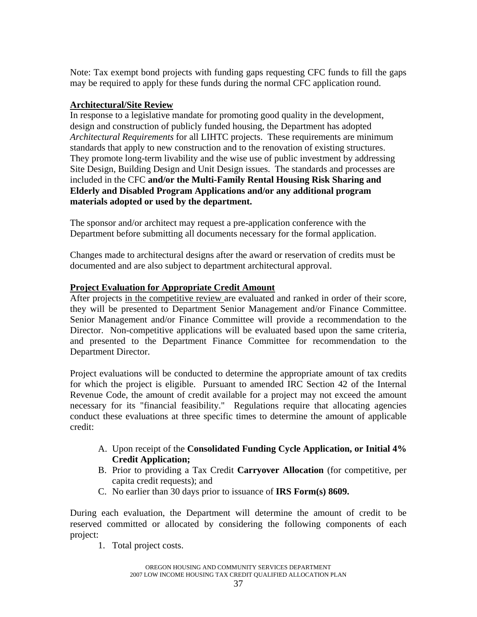Note: Tax exempt bond projects with funding gaps requesting CFC funds to fill the gaps may be required to apply for these funds during the normal CFC application round.

# **Architectural/Site Review**

In response to a legislative mandate for promoting good quality in the development, design and construction of publicly funded housing, the Department has adopted *Architectural Requirements* for all LIHTC projects. These requirements are minimum standards that apply to new construction and to the renovation of existing structures. They promote long-term livability and the wise use of public investment by addressing Site Design, Building Design and Unit Design issues. The standards and processes are included in the CFC **and/or the Multi-Family Rental Housing Risk Sharing and Elderly and Disabled Program Applications and/or any additional program materials adopted or used by the department.**

The sponsor and/or architect may request a pre-application conference with the Department before submitting all documents necessary for the formal application.

Changes made to architectural designs after the award or reservation of credits must be documented and are also subject to department architectural approval.

## **Project Evaluation for Appropriate Credit Amount**

After projects in the competitive review are evaluated and ranked in order of their score, they will be presented to Department Senior Management and/or Finance Committee. Senior Management and/or Finance Committee will provide a recommendation to the Director. Non-competitive applications will be evaluated based upon the same criteria, and presented to the Department Finance Committee for recommendation to the Department Director.

Project evaluations will be conducted to determine the appropriate amount of tax credits for which the project is eligible. Pursuant to amended IRC Section 42 of the Internal Revenue Code, the amount of credit available for a project may not exceed the amount necessary for its "financial feasibility." Regulations require that allocating agencies conduct these evaluations at three specific times to determine the amount of applicable credit:

- A. Upon receipt of the **Consolidated Funding Cycle Application, or Initial 4% Credit Application;**
- B. Prior to providing a Tax Credit **Carryover Allocation** (for competitive, per capita credit requests); and
- C. No earlier than 30 days prior to issuance of **IRS Form(s) 8609.**

During each evaluation, the Department will determine the amount of credit to be reserved committed or allocated by considering the following components of each project:

1. Total project costs.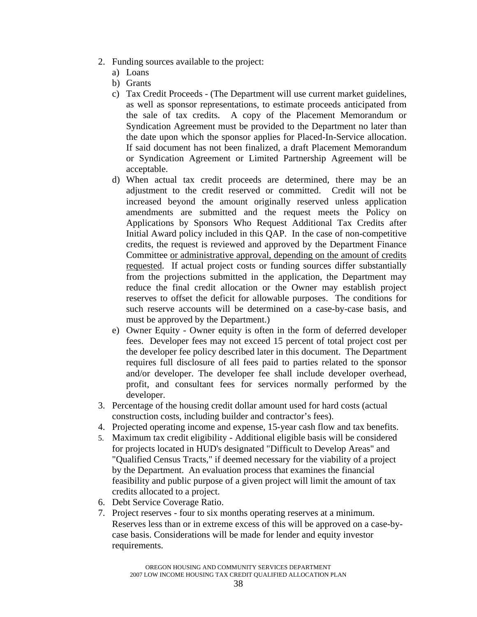- 2. Funding sources available to the project:
	- a) Loans
	- b) Grants
	- c) Tax Credit Proceeds (The Department will use current market guidelines, as well as sponsor representations, to estimate proceeds anticipated from the sale of tax credits. A copy of the Placement Memorandum or Syndication Agreement must be provided to the Department no later than the date upon which the sponsor applies for Placed-In-Service allocation. If said document has not been finalized, a draft Placement Memorandum or Syndication Agreement or Limited Partnership Agreement will be acceptable.
	- d) When actual tax credit proceeds are determined, there may be an adjustment to the credit reserved or committed. Credit will not be increased beyond the amount originally reserved unless application amendments are submitted and the request meets the Policy on Applications by Sponsors Who Request Additional Tax Credits after Initial Award policy included in this QAP. In the case of non-competitive credits, the request is reviewed and approved by the Department Finance Committee or administrative approval, depending on the amount of credits requested. If actual project costs or funding sources differ substantially from the projections submitted in the application, the Department may reduce the final credit allocation or the Owner may establish project reserves to offset the deficit for allowable purposes. The conditions for such reserve accounts will be determined on a case-by-case basis, and must be approved by the Department.)
	- e) Owner Equity Owner equity is often in the form of deferred developer fees. Developer fees may not exceed 15 percent of total project cost per the developer fee policy described later in this document. The Department requires full disclosure of all fees paid to parties related to the sponsor and/or developer. The developer fee shall include developer overhead, profit, and consultant fees for services normally performed by the developer.
- 3. Percentage of the housing credit dollar amount used for hard costs (actual construction costs, including builder and contractor's fees).
- 4. Projected operating income and expense, 15-year cash flow and tax benefits.
- 5. Maximum tax credit eligibility Additional eligible basis will be considered for projects located in HUD's designated "Difficult to Develop Areas" and "Qualified Census Tracts," if deemed necessary for the viability of a project by the Department. An evaluation process that examines the financial feasibility and public purpose of a given project will limit the amount of tax credits allocated to a project.
- 6. Debt Service Coverage Ratio.
- 7. Project reserves four to six months operating reserves at a minimum. Reserves less than or in extreme excess of this will be approved on a case-bycase basis. Considerations will be made for lender and equity investor requirements.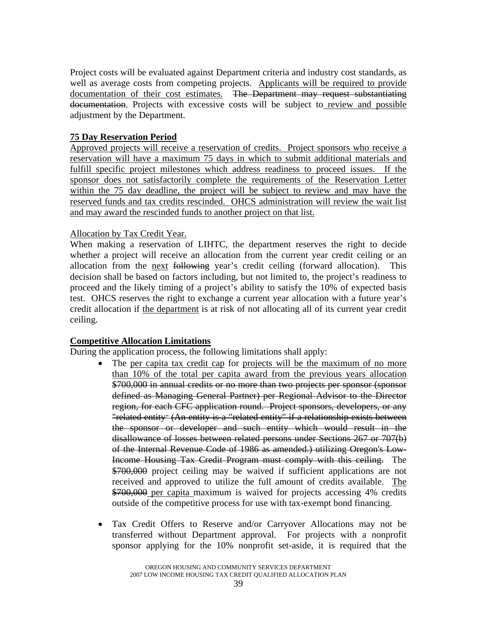Project costs will be evaluated against Department criteria and industry cost standards, as well as average costs from competing projects. Applicants will be required to provide documentation of their cost estimates. The Department may request substantiating documentation. Projects with excessive costs will be subject to review and possible adjustment by the Department.

## **75 Day Reservation Period**

Approved projects will receive a reservation of credits. Project sponsors who receive a reservation will have a maximum 75 days in which to submit additional materials and fulfill specific project milestones which address readiness to proceed issues. If the sponsor does not satisfactorily complete the requirements of the Reservation Letter within the 75 day deadline, the project will be subject to review and may have the reserved funds and tax credits rescinded. OHCS administration will review the wait list and may award the rescinded funds to another project on that list.

## Allocation by Tax Credit Year.

When making a reservation of LIHTC, the department reserves the right to decide whether a project will receive an allocation from the current year credit ceiling or an allocation from the next following year's credit ceiling (forward allocation). This decision shall be based on factors including, but not limited to, the project's readiness to proceed and the likely timing of a project's ability to satisfy the 10% of expected basis test. OHCS reserves the right to exchange a current year allocation with a future year's credit allocation if the department is at risk of not allocating all of its current year credit ceiling.

### **Competitive Allocation Limitations**

During the application process, the following limitations shall apply:

- The per capita tax credit cap for projects will be the maximum of no more than 10% of the total per capita award from the previous years allocation \$700,000 in annual credits or no more than two projects per sponsor (sponsor defined as Managing General Partner) per Regional Advisor to the Director region, for each CFC application round. Project sponsors, developers, or any "related entity" (An entity is a "related entity" if a relationship exists between the sponsor or developer and such entity which would result in the disallowance of losses between related persons under Sections 267 or 707(b) of the Internal Revenue Code of 1986 as amended.) utilizing Oregon's Low-Income Housing Tax Credit Program must comply with this ceiling. The \$700,000 project ceiling may be waived if sufficient applications are not received and approved to utilize the full amount of credits available. The \$700,000 per capita maximum is waived for projects accessing 4% credits outside of the competitive process for use with tax-exempt bond financing.
- Tax Credit Offers to Reserve and/or Carryover Allocations may not be transferred without Department approval. For projects with a nonprofit sponsor applying for the 10% nonprofit set-aside, it is required that the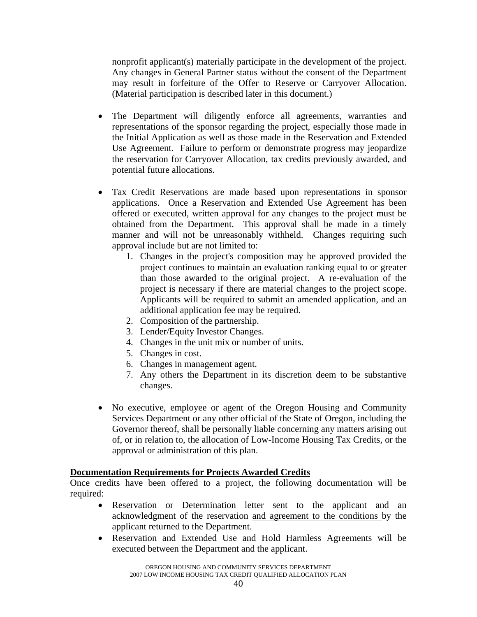nonprofit applicant(s) materially participate in the development of the project. Any changes in General Partner status without the consent of the Department may result in forfeiture of the Offer to Reserve or Carryover Allocation. (Material participation is described later in this document.)

- The Department will diligently enforce all agreements, warranties and representations of the sponsor regarding the project, especially those made in the Initial Application as well as those made in the Reservation and Extended Use Agreement. Failure to perform or demonstrate progress may jeopardize the reservation for Carryover Allocation, tax credits previously awarded, and potential future allocations.
- Tax Credit Reservations are made based upon representations in sponsor applications. Once a Reservation and Extended Use Agreement has been offered or executed, written approval for any changes to the project must be obtained from the Department. This approval shall be made in a timely manner and will not be unreasonably withheld. Changes requiring such approval include but are not limited to:
	- 1. Changes in the project's composition may be approved provided the project continues to maintain an evaluation ranking equal to or greater than those awarded to the original project. A re-evaluation of the project is necessary if there are material changes to the project scope. Applicants will be required to submit an amended application, and an additional application fee may be required.
	- 2. Composition of the partnership.
	- 3. Lender/Equity Investor Changes.
	- 4. Changes in the unit mix or number of units.
	- 5. Changes in cost.
	- 6. Changes in management agent.
	- 7. Any others the Department in its discretion deem to be substantive changes.
- No executive, employee or agent of the Oregon Housing and Community Services Department or any other official of the State of Oregon, including the Governor thereof, shall be personally liable concerning any matters arising out of, or in relation to, the allocation of Low-Income Housing Tax Credits, or the approval or administration of this plan.

## **Documentation Requirements for Projects Awarded Credits**

Once credits have been offered to a project, the following documentation will be required:

- Reservation or Determination letter sent to the applicant and an acknowledgment of the reservation and agreement to the conditions by the applicant returned to the Department.
- Reservation and Extended Use and Hold Harmless Agreements will be executed between the Department and the applicant.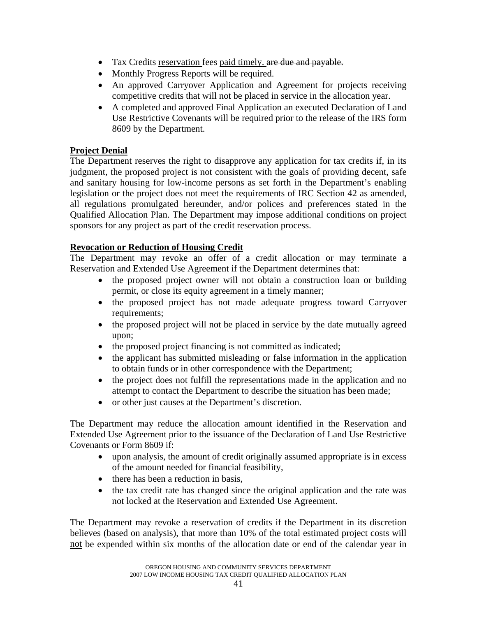- Tax Credits reservation fees paid timely, are due and payable.
- Monthly Progress Reports will be required.
- An approved Carryover Application and Agreement for projects receiving competitive credits that will not be placed in service in the allocation year.
- A completed and approved Final Application an executed Declaration of Land Use Restrictive Covenants will be required prior to the release of the IRS form 8609 by the Department.

# **Project Denial**

The Department reserves the right to disapprove any application for tax credits if, in its judgment, the proposed project is not consistent with the goals of providing decent, safe and sanitary housing for low-income persons as set forth in the Department's enabling legislation or the project does not meet the requirements of IRC Section 42 as amended, all regulations promulgated hereunder, and/or polices and preferences stated in the Qualified Allocation Plan. The Department may impose additional conditions on project sponsors for any project as part of the credit reservation process.

## **Revocation or Reduction of Housing Credit**

The Department may revoke an offer of a credit allocation or may terminate a Reservation and Extended Use Agreement if the Department determines that:

- the proposed project owner will not obtain a construction loan or building permit, or close its equity agreement in a timely manner;
- the proposed project has not made adequate progress toward Carryover requirements;
- the proposed project will not be placed in service by the date mutually agreed upon;
- the proposed project financing is not committed as indicated;
- the applicant has submitted misleading or false information in the application to obtain funds or in other correspondence with the Department;
- the project does not fulfill the representations made in the application and no attempt to contact the Department to describe the situation has been made;
- or other just causes at the Department's discretion.

The Department may reduce the allocation amount identified in the Reservation and Extended Use Agreement prior to the issuance of the Declaration of Land Use Restrictive Covenants or Form 8609 if:

- upon analysis, the amount of credit originally assumed appropriate is in excess of the amount needed for financial feasibility,
- there has been a reduction in basis.
- the tax credit rate has changed since the original application and the rate was not locked at the Reservation and Extended Use Agreement.

The Department may revoke a reservation of credits if the Department in its discretion believes (based on analysis), that more than 10% of the total estimated project costs will not be expended within six months of the allocation date or end of the calendar year in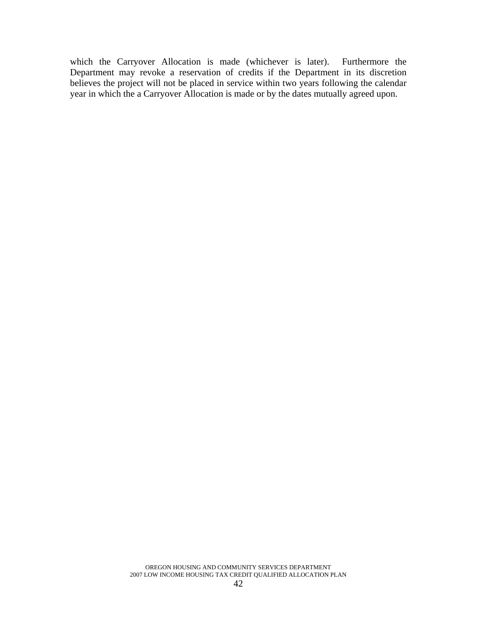which the Carryover Allocation is made (whichever is later). Furthermore the Department may revoke a reservation of credits if the Department in its discretion believes the project will not be placed in service within two years following the calendar year in which the a Carryover Allocation is made or by the dates mutually agreed upon.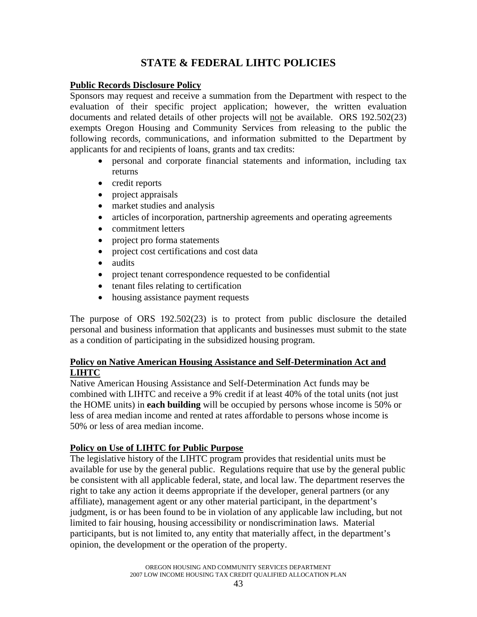# **STATE & FEDERAL LIHTC POLICIES**

### **Public Records Disclosure Policy**

Sponsors may request and receive a summation from the Department with respect to the evaluation of their specific project application; however, the written evaluation documents and related details of other projects will not be available. ORS 192.502(23) exempts Oregon Housing and Community Services from releasing to the public the following records, communications, and information submitted to the Department by applicants for and recipients of loans, grants and tax credits:

- personal and corporate financial statements and information, including tax returns
- credit reports
- project appraisals
- market studies and analysis
- articles of incorporation, partnership agreements and operating agreements
- commitment letters
- project pro forma statements
- project cost certifications and cost data
- audits
- project tenant correspondence requested to be confidential
- tenant files relating to certification
- housing assistance payment requests

The purpose of ORS 192.502(23) is to protect from public disclosure the detailed personal and business information that applicants and businesses must submit to the state as a condition of participating in the subsidized housing program.

## **Policy on Native American Housing Assistance and Self-Determination Act and LIHTC**

Native American Housing Assistance and Self-Determination Act funds may be combined with LIHTC and receive a 9% credit if at least 40% of the total units (not just the HOME units) in **each building** will be occupied by persons whose income is 50% or less of area median income and rented at rates affordable to persons whose income is 50% or less of area median income.

## **Policy on Use of LIHTC for Public Purpose**

The legislative history of the LIHTC program provides that residential units must be available for use by the general public. Regulations require that use by the general public be consistent with all applicable federal, state, and local law. The department reserves the right to take any action it deems appropriate if the developer, general partners (or any affiliate), management agent or any other material participant, in the department's judgment, is or has been found to be in violation of any applicable law including, but not limited to fair housing, housing accessibility or nondiscrimination laws. Material participants, but is not limited to, any entity that materially affect, in the department's opinion, the development or the operation of the property.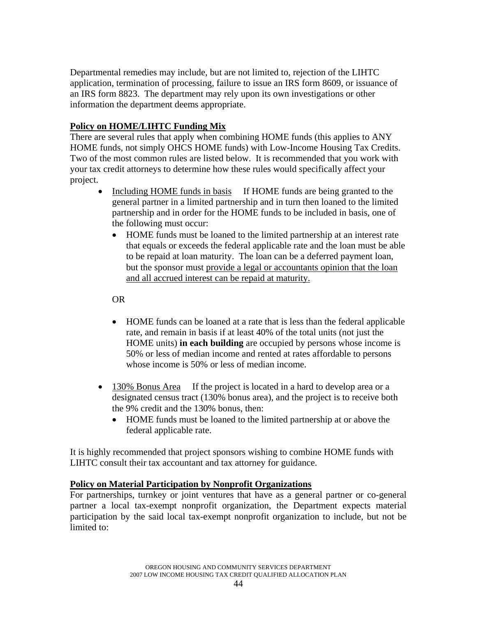Departmental remedies may include, but are not limited to, rejection of the LIHTC application, termination of processing, failure to issue an IRS form 8609, or issuance of an IRS form 8823. The department may rely upon its own investigations or other information the department deems appropriate.

# **Policy on HOME/LIHTC Funding Mix**

There are several rules that apply when combining HOME funds (this applies to ANY HOME funds, not simply OHCS HOME funds) with Low-Income Housing Tax Credits. Two of the most common rules are listed below. It is recommended that you work with your tax credit attorneys to determine how these rules would specifically affect your project.

- Including HOME funds in basis If HOME funds are being granted to the general partner in a limited partnership and in turn then loaned to the limited partnership and in order for the HOME funds to be included in basis, one of the following must occur:
	- HOME funds must be loaned to the limited partnership at an interest rate that equals or exceeds the federal applicable rate and the loan must be able to be repaid at loan maturity. The loan can be a deferred payment loan, but the sponsor must provide a legal or accountants opinion that the loan and all accrued interest can be repaid at maturity.

OR

- HOME funds can be loaned at a rate that is less than the federal applicable rate, and remain in basis if at least 40% of the total units (not just the HOME units) **in each building** are occupied by persons whose income is 50% or less of median income and rented at rates affordable to persons whose income is 50% or less of median income.
- 130% Bonus Area If the project is located in a hard to develop area or a designated census tract (130% bonus area), and the project is to receive both the 9% credit and the 130% bonus, then:
	- HOME funds must be loaned to the limited partnership at or above the federal applicable rate.

It is highly recommended that project sponsors wishing to combine HOME funds with LIHTC consult their tax accountant and tax attorney for guidance.

## **Policy on Material Participation by Nonprofit Organizations**

For partnerships, turnkey or joint ventures that have as a general partner or co-general partner a local tax-exempt nonprofit organization, the Department expects material participation by the said local tax-exempt nonprofit organization to include, but not be limited to: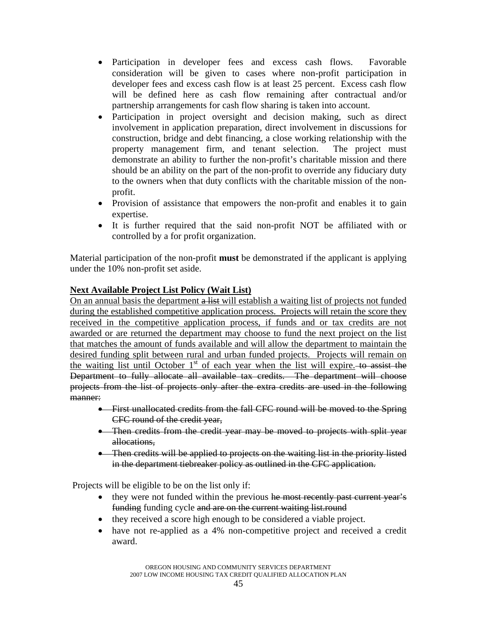- Participation in developer fees and excess cash flows. Favorable consideration will be given to cases where non-profit participation in developer fees and excess cash flow is at least 25 percent. Excess cash flow will be defined here as cash flow remaining after contractual and/or partnership arrangements for cash flow sharing is taken into account.
- Participation in project oversight and decision making, such as direct involvement in application preparation, direct involvement in discussions for construction, bridge and debt financing, a close working relationship with the property management firm, and tenant selection. The project must demonstrate an ability to further the non-profit's charitable mission and there should be an ability on the part of the non-profit to override any fiduciary duty to the owners when that duty conflicts with the charitable mission of the nonprofit.
- Provision of assistance that empowers the non-profit and enables it to gain expertise.
- It is further required that the said non-profit NOT be affiliated with or controlled by a for profit organization.

Material participation of the non-profit **must** be demonstrated if the applicant is applying under the 10% non-profit set aside.

## **Next Available Project List Policy (Wait List)**

On an annual basis the department a list will establish a waiting list of projects not funded during the established competitive application process. Projects will retain the score they received in the competitive application process, if funds and or tax credits are not awarded or are returned the department may choose to fund the next project on the list that matches the amount of funds available and will allow the department to maintain the desired funding split between rural and urban funded projects. Projects will remain on the waiting list until October  $1<sup>st</sup>$  of each year when the list will expire. to assist the Department to fully allocate all available tax credits. The department will choose projects from the list of projects only after the extra credits are used in the following manner:

- First unallocated credits from the fall CFC round will be moved to the Spring CFC round of the credit year,
- Then credits from the credit year may be moved to projects with split year allocations,
- Then credits will be applied to projects on the waiting list in the priority listed in the department tiebreaker policy as outlined in the CFC application.

Projects will be eligible to be on the list only if:

- they were not funded within the previous he most recently past current year's funding funding cycle and are on the current waiting list.round
- they received a score high enough to be considered a viable project.
- have not re-applied as a 4% non-competitive project and received a credit award.

OREGON HOUSING AND COMMUNITY SERVICES DEPARTMENT 2007 LOW INCOME HOUSING TAX CREDIT QUALIFIED ALLOCATION PLAN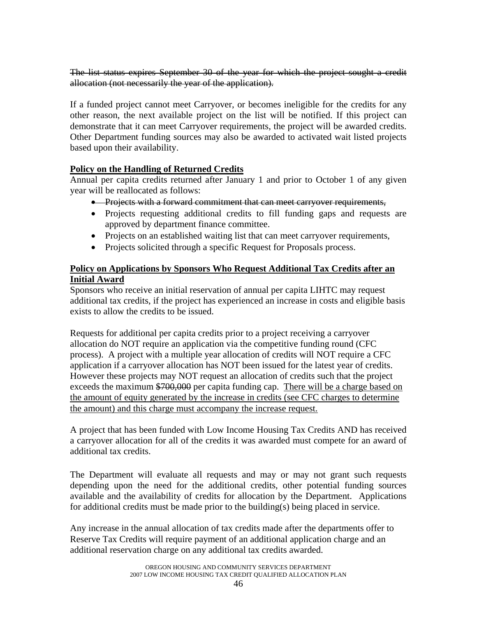The list status expires September 30 of the year for which the project sought a credit allocation (not necessarily the year of the application).

If a funded project cannot meet Carryover, or becomes ineligible for the credits for any other reason, the next available project on the list will be notified. If this project can demonstrate that it can meet Carryover requirements, the project will be awarded credits. Other Department funding sources may also be awarded to activated wait listed projects based upon their availability.

## **Policy on the Handling of Returned Credits**

Annual per capita credits returned after January 1 and prior to October 1 of any given year will be reallocated as follows:

- Projects with a forward commitment that can meet carryover requirements,
- Projects requesting additional credits to fill funding gaps and requests are approved by department finance committee.
- Projects on an established waiting list that can meet carryover requirements,
- Projects solicited through a specific Request for Proposals process.

## **Policy on Applications by Sponsors Who Request Additional Tax Credits after an Initial Award**

Sponsors who receive an initial reservation of annual per capita LIHTC may request additional tax credits, if the project has experienced an increase in costs and eligible basis exists to allow the credits to be issued.

Requests for additional per capita credits prior to a project receiving a carryover allocation do NOT require an application via the competitive funding round (CFC process). A project with a multiple year allocation of credits will NOT require a CFC application if a carryover allocation has NOT been issued for the latest year of credits. However these projects may NOT request an allocation of credits such that the project exceeds the maximum \$700,000 per capita funding cap. There will be a charge based on the amount of equity generated by the increase in credits (see CFC charges to determine the amount) and this charge must accompany the increase request.

A project that has been funded with Low Income Housing Tax Credits AND has received a carryover allocation for all of the credits it was awarded must compete for an award of additional tax credits.

The Department will evaluate all requests and may or may not grant such requests depending upon the need for the additional credits, other potential funding sources available and the availability of credits for allocation by the Department. Applications for additional credits must be made prior to the building(s) being placed in service.

Any increase in the annual allocation of tax credits made after the departments offer to Reserve Tax Credits will require payment of an additional application charge and an additional reservation charge on any additional tax credits awarded.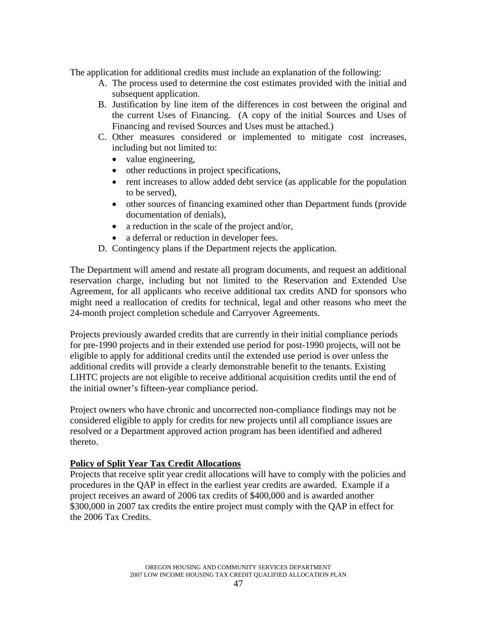The application for additional credits must include an explanation of the following:

- A. The process used to determine the cost estimates provided with the initial and subsequent application.
- B. Justification by line item of the differences in cost between the original and the current Uses of Financing. (A copy of the initial Sources and Uses of Financing and revised Sources and Uses must be attached.)
- C. Other measures considered or implemented to mitigate cost increases, including but not limited to:
	- value engineering,
	- other reductions in project specifications,
	- rent increases to allow added debt service (as applicable for the population to be served),
	- other sources of financing examined other than Department funds (provide documentation of denials),
	- a reduction in the scale of the project and/or,
	- a deferral or reduction in developer fees.
- D. Contingency plans if the Department rejects the application.

The Department will amend and restate all program documents, and request an additional reservation charge, including but not limited to the Reservation and Extended Use Agreement, for all applicants who receive additional tax credits AND for sponsors who might need a reallocation of credits for technical, legal and other reasons who meet the 24-month project completion schedule and Carryover Agreements.

Projects previously awarded credits that are currently in their initial compliance periods for pre-1990 projects and in their extended use period for post-1990 projects, will not be eligible to apply for additional credits until the extended use period is over unless the additional credits will provide a clearly demonstrable benefit to the tenants. Existing LIHTC projects are not eligible to receive additional acquisition credits until the end of the initial owner's fifteen-year compliance period.

Project owners who have chronic and uncorrected non-compliance findings may not be considered eligible to apply for credits for new projects until all compliance issues are resolved or a Department approved action program has been identified and adhered thereto.

## **Policy of Split Year Tax Credit Allocations**

Projects that receive split year credit allocations will have to comply with the policies and procedures in the QAP in effect in the earliest year credits are awarded. Example if a project receives an award of 2006 tax credits of \$400,000 and is awarded another \$300,000 in 2007 tax credits the entire project must comply with the QAP in effect for the 2006 Tax Credits.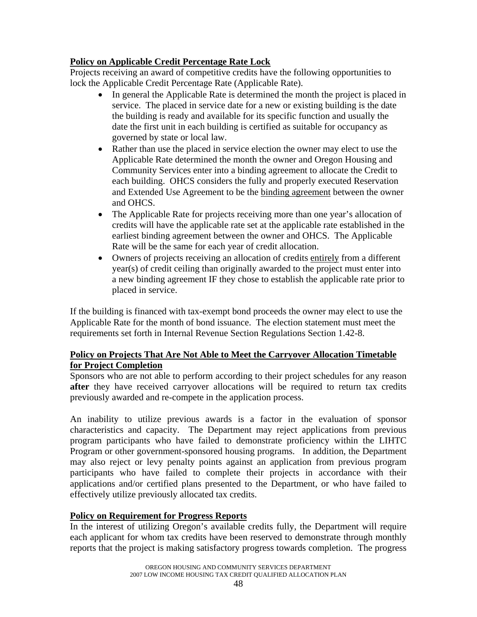# **Policy on Applicable Credit Percentage Rate Lock**

Projects receiving an award of competitive credits have the following opportunities to lock the Applicable Credit Percentage Rate (Applicable Rate).

- In general the Applicable Rate is determined the month the project is placed in service. The placed in service date for a new or existing building is the date the building is ready and available for its specific function and usually the date the first unit in each building is certified as suitable for occupancy as governed by state or local law.
- Rather than use the placed in service election the owner may elect to use the Applicable Rate determined the month the owner and Oregon Housing and Community Services enter into a binding agreement to allocate the Credit to each building. OHCS considers the fully and properly executed Reservation and Extended Use Agreement to be the binding agreement between the owner and OHCS.
- The Applicable Rate for projects receiving more than one year's allocation of credits will have the applicable rate set at the applicable rate established in the earliest binding agreement between the owner and OHCS. The Applicable Rate will be the same for each year of credit allocation.
- Owners of projects receiving an allocation of credits entirely from a different year(s) of credit ceiling than originally awarded to the project must enter into a new binding agreement IF they chose to establish the applicable rate prior to placed in service.

If the building is financed with tax-exempt bond proceeds the owner may elect to use the Applicable Rate for the month of bond issuance. The election statement must meet the requirements set forth in Internal Revenue Section Regulations Section 1.42-8.

## **Policy on Projects That Are Not Able to Meet the Carryover Allocation Timetable for Project Completion**

Sponsors who are not able to perform according to their project schedules for any reason **after** they have received carryover allocations will be required to return tax credits previously awarded and re-compete in the application process.

An inability to utilize previous awards is a factor in the evaluation of sponsor characteristics and capacity. The Department may reject applications from previous program participants who have failed to demonstrate proficiency within the LIHTC Program or other government-sponsored housing programs. In addition, the Department may also reject or levy penalty points against an application from previous program participants who have failed to complete their projects in accordance with their applications and/or certified plans presented to the Department, or who have failed to effectively utilize previously allocated tax credits.

## **Policy on Requirement for Progress Reports**

In the interest of utilizing Oregon's available credits fully, the Department will require each applicant for whom tax credits have been reserved to demonstrate through monthly reports that the project is making satisfactory progress towards completion. The progress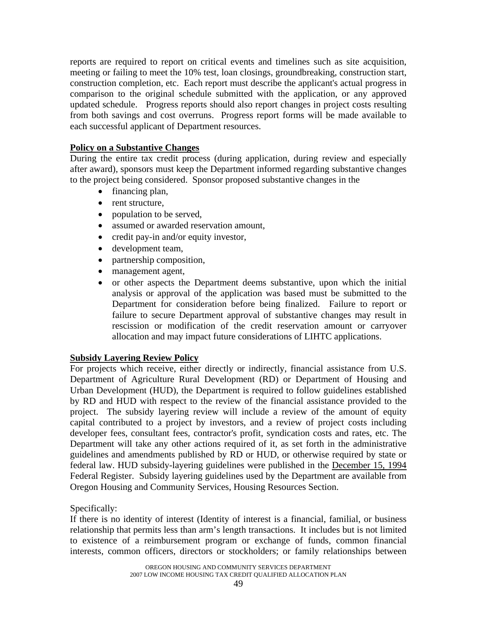reports are required to report on critical events and timelines such as site acquisition, meeting or failing to meet the 10% test, loan closings, groundbreaking, construction start, construction completion, etc. Each report must describe the applicant's actual progress in comparison to the original schedule submitted with the application, or any approved updated schedule. Progress reports should also report changes in project costs resulting from both savings and cost overruns. Progress report forms will be made available to each successful applicant of Department resources.

### **Policy on a Substantive Changes**

During the entire tax credit process (during application, during review and especially after award), sponsors must keep the Department informed regarding substantive changes to the project being considered. Sponsor proposed substantive changes in the

- financing plan,
- rent structure,
- population to be served,
- assumed or awarded reservation amount,
- credit pay-in and/or equity investor,
- development team,
- partnership composition,
- management agent,
- or other aspects the Department deems substantive, upon which the initial analysis or approval of the application was based must be submitted to the Department for consideration before being finalized. Failure to report or failure to secure Department approval of substantive changes may result in rescission or modification of the credit reservation amount or carryover allocation and may impact future considerations of LIHTC applications.

### **Subsidy Layering Review Policy**

For projects which receive, either directly or indirectly, financial assistance from U.S. Department of Agriculture Rural Development (RD) or Department of Housing and Urban Development (HUD), the Department is required to follow guidelines established by RD and HUD with respect to the review of the financial assistance provided to the project. The subsidy layering review will include a review of the amount of equity capital contributed to a project by investors, and a review of project costs including developer fees, consultant fees, contractor's profit, syndication costs and rates, etc. The Department will take any other actions required of it, as set forth in the administrative guidelines and amendments published by RD or HUD, or otherwise required by state or federal law. HUD subsidy-layering guidelines were published in the December 15, 1994 Federal Register. Subsidy layering guidelines used by the Department are available from Oregon Housing and Community Services, Housing Resources Section.

Specifically:

If there is no identity of interest (Identity of interest is a financial, familial, or business relationship that permits less than arm's length transactions. It includes but is not limited to existence of a reimbursement program or exchange of funds, common financial interests, common officers, directors or stockholders; or family relationships between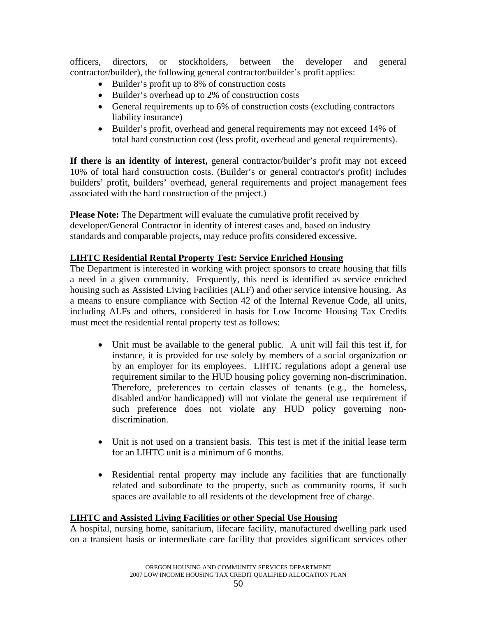officers, directors, or stockholders, between the developer and general contractor/builder), the following general contractor/builder's profit applies:

- Builder's profit up to 8% of construction costs
- Builder's overhead up to 2% of construction costs
- General requirements up to 6% of construction costs (excluding contractors liability insurance)
- Builder's profit, overhead and general requirements may not exceed 14% of total hard construction cost (less profit, overhead and general requirements).

**If there is an identity of interest,** general contractor/builder's profit may not exceed 10% of total hard construction costs. (Builder's or general contractor's profit) includes builders' profit, builders' overhead, general requirements and project management fees associated with the hard construction of the project.)

**Please Note:** The Department will evaluate the cumulative profit received by developer/General Contractor in identity of interest cases and, based on industry standards and comparable projects, may reduce profits considered excessive.

## **LIHTC Residential Rental Property Test: Service Enriched Housing**

The Department is interested in working with project sponsors to create housing that fills a need in a given community. Frequently, this need is identified as service enriched housing such as Assisted Living Facilities (ALF) and other service intensive housing. As a means to ensure compliance with Section 42 of the Internal Revenue Code, all units, including ALFs and others, considered in basis for Low Income Housing Tax Credits must meet the residential rental property test as follows:

- Unit must be available to the general public. A unit will fail this test if, for instance, it is provided for use solely by members of a social organization or by an employer for its employees. LIHTC regulations adopt a general use requirement similar to the HUD housing policy governing non-discrimination. Therefore, preferences to certain classes of tenants (e.g., the homeless, disabled and/or handicapped) will not violate the general use requirement if such preference does not violate any HUD policy governing nondiscrimination.
- Unit is not used on a transient basis. This test is met if the initial lease term for an LIHTC unit is a minimum of 6 months.
- Residential rental property may include any facilities that are functionally related and subordinate to the property, such as community rooms, if such spaces are available to all residents of the development free of charge.

### **LIHTC and Assisted Living Facilities or other Special Use Housing**

A hospital, nursing home, sanitarium, lifecare facility, manufactured dwelling park used on a transient basis or intermediate care facility that provides significant services other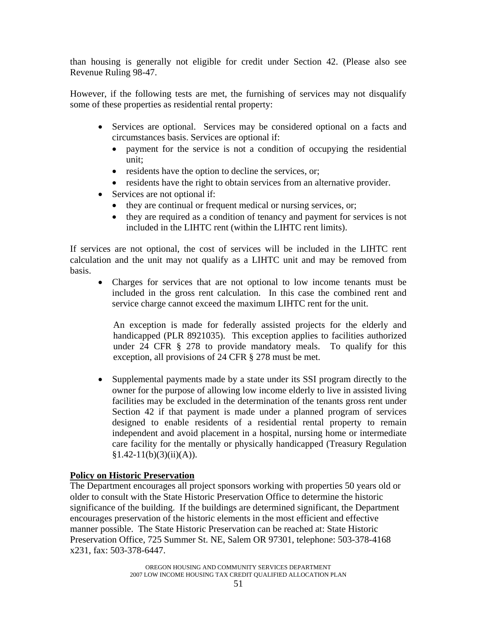than housing is generally not eligible for credit under Section 42. (Please also see Revenue Ruling 98-47.

However, if the following tests are met, the furnishing of services may not disqualify some of these properties as residential rental property:

- Services are optional. Services may be considered optional on a facts and circumstances basis. Services are optional if:
	- payment for the service is not a condition of occupying the residential unit;
	- residents have the option to decline the services, or;
	- residents have the right to obtain services from an alternative provider.
- Services are not optional if:
	- they are continual or frequent medical or nursing services, or;
	- they are required as a condition of tenancy and payment for services is not included in the LIHTC rent (within the LIHTC rent limits).

If services are not optional, the cost of services will be included in the LIHTC rent calculation and the unit may not qualify as a LIHTC unit and may be removed from basis.

• Charges for services that are not optional to low income tenants must be included in the gross rent calculation. In this case the combined rent and service charge cannot exceed the maximum LIHTC rent for the unit.

An exception is made for federally assisted projects for the elderly and handicapped (PLR 8921035). This exception applies to facilities authorized under 24 CFR § 278 to provide mandatory meals. To qualify for this exception, all provisions of 24 CFR § 278 must be met.

• Supplemental payments made by a state under its SSI program directly to the owner for the purpose of allowing low income elderly to live in assisted living facilities may be excluded in the determination of the tenants gross rent under Section 42 if that payment is made under a planned program of services designed to enable residents of a residential rental property to remain independent and avoid placement in a hospital, nursing home or intermediate care facility for the mentally or physically handicapped (Treasury Regulation  $§1.42-11(b)(3)(ii)(A)).$ 

## **Policy on Historic Preservation**

The Department encourages all project sponsors working with properties 50 years old or older to consult with the State Historic Preservation Office to determine the historic significance of the building. If the buildings are determined significant, the Department encourages preservation of the historic elements in the most efficient and effective manner possible. The State Historic Preservation can be reached at: State Historic Preservation Office, 725 Summer St. NE, Salem OR 97301, telephone: 503-378-4168 x231, fax: 503-378-6447.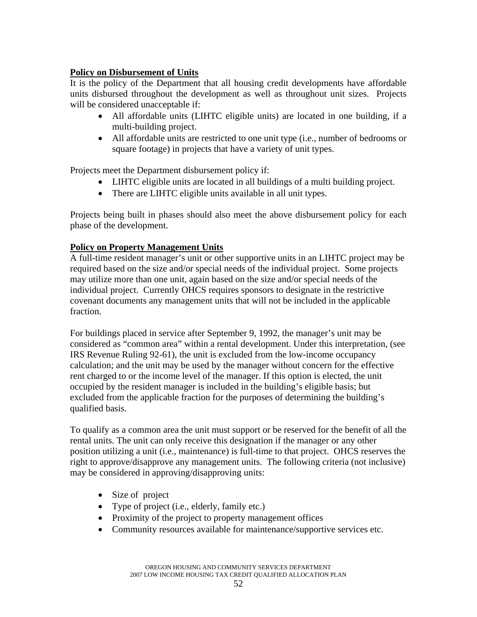## **Policy on Disbursement of Units**

It is the policy of the Department that all housing credit developments have affordable units disbursed throughout the development as well as throughout unit sizes. Projects will be considered unacceptable if:

- All affordable units (LIHTC eligible units) are located in one building, if a multi-building project.
- All affordable units are restricted to one unit type (i.e., number of bedrooms or square footage) in projects that have a variety of unit types.

Projects meet the Department disbursement policy if:

- LIHTC eligible units are located in all buildings of a multi building project.
- There are LIHTC eligible units available in all unit types.

Projects being built in phases should also meet the above disbursement policy for each phase of the development.

## **Policy on Property Management Units**

A full-time resident manager's unit or other supportive units in an LIHTC project may be required based on the size and/or special needs of the individual project. Some projects may utilize more than one unit, again based on the size and/or special needs of the individual project. Currently OHCS requires sponsors to designate in the restrictive covenant documents any management units that will not be included in the applicable fraction.

For buildings placed in service after September 9, 1992, the manager's unit may be considered as "common area" within a rental development. Under this interpretation, (see IRS Revenue Ruling 92-61), the unit is excluded from the low-income occupancy calculation; and the unit may be used by the manager without concern for the effective rent charged to or the income level of the manager. If this option is elected, the unit occupied by the resident manager is included in the building's eligible basis; but excluded from the applicable fraction for the purposes of determining the building's qualified basis.

To qualify as a common area the unit must support or be reserved for the benefit of all the rental units. The unit can only receive this designation if the manager or any other position utilizing a unit (i.e., maintenance) is full-time to that project. OHCS reserves the right to approve/disapprove any management units. The following criteria (not inclusive) may be considered in approving/disapproving units:

- Size of project
- Type of project (i.e., elderly, family etc.)
- Proximity of the project to property management offices
- Community resources available for maintenance/supportive services etc.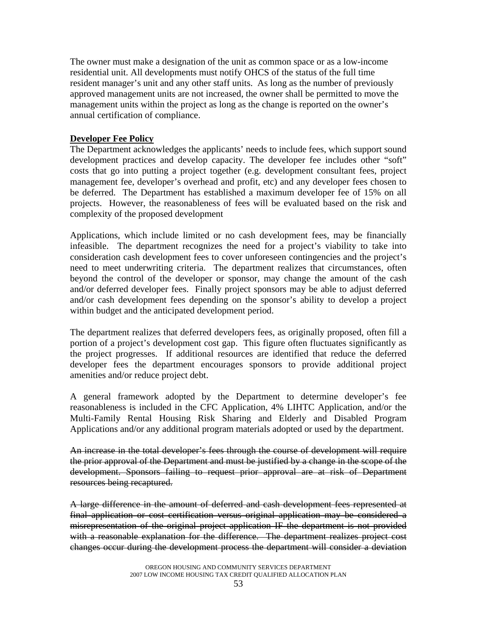The owner must make a designation of the unit as common space or as a low-income residential unit. All developments must notify OHCS of the status of the full time resident manager's unit and any other staff units. As long as the number of previously approved management units are not increased, the owner shall be permitted to move the management units within the project as long as the change is reported on the owner's annual certification of compliance.

### **Developer Fee Policy**

The Department acknowledges the applicants' needs to include fees, which support sound development practices and develop capacity. The developer fee includes other "soft" costs that go into putting a project together (e.g. development consultant fees, project management fee, developer's overhead and profit, etc) and any developer fees chosen to be deferred. The Department has established a maximum developer fee of 15% on all projects. However, the reasonableness of fees will be evaluated based on the risk and complexity of the proposed development

Applications, which include limited or no cash development fees, may be financially infeasible. The department recognizes the need for a project's viability to take into consideration cash development fees to cover unforeseen contingencies and the project's need to meet underwriting criteria. The department realizes that circumstances, often beyond the control of the developer or sponsor, may change the amount of the cash and/or deferred developer fees. Finally project sponsors may be able to adjust deferred and/or cash development fees depending on the sponsor's ability to develop a project within budget and the anticipated development period.

The department realizes that deferred developers fees, as originally proposed, often fill a portion of a project's development cost gap. This figure often fluctuates significantly as the project progresses. If additional resources are identified that reduce the deferred developer fees the department encourages sponsors to provide additional project amenities and/or reduce project debt.

A general framework adopted by the Department to determine developer's fee reasonableness is included in the CFC Application, 4% LIHTC Application, and/or the Multi-Family Rental Housing Risk Sharing and Elderly and Disabled Program Applications and/or any additional program materials adopted or used by the department.

An increase in the total developer's fees through the course of development will require the prior approval of the Department and must be justified by a change in the scope of the development. Sponsors failing to request prior approval are at risk of Department resources being recaptured.

A large difference in the amount of deferred and cash development fees represented at final application or cost certification versus original application may be considered a misrepresentation of the original project application IF the department is not provided with a reasonable explanation for the difference. The department realizes project cost changes occur during the development process the department will consider a deviation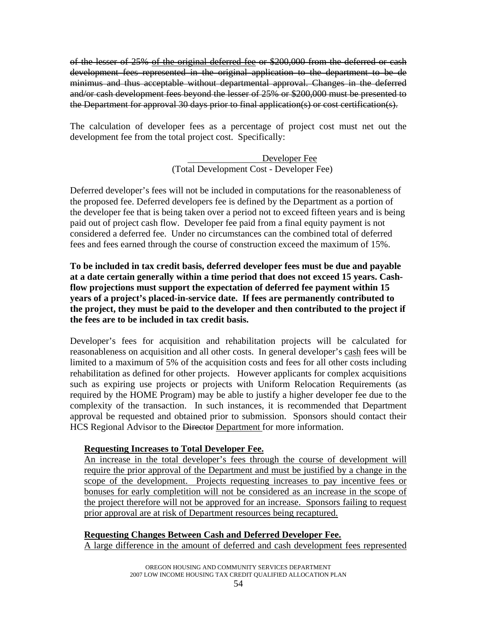of the lesser of 25% of the original deferred fee or \$200,000 from the deferred or cash development fees represented in the original application to the department to be de minimus and thus acceptable without departmental approval. Changes in the deferred and/or cash development fees beyond the lesser of 25% or \$200,000 must be presented to the Department for approval 30 days prior to final application(s) or cost certification(s).

The calculation of developer fees as a percentage of project cost must net out the development fee from the total project cost. Specifically:

> Developer Fee (Total Development Cost - Developer Fee)

Deferred developer's fees will not be included in computations for the reasonableness of the proposed fee. Deferred developers fee is defined by the Department as a portion of the developer fee that is being taken over a period not to exceed fifteen years and is being paid out of project cash flow. Developer fee paid from a final equity payment is not considered a deferred fee. Under no circumstances can the combined total of deferred fees and fees earned through the course of construction exceed the maximum of 15%.

**To be included in tax credit basis, deferred developer fees must be due and payable at a date certain generally within a time period that does not exceed 15 years. Cashflow projections must support the expectation of deferred fee payment within 15 years of a project's placed-in-service date. If fees are permanently contributed to the project, they must be paid to the developer and then contributed to the project if the fees are to be included in tax credit basis.** 

Developer's fees for acquisition and rehabilitation projects will be calculated for reasonableness on acquisition and all other costs. In general developer's cash fees will be limited to a maximum of 5% of the acquisition costs and fees for all other costs including rehabilitation as defined for other projects. However applicants for complex acquisitions such as expiring use projects or projects with Uniform Relocation Requirements (as required by the HOME Program) may be able to justify a higher developer fee due to the complexity of the transaction. In such instances, it is recommended that Department approval be requested and obtained prior to submission. Sponsors should contact their HCS Regional Advisor to the Director Department for more information.

## **Requesting Increases to Total Developer Fee.**

An increase in the total developer's fees through the course of development will require the prior approval of the Department and must be justified by a change in the scope of the development. Projects requesting increases to pay incentive fees or bonuses for early completition will not be considered as an increase in the scope of the project therefore will not be approved for an increase. Sponsors failing to request prior approval are at risk of Department resources being recaptured.

### **Requesting Changes Between Cash and Deferred Developer Fee.**

A large difference in the amount of deferred and cash development fees represented

OREGON HOUSING AND COMMUNITY SERVICES DEPARTMENT 2007 LOW INCOME HOUSING TAX CREDIT QUALIFIED ALLOCATION PLAN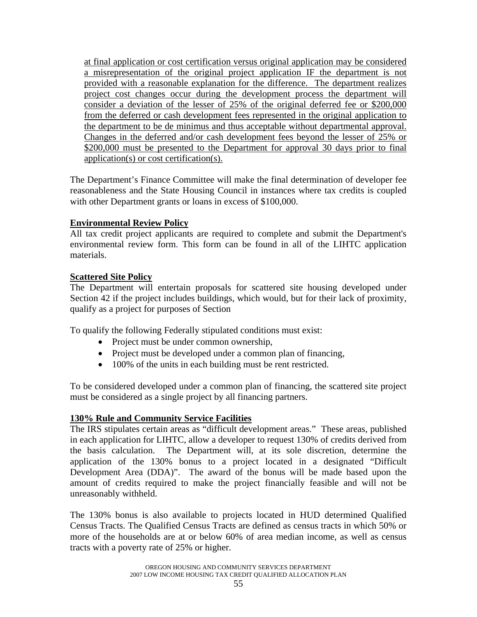at final application or cost certification versus original application may be considered a misrepresentation of the original project application IF the department is not provided with a reasonable explanation for the difference. The department realizes project cost changes occur during the development process the department will consider a deviation of the lesser of 25% of the original deferred fee or \$200,000 from the deferred or cash development fees represented in the original application to the department to be de minimus and thus acceptable without departmental approval. Changes in the deferred and/or cash development fees beyond the lesser of 25% or \$200,000 must be presented to the Department for approval 30 days prior to final application(s) or cost certification(s).

The Department's Finance Committee will make the final determination of developer fee reasonableness and the State Housing Council in instances where tax credits is coupled with other Department grants or loans in excess of \$100,000.

## **Environmental Review Policy**

All tax credit project applicants are required to complete and submit the Department's environmental review form. This form can be found in all of the LIHTC application materials.

## **Scattered Site Policy**

The Department will entertain proposals for scattered site housing developed under Section 42 if the project includes buildings, which would, but for their lack of proximity, qualify as a project for purposes of Section

To qualify the following Federally stipulated conditions must exist:

- Project must be under common ownership,
- Project must be developed under a common plan of financing,
- 100% of the units in each building must be rent restricted.

To be considered developed under a common plan of financing, the scattered site project must be considered as a single project by all financing partners.

## **130% Rule and Community Service Facilities**

The IRS stipulates certain areas as "difficult development areas." These areas, published in each application for LIHTC, allow a developer to request 130% of credits derived from the basis calculation. The Department will, at its sole discretion, determine the application of the 130% bonus to a project located in a designated "Difficult Development Area (DDA)". The award of the bonus will be made based upon the amount of credits required to make the project financially feasible and will not be unreasonably withheld.

The 130% bonus is also available to projects located in HUD determined Qualified Census Tracts. The Qualified Census Tracts are defined as census tracts in which 50% or more of the households are at or below 60% of area median income, as well as census tracts with a poverty rate of 25% or higher.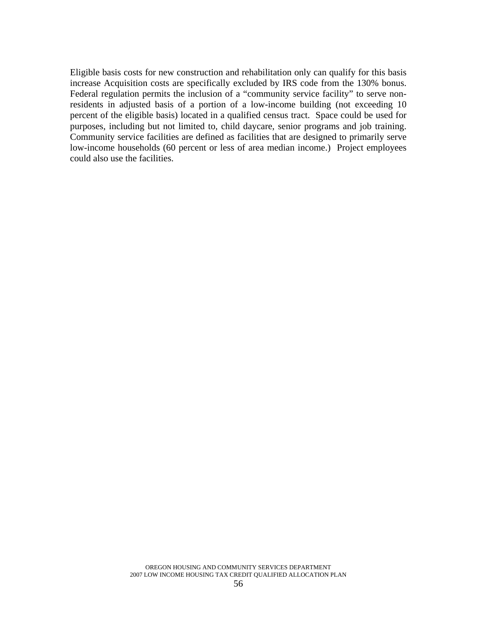Eligible basis costs for new construction and rehabilitation only can qualify for this basis increase Acquisition costs are specifically excluded by IRS code from the 130% bonus. Federal regulation permits the inclusion of a "community service facility" to serve nonresidents in adjusted basis of a portion of a low-income building (not exceeding 10 percent of the eligible basis) located in a qualified census tract. Space could be used for purposes, including but not limited to, child daycare, senior programs and job training. Community service facilities are defined as facilities that are designed to primarily serve low-income households (60 percent or less of area median income.) Project employees could also use the facilities.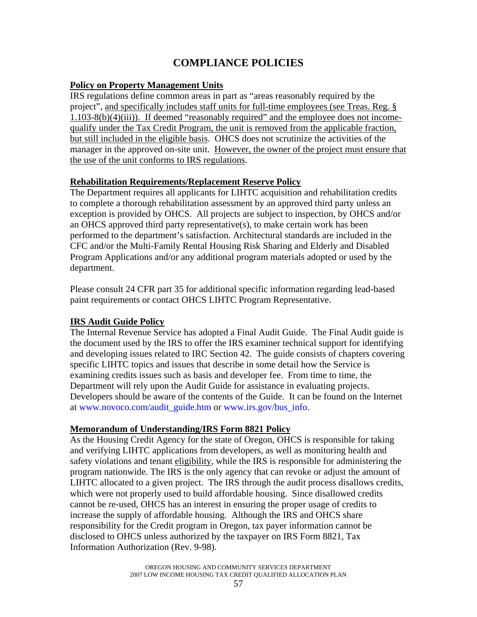# **COMPLIANCE POLICIES**

### **Policy on Property Management Units**

IRS regulations define common areas in part as "areas reasonably required by the project", and specifically includes staff units for full-time employees (see Treas. Reg. § 1.103-8(b)(4)(iii)). If deemed "reasonably required" and the employee does not incomequalify under the Tax Credit Program, the unit is removed from the applicable fraction, but still included in the eligible basis. OHCS does not scrutinize the activities of the manager in the approved on-site unit. However, the owner of the project must ensure that the use of the unit conforms to IRS regulations.

### **Rehabilitation Requirements/Replacement Reserve Policy**

The Department requires all applicants for LIHTC acquisition and rehabilitation credits to complete a thorough rehabilitation assessment by an approved third party unless an exception is provided by OHCS. All projects are subject to inspection, by OHCS and/or an OHCS approved third party representative(s), to make certain work has been performed to the department's satisfaction. Architectural standards are included in the CFC and/or the Multi-Family Rental Housing Risk Sharing and Elderly and Disabled Program Applications and/or any additional program materials adopted or used by the department.

Please consult 24 CFR part 35 for additional specific information regarding lead-based paint requirements or contact OHCS LIHTC Program Representative.

### **IRS Audit Guide Policy**

The Internal Revenue Service has adopted a Final Audit Guide. The Final Audit guide is the document used by the IRS to offer the IRS examiner technical support for identifying and developing issues related to IRC Section 42. The guide consists of chapters covering specific LIHTC topics and issues that describe in some detail how the Service is examining credits issues such as basis and developer fee. From time to time, the Department will rely upon the Audit Guide for assistance in evaluating projects. Developers should be aware of the contents of the Guide. It can be found on the Internet at www.novoco.com/audit\_guide.htm or www.irs.gov/bus\_info.

### **Memorandum of Understanding/IRS Form 8821 Policy**

As the Housing Credit Agency for the state of Oregon, OHCS is responsible for taking and verifying LIHTC applications from developers, as well as monitoring health and safety violations and tenant eligibility, while the IRS is responsible for administering the program nationwide. The IRS is the only agency that can revoke or adjust the amount of LIHTC allocated to a given project. The IRS through the audit process disallows credits, which were not properly used to build affordable housing. Since disallowed credits cannot be re-used, OHCS has an interest in ensuring the proper usage of credits to increase the supply of affordable housing. Although the IRS and OHCS share responsibility for the Credit program in Oregon, tax payer information cannot be disclosed to OHCS unless authorized by the taxpayer on IRS Form 8821, Tax Information Authorization (Rev. 9-98).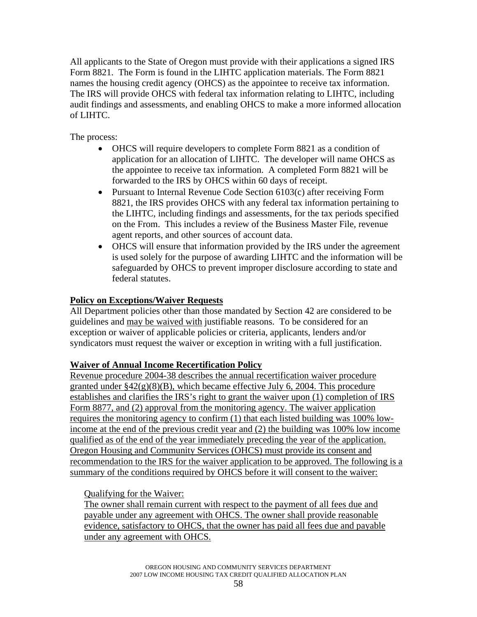All applicants to the State of Oregon must provide with their applications a signed IRS Form 8821. The Form is found in the LIHTC application materials. The Form 8821 names the housing credit agency (OHCS) as the appointee to receive tax information. The IRS will provide OHCS with federal tax information relating to LIHTC, including audit findings and assessments, and enabling OHCS to make a more informed allocation of LIHTC.

The process:

- OHCS will require developers to complete Form 8821 as a condition of application for an allocation of LIHTC. The developer will name OHCS as the appointee to receive tax information. A completed Form 8821 will be forwarded to the IRS by OHCS within 60 days of receipt.
- Pursuant to Internal Revenue Code Section 6103(c) after receiving Form 8821, the IRS provides OHCS with any federal tax information pertaining to the LIHTC, including findings and assessments, for the tax periods specified on the From. This includes a review of the Business Master File, revenue agent reports, and other sources of account data.
- OHCS will ensure that information provided by the IRS under the agreement is used solely for the purpose of awarding LIHTC and the information will be safeguarded by OHCS to prevent improper disclosure according to state and federal statutes.

## **Policy on Exceptions/Waiver Requests**

All Department policies other than those mandated by Section 42 are considered to be guidelines and may be waived with justifiable reasons. To be considered for an exception or waiver of applicable policies or criteria, applicants, lenders and/or syndicators must request the waiver or exception in writing with a full justification.

## **Waiver of Annual Income Recertification Policy**

Revenue procedure 2004-38 describes the annual recertification waiver procedure granted under  $\S42(g)(8)(B)$ , which became effective July 6, 2004. This procedure establishes and clarifies the IRS's right to grant the waiver upon (1) completion of IRS Form 8877, and (2) approval from the monitoring agency. The waiver application requires the monitoring agency to confirm (1) that each listed building was 100% lowincome at the end of the previous credit year and (2) the building was 100% low income qualified as of the end of the year immediately preceding the year of the application. Oregon Housing and Community Services (OHCS) must provide its consent and recommendation to the IRS for the waiver application to be approved. The following is a summary of the conditions required by OHCS before it will consent to the waiver:

## Qualifying for the Waiver:

The owner shall remain current with respect to the payment of all fees due and payable under any agreement with OHCS. The owner shall provide reasonable evidence, satisfactory to OHCS, that the owner has paid all fees due and payable under any agreement with OHCS.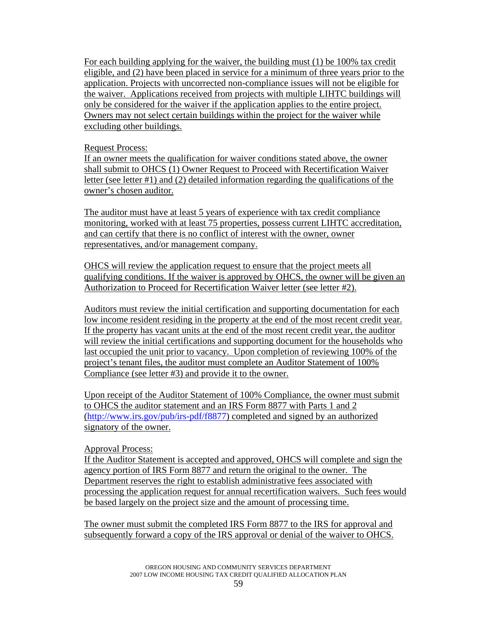For each building applying for the waiver, the building must (1) be 100% tax credit eligible, and (2) have been placed in service for a minimum of three years prior to the application. Projects with uncorrected non-compliance issues will not be eligible for the waiver. Applications received from projects with multiple LIHTC buildings will only be considered for the waiver if the application applies to the entire project. Owners may not select certain buildings within the project for the waiver while excluding other buildings.

### Request Process:

If an owner meets the qualification for waiver conditions stated above, the owner shall submit to OHCS (1) Owner Request to Proceed with Recertification Waiver letter (see letter #1) and (2) detailed information regarding the qualifications of the owner's chosen auditor.

The auditor must have at least 5 years of experience with tax credit compliance monitoring, worked with at least 75 properties, possess current LIHTC accreditation, and can certify that there is no conflict of interest with the owner, owner representatives, and/or management company.

OHCS will review the application request to ensure that the project meets all qualifying conditions. If the waiver is approved by OHCS, the owner will be given an Authorization to Proceed for Recertification Waiver letter (see letter #2).

Auditors must review the initial certification and supporting documentation for each low income resident residing in the property at the end of the most recent credit year. If the property has vacant units at the end of the most recent credit year, the auditor will review the initial certifications and supporting document for the households who last occupied the unit prior to vacancy. Upon completion of reviewing 100% of the project's tenant files, the auditor must complete an Auditor Statement of 100% Compliance (see letter #3) and provide it to the owner.

Upon receipt of the Auditor Statement of 100% Compliance, the owner must submit to OHCS the auditor statement and an IRS Form 8877 with Parts 1 and 2 ([http://www.irs.gov/pub/irs-pdf/f8877\)](http://www.irs.gov/pub/irs-pdf/f8877) completed and signed by an authorized signatory of the owner.

### Approval Process:

If the Auditor Statement is accepted and approved, OHCS will complete and sign the agency portion of IRS Form 8877 and return the original to the owner. The Department reserves the right to establish administrative fees associated with processing the application request for annual recertification waivers. Such fees would be based largely on the project size and the amount of processing time.

The owner must submit the completed IRS Form 8877 to the IRS for approval and subsequently forward a copy of the IRS approval or denial of the waiver to OHCS.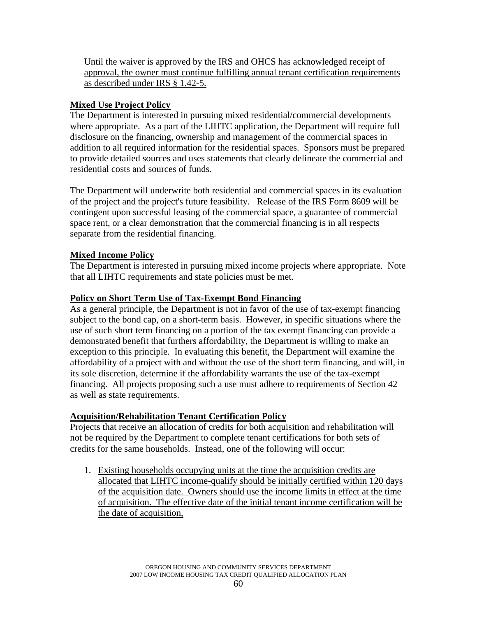Until the waiver is approved by the IRS and OHCS has acknowledged receipt of approval, the owner must continue fulfilling annual tenant certification requirements as described under IRS § 1.42-5.

# **Mixed Use Project Policy**

The Department is interested in pursuing mixed residential/commercial developments where appropriate. As a part of the LIHTC application, the Department will require full disclosure on the financing, ownership and management of the commercial spaces in addition to all required information for the residential spaces. Sponsors must be prepared to provide detailed sources and uses statements that clearly delineate the commercial and residential costs and sources of funds.

The Department will underwrite both residential and commercial spaces in its evaluation of the project and the project's future feasibility. Release of the IRS Form 8609 will be contingent upon successful leasing of the commercial space, a guarantee of commercial space rent, or a clear demonstration that the commercial financing is in all respects separate from the residential financing.

## **Mixed Income Policy**

The Department is interested in pursuing mixed income projects where appropriate. Note that all LIHTC requirements and state policies must be met.

## **Policy on Short Term Use of Tax-Exempt Bond Financing**

As a general principle, the Department is not in favor of the use of tax-exempt financing subject to the bond cap, on a short-term basis. However, in specific situations where the use of such short term financing on a portion of the tax exempt financing can provide a demonstrated benefit that furthers affordability, the Department is willing to make an exception to this principle. In evaluating this benefit, the Department will examine the affordability of a project with and without the use of the short term financing, and will, in its sole discretion, determine if the affordability warrants the use of the tax-exempt financing. All projects proposing such a use must adhere to requirements of Section 42 as well as state requirements.

## **Acquisition/Rehabilitation Tenant Certification Policy**

Projects that receive an allocation of credits for both acquisition and rehabilitation will not be required by the Department to complete tenant certifications for both sets of credits for the same households. Instead, one of the following will occur:

1. Existing households occupying units at the time the acquisition credits are allocated that LIHTC income-qualify should be initially certified within 120 days of the acquisition date. Owners should use the income limits in effect at the time of acquisition. The effective date of the initial tenant income certification will be the date of acquisition,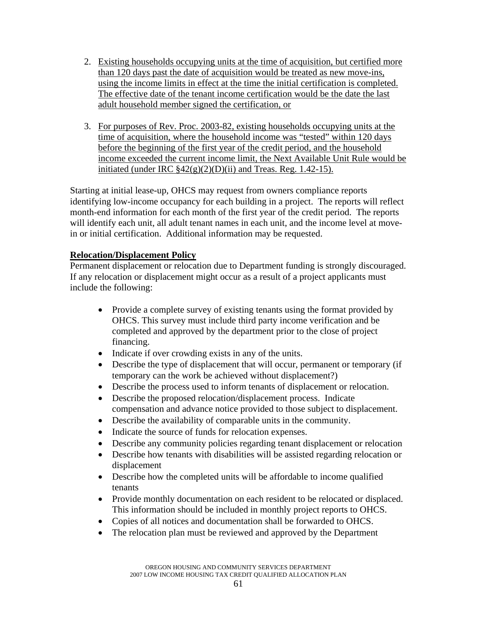- 2. Existing households occupying units at the time of acquisition, but certified more than 120 days past the date of acquisition would be treated as new move-ins, using the income limits in effect at the time the initial certification is completed. The effective date of the tenant income certification would be the date the last adult household member signed the certification, or
- 3. For purposes of Rev. Proc. 2003-82, existing households occupying units at the time of acquisition, where the household income was "tested" within 120 days before the beginning of the first year of the credit period, and the household income exceeded the current income limit, the Next Available Unit Rule would be initiated (under IRC  $\frac{842(g)(2)(D)(ii)}{2}$  and Treas. Reg. 1.42-15).

Starting at initial lease-up, OHCS may request from owners compliance reports identifying low-income occupancy for each building in a project. The reports will reflect month-end information for each month of the first year of the credit period. The reports will identify each unit, all adult tenant names in each unit, and the income level at movein or initial certification. Additional information may be requested.

## **Relocation/Displacement Policy**

Permanent displacement or relocation due to Department funding is strongly discouraged. If any relocation or displacement might occur as a result of a project applicants must include the following:

- Provide a complete survey of existing tenants using the format provided by OHCS. This survey must include third party income verification and be completed and approved by the department prior to the close of project financing.
- Indicate if over crowding exists in any of the units.
- Describe the type of displacement that will occur, permanent or temporary (if temporary can the work be achieved without displacement?)
- Describe the process used to inform tenants of displacement or relocation.
- Describe the proposed relocation/displacement process. Indicate compensation and advance notice provided to those subject to displacement.
- Describe the availability of comparable units in the community.
- Indicate the source of funds for relocation expenses.
- Describe any community policies regarding tenant displacement or relocation
- Describe how tenants with disabilities will be assisted regarding relocation or displacement
- Describe how the completed units will be affordable to income qualified tenants
- Provide monthly documentation on each resident to be relocated or displaced. This information should be included in monthly project reports to OHCS.
- Copies of all notices and documentation shall be forwarded to OHCS.
- The relocation plan must be reviewed and approved by the Department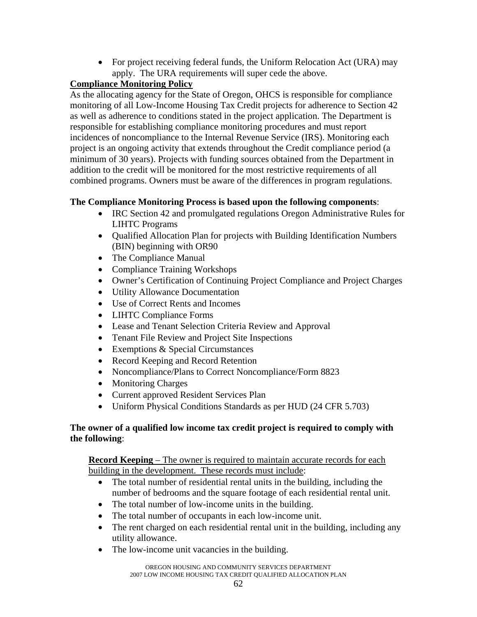• For project receiving federal funds, the Uniform Relocation Act (URA) may apply. The URA requirements will super cede the above.

# **Compliance Monitoring Policy**

As the allocating agency for the State of Oregon, OHCS is responsible for compliance monitoring of all Low-Income Housing Tax Credit projects for adherence to Section 42 as well as adherence to conditions stated in the project application. The Department is responsible for establishing compliance monitoring procedures and must report incidences of noncompliance to the Internal Revenue Service (IRS). Monitoring each project is an ongoing activity that extends throughout the Credit compliance period (a minimum of 30 years). Projects with funding sources obtained from the Department in addition to the credit will be monitored for the most restrictive requirements of all combined programs. Owners must be aware of the differences in program regulations.

# **The Compliance Monitoring Process is based upon the following components**:

- IRC Section 42 and promulgated regulations Oregon Administrative Rules for LIHTC Programs
- Qualified Allocation Plan for projects with Building Identification Numbers (BIN) beginning with OR90
- The Compliance Manual
- Compliance Training Workshops
- Owner's Certification of Continuing Project Compliance and Project Charges
- Utility Allowance Documentation
- Use of Correct Rents and Incomes
- LIHTC Compliance Forms
- Lease and Tenant Selection Criteria Review and Approval
- Tenant File Review and Project Site Inspections
- Exemptions & Special Circumstances
- Record Keeping and Record Retention
- Noncompliance/Plans to Correct Noncompliance/Form 8823
- Monitoring Charges
- Current approved Resident Services Plan
- Uniform Physical Conditions Standards as per HUD (24 CFR 5.703)

## **The owner of a qualified low income tax credit project is required to comply with the following**:

**Record Keeping** – The owner is required to maintain accurate records for each building in the development. These records must include:

- The total number of residential rental units in the building, including the number of bedrooms and the square footage of each residential rental unit.
- The total number of low-income units in the building.
- The total number of occupants in each low-income unit.
- The rent charged on each residential rental unit in the building, including any utility allowance.
- The low-income unit vacancies in the building.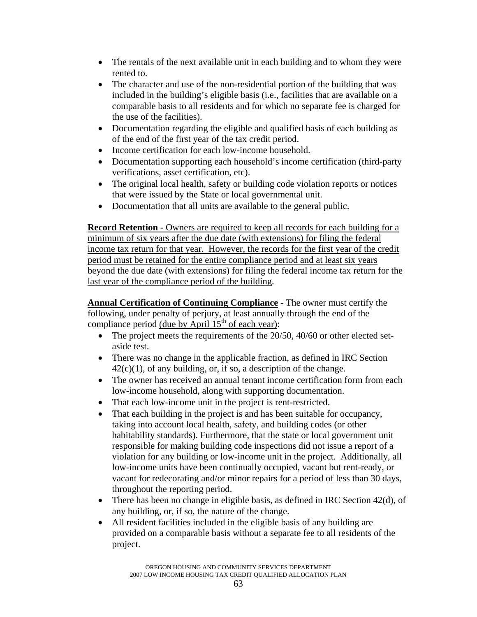- The rentals of the next available unit in each building and to whom they were rented to.
- The character and use of the non-residential portion of the building that was included in the building's eligible basis (i.e., facilities that are available on a comparable basis to all residents and for which no separate fee is charged for the use of the facilities).
- Documentation regarding the eligible and qualified basis of each building as of the end of the first year of the tax credit period.
- Income certification for each low-income household.
- Documentation supporting each household's income certification (third-party verifications, asset certification, etc).
- The original local health, safety or building code violation reports or notices that were issued by the State or local governmental unit.
- Documentation that all units are available to the general public.

**Record Retention** - Owners are required to keep all records for each building for a minimum of six years after the due date (with extensions) for filing the federal income tax return for that year. However, the records for the first year of the credit period must be retained for the entire compliance period and at least six years beyond the due date (with extensions) for filing the federal income tax return for the last year of the compliance period of the building.

**Annual Certification of Continuing Compliance** - The owner must certify the following, under penalty of perjury, at least annually through the end of the compliance period (due by April  $15<sup>th</sup>$  of each year):

- The project meets the requirements of the 20/50, 40/60 or other elected setaside test.
- There was no change in the applicable fraction, as defined in IRC Section  $42(c)(1)$ , of any building, or, if so, a description of the change.
- The owner has received an annual tenant income certification form from each low-income household, along with supporting documentation.
- That each low-income unit in the project is rent-restricted.
- That each building in the project is and has been suitable for occupancy, taking into account local health, safety, and building codes (or other habitability standards). Furthermore, that the state or local government unit responsible for making building code inspections did not issue a report of a violation for any building or low-income unit in the project. Additionally, all low-income units have been continually occupied, vacant but rent-ready, or vacant for redecorating and/or minor repairs for a period of less than 30 days, throughout the reporting period.
- There has been no change in eligible basis, as defined in IRC Section 42(d), of any building, or, if so, the nature of the change.
- All resident facilities included in the eligible basis of any building are provided on a comparable basis without a separate fee to all residents of the project.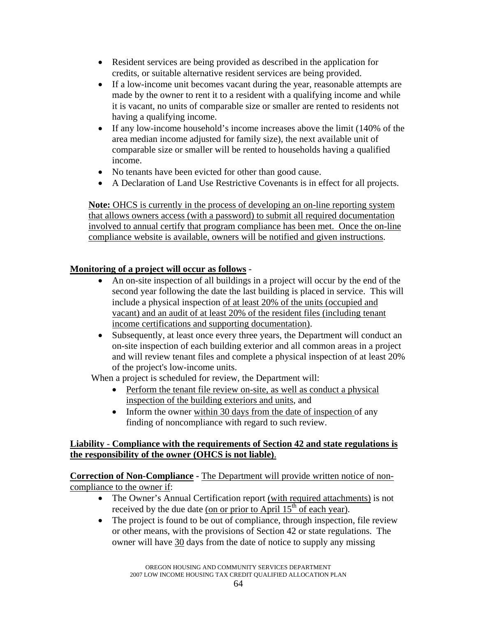- Resident services are being provided as described in the application for credits, or suitable alternative resident services are being provided.
- If a low-income unit becomes vacant during the year, reasonable attempts are made by the owner to rent it to a resident with a qualifying income and while it is vacant, no units of comparable size or smaller are rented to residents not having a qualifying income.
- If any low-income household's income increases above the limit (140% of the area median income adjusted for family size), the next available unit of comparable size or smaller will be rented to households having a qualified income.
- No tenants have been evicted for other than good cause.
- A Declaration of Land Use Restrictive Covenants is in effect for all projects.

**Note:** OHCS is currently in the process of developing an on-line reporting system that allows owners access (with a password) to submit all required documentation involved to annual certify that program compliance has been met. Once the on-line compliance website is available, owners will be notified and given instructions.

## **Monitoring of a project will occur as follows** -

- An on-site inspection of all buildings in a project will occur by the end of the second year following the date the last building is placed in service. This will include a physical inspection of at least 20% of the units (occupied and vacant) and an audit of at least 20% of the resident files (including tenant income certifications and supporting documentation).
- Subsequently, at least once every three years, the Department will conduct an on-site inspection of each building exterior and all common areas in a project and will review tenant files and complete a physical inspection of at least 20% of the project's low-income units.

When a project is scheduled for review, the Department will:

- Perform the tenant file review on-site, as well as conduct a physical inspection of the building exteriors and units, and
- Inform the owner within 30 days from the date of inspection of any finding of noncompliance with regard to such review.

## **Liability** - **Compliance with the requirements of Section 42 and state regulations is the responsibility of the owner (OHCS is not liable)**.

**Correction of Non-Compliance -** The Department will provide written notice of noncompliance to the owner if:

- The Owner's Annual Certification report (with required attachments) is not received by the due date (on or prior to April  $15<sup>th</sup>$  of each year).
- The project is found to be out of compliance, through inspection, file review or other means, with the provisions of Section 42 or state regulations. The owner will have 30 days from the date of notice to supply any missing

OREGON HOUSING AND COMMUNITY SERVICES DEPARTMENT 2007 LOW INCOME HOUSING TAX CREDIT QUALIFIED ALLOCATION PLAN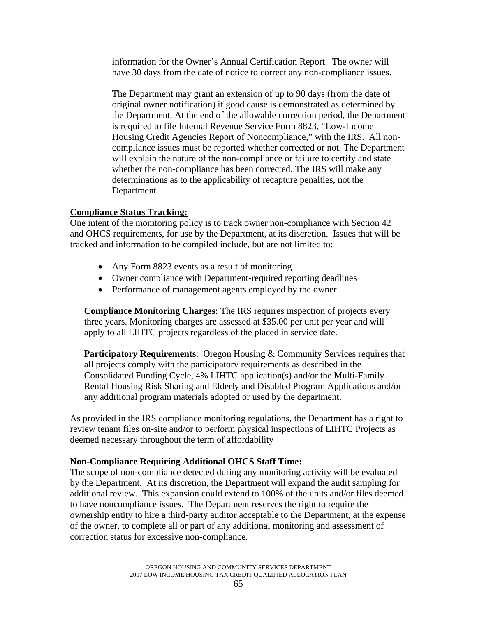information for the Owner's Annual Certification Report. The owner will have 30 days from the date of notice to correct any non-compliance issues.

The Department may grant an extension of up to 90 days (from the date of original owner notification) if good cause is demonstrated as determined by the Department. At the end of the allowable correction period, the Department is required to file Internal Revenue Service Form 8823, "Low-Income Housing Credit Agencies Report of Noncompliance," with the IRS. All noncompliance issues must be reported whether corrected or not. The Department will explain the nature of the non-compliance or failure to certify and state whether the non-compliance has been corrected. The IRS will make any determinations as to the applicability of recapture penalties, not the Department.

### **Compliance Status Tracking:**

One intent of the monitoring policy is to track owner non-compliance with Section 42 and OHCS requirements, for use by the Department, at its discretion. Issues that will be tracked and information to be compiled include, but are not limited to:

- Any Form 8823 events as a result of monitoring
- Owner compliance with Department-required reporting deadlines
- Performance of management agents employed by the owner

**Compliance Monitoring Charges**: The IRS requires inspection of projects every three years. Monitoring charges are assessed at \$35.00 per unit per year and will apply to all LIHTC projects regardless of the placed in service date.

**Participatory Requirements:** Oregon Housing & Community Services requires that all projects comply with the participatory requirements as described in the Consolidated Funding Cycle, 4% LIHTC application(s) and/or the Multi-Family Rental Housing Risk Sharing and Elderly and Disabled Program Applications and/or any additional program materials adopted or used by the department.

As provided in the IRS compliance monitoring regulations, the Department has a right to review tenant files on-site and/or to perform physical inspections of LIHTC Projects as deemed necessary throughout the term of affordability

### **Non-Compliance Requiring Additional OHCS Staff Time:**

The scope of non-compliance detected during any monitoring activity will be evaluated by the Department. At its discretion, the Department will expand the audit sampling for additional review. This expansion could extend to 100% of the units and/or files deemed to have noncompliance issues. The Department reserves the right to require the ownership entity to hire a third-party auditor acceptable to the Department, at the expense of the owner, to complete all or part of any additional monitoring and assessment of correction status for excessive non-compliance.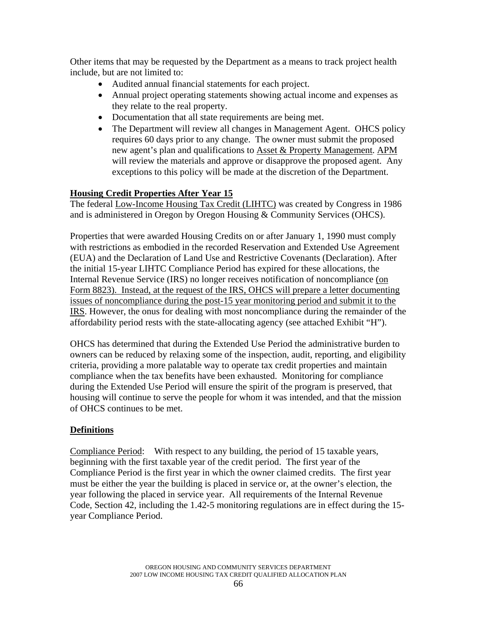Other items that may be requested by the Department as a means to track project health include, but are not limited to:

- Audited annual financial statements for each project.
- Annual project operating statements showing actual income and expenses as they relate to the real property.
- Documentation that all state requirements are being met.
- The Department will review all changes in Management Agent. OHCS policy requires 60 days prior to any change. The owner must submit the proposed new agent's plan and qualifications to Asset & Property Management. APM will review the materials and approve or disapprove the proposed agent. Any exceptions to this policy will be made at the discretion of the Department.

## **Housing Credit Properties After Year 15**

The federal Low-Income Housing Tax Credit (LIHTC) was created by Congress in 1986 and is administered in Oregon by Oregon Housing & Community Services (OHCS).

Properties that were awarded Housing Credits on or after January 1, 1990 must comply with restrictions as embodied in the recorded Reservation and Extended Use Agreement (EUA) and the Declaration of Land Use and Restrictive Covenants (Declaration). After the initial 15-year LIHTC Compliance Period has expired for these allocations, the Internal Revenue Service (IRS) no longer receives notification of noncompliance (on Form 8823). Instead, at the request of the IRS, OHCS will prepare a letter documenting issues of noncompliance during the post-15 year monitoring period and submit it to the IRS. However, the onus for dealing with most noncompliance during the remainder of the affordability period rests with the state-allocating agency (see attached Exhibit "H").

OHCS has determined that during the Extended Use Period the administrative burden to owners can be reduced by relaxing some of the inspection, audit, reporting, and eligibility criteria, providing a more palatable way to operate tax credit properties and maintain compliance when the tax benefits have been exhausted. Monitoring for compliance during the Extended Use Period will ensure the spirit of the program is preserved, that housing will continue to serve the people for whom it was intended, and that the mission of OHCS continues to be met.

## **Definitions**

Compliance Period: With respect to any building, the period of 15 taxable years, beginning with the first taxable year of the credit period. The first year of the Compliance Period is the first year in which the owner claimed credits. The first year must be either the year the building is placed in service or, at the owner's election, the year following the placed in service year. All requirements of the Internal Revenue Code, Section 42, including the 1.42-5 monitoring regulations are in effect during the 15 year Compliance Period.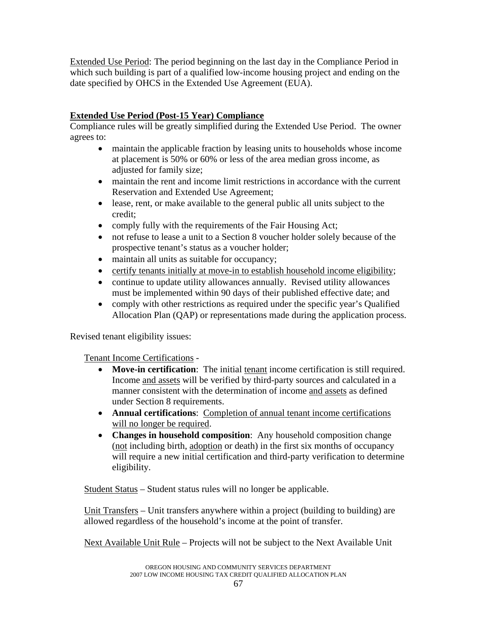Extended Use Period: The period beginning on the last day in the Compliance Period in which such building is part of a qualified low-income housing project and ending on the date specified by OHCS in the Extended Use Agreement (EUA).

# **Extended Use Period (Post-15 Year) Compliance**

Compliance rules will be greatly simplified during the Extended Use Period. The owner agrees to:

- maintain the applicable fraction by leasing units to households whose income at placement is 50% or 60% or less of the area median gross income, as adjusted for family size;
- maintain the rent and income limit restrictions in accordance with the current Reservation and Extended Use Agreement;
- lease, rent, or make available to the general public all units subject to the credit;
- comply fully with the requirements of the Fair Housing Act;
- not refuse to lease a unit to a Section 8 voucher holder solely because of the prospective tenant's status as a voucher holder;
- maintain all units as suitable for occupancy;
- certify tenants initially at move-in to establish household income eligibility;
- continue to update utility allowances annually. Revised utility allowances must be implemented within 90 days of their published effective date; and
- comply with other restrictions as required under the specific year's Qualified Allocation Plan (QAP) or representations made during the application process.

Revised tenant eligibility issues:

Tenant Income Certifications -

- **Move-in certification**: The initial tenant income certification is still required. Income and assets will be verified by third-party sources and calculated in a manner consistent with the determination of income and assets as defined under Section 8 requirements.
- **Annual certifications**: Completion of annual tenant income certifications will no longer be required.
- **Changes in household composition**: Any household composition change (not including birth, adoption or death) in the first six months of occupancy will require a new initial certification and third-party verification to determine eligibility.

Student Status – Student status rules will no longer be applicable.

 Unit Transfers – Unit transfers anywhere within a project (building to building) are allowed regardless of the household's income at the point of transfer.

Next Available Unit Rule – Projects will not be subject to the Next Available Unit

OREGON HOUSING AND COMMUNITY SERVICES DEPARTMENT 2007 LOW INCOME HOUSING TAX CREDIT QUALIFIED ALLOCATION PLAN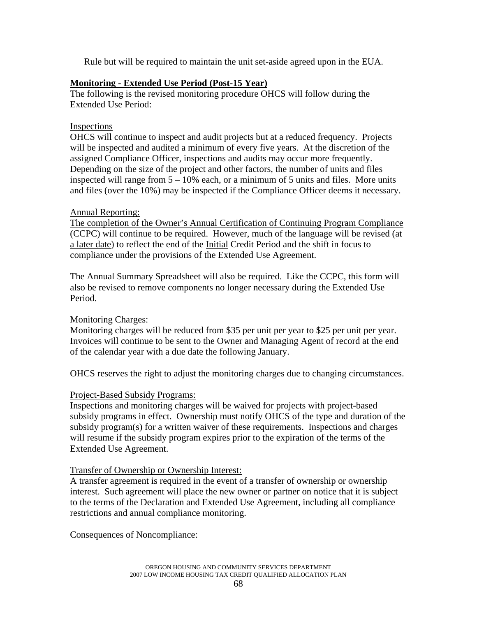Rule but will be required to maintain the unit set-aside agreed upon in the EUA.

### **Monitoring - Extended Use Period (Post-15 Year)**

The following is the revised monitoring procedure OHCS will follow during the Extended Use Period:

### **Inspections**

OHCS will continue to inspect and audit projects but at a reduced frequency. Projects will be inspected and audited a minimum of every five years. At the discretion of the assigned Compliance Officer, inspections and audits may occur more frequently. Depending on the size of the project and other factors, the number of units and files inspected will range from  $5 - 10\%$  each, or a minimum of 5 units and files. More units and files (over the 10%) may be inspected if the Compliance Officer deems it necessary.

### Annual Reporting:

The completion of the Owner's Annual Certification of Continuing Program Compliance (CCPC) will continue to be required. However, much of the language will be revised (at a later date) to reflect the end of the Initial Credit Period and the shift in focus to compliance under the provisions of the Extended Use Agreement.

The Annual Summary Spreadsheet will also be required. Like the CCPC, this form will also be revised to remove components no longer necessary during the Extended Use Period.

## Monitoring Charges:

Monitoring charges will be reduced from \$35 per unit per year to \$25 per unit per year. Invoices will continue to be sent to the Owner and Managing Agent of record at the end of the calendar year with a due date the following January.

OHCS reserves the right to adjust the monitoring charges due to changing circumstances.

### Project-Based Subsidy Programs:

Inspections and monitoring charges will be waived for projects with project-based subsidy programs in effect. Ownership must notify OHCS of the type and duration of the subsidy program(s) for a written waiver of these requirements. Inspections and charges will resume if the subsidy program expires prior to the expiration of the terms of the Extended Use Agreement.

### Transfer of Ownership or Ownership Interest:

A transfer agreement is required in the event of a transfer of ownership or ownership interest. Such agreement will place the new owner or partner on notice that it is subject to the terms of the Declaration and Extended Use Agreement, including all compliance restrictions and annual compliance monitoring.

Consequences of Noncompliance: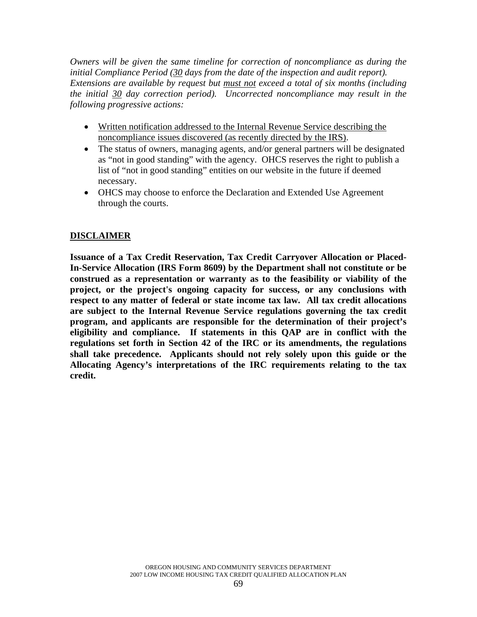*Owners will be given the same timeline for correction of noncompliance as during the initial Compliance Period (30 days from the date of the inspection and audit report). Extensions are available by request but must not exceed a total of six months (including the initial 30 day correction period). Uncorrected noncompliance may result in the following progressive actions:* 

- Written notification addressed to the Internal Revenue Service describing the noncompliance issues discovered (as recently directed by the IRS).
- The status of owners, managing agents, and/or general partners will be designated as "not in good standing" with the agency. OHCS reserves the right to publish a list of "not in good standing" entities on our website in the future if deemed necessary.
- OHCS may choose to enforce the Declaration and Extended Use Agreement through the courts.

## **DISCLAIMER**

**Issuance of a Tax Credit Reservation, Tax Credit Carryover Allocation or Placed-In-Service Allocation (IRS Form 8609) by the Department shall not constitute or be construed as a representation or warranty as to the feasibility or viability of the project, or the project's ongoing capacity for success, or any conclusions with respect to any matter of federal or state income tax law. All tax credit allocations are subject to the Internal Revenue Service regulations governing the tax credit program, and applicants are responsible for the determination of their project's eligibility and compliance. If statements in this QAP are in conflict with the regulations set forth in Section 42 of the IRC or its amendments, the regulations shall take precedence. Applicants should not rely solely upon this guide or the Allocating Agency's interpretations of the IRC requirements relating to the tax credit.**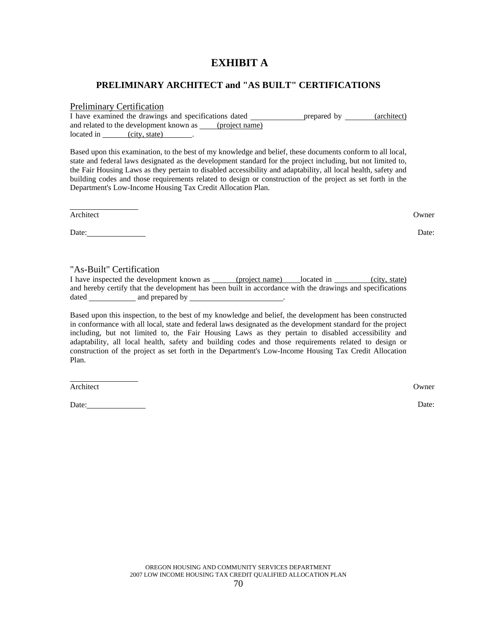# **EXHIBIT A**

#### **PRELIMINARY ARCHITECT and "AS BUILT" CERTIFICATIONS**

#### Preliminary Certification

| I have examined the drawings and specifications dated |               |  |                | prepared by | (architect) |
|-------------------------------------------------------|---------------|--|----------------|-------------|-------------|
| and related to the development known as               |               |  | (project name) |             |             |
| located in                                            | (city, state) |  |                |             |             |

Based upon this examination, to the best of my knowledge and belief, these documents conform to all local, state and federal laws designated as the development standard for the project including, but not limited to, the Fair Housing Laws as they pertain to disabled accessibility and adaptability, all local health, safety and building codes and those requirements related to design or construction of the project as set forth in the Department's Low-Income Housing Tax Credit Allocation Plan.

Architect Owner

 $\overline{a}$ 

Date: Date: Date: Date: Date: Date: Date: Date: Date: Date: Date: Date: Date: Date: Date: Date: Date: Date: Date: Date: Date: Date: Date: Date: Date: Date: Date: Date: Date: Date: Date: Date: Date: Date: Date: Date: Date:

#### "As-Built" Certification

I have inspected the development known as (project name) located in (city, state) and hereby certify that the development has been built in accordance with the drawings and specifications dated and prepared by .

Based upon this inspection, to the best of my knowledge and belief, the development has been constructed in conformance with all local, state and federal laws designated as the development standard for the project including, but not limited to, the Fair Housing Laws as they pertain to disabled accessibility and adaptability, all local health, safety and building codes and those requirements related to design or construction of the project as set forth in the Department's Low-Income Housing Tax Credit Allocation Plan.

Architect Owner

 $\overline{a}$ 

Date: Date: Date: Date: Date: Date: Date: Date: Date: Date: Date: Date: Date: Date: Date: Date: Date: Date: Date: Date: Date: Date: Date: Date: Date: Date: Date: Date: Date: Date: Date: Date: Date: Date: Date: Date: Date: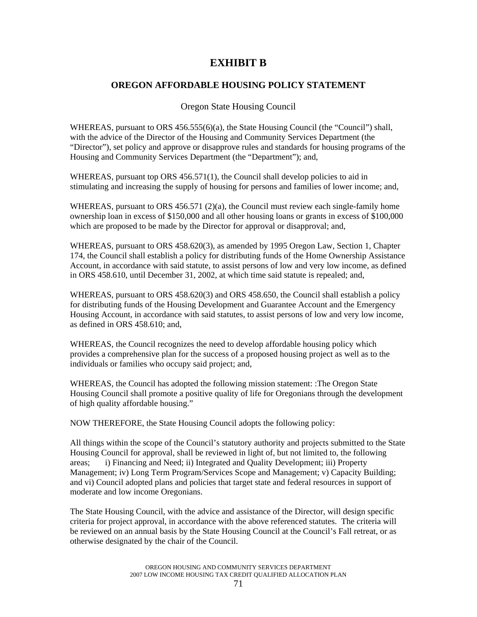# **EXHIBIT B**

### **OREGON AFFORDABLE HOUSING POLICY STATEMENT**

Oregon State Housing Council

WHEREAS, pursuant to ORS 456.555(6)(a), the State Housing Council (the "Council") shall, with the advice of the Director of the Housing and Community Services Department (the "Director"), set policy and approve or disapprove rules and standards for housing programs of the Housing and Community Services Department (the "Department"); and,

WHEREAS, pursuant top ORS 456.571(1), the Council shall develop policies to aid in stimulating and increasing the supply of housing for persons and families of lower income; and,

WHEREAS, pursuant to ORS  $456.571$  (2)(a), the Council must review each single-family home ownership loan in excess of \$150,000 and all other housing loans or grants in excess of \$100,000 which are proposed to be made by the Director for approval or disapproval; and,

WHEREAS, pursuant to ORS 458.620(3), as amended by 1995 Oregon Law, Section 1, Chapter 174, the Council shall establish a policy for distributing funds of the Home Ownership Assistance Account, in accordance with said statute, to assist persons of low and very low income, as defined in ORS 458.610, until December 31, 2002, at which time said statute is repealed; and,

WHEREAS, pursuant to ORS 458.620(3) and ORS 458.650, the Council shall establish a policy for distributing funds of the Housing Development and Guarantee Account and the Emergency Housing Account, in accordance with said statutes, to assist persons of low and very low income, as defined in ORS 458.610; and,

WHEREAS, the Council recognizes the need to develop affordable housing policy which provides a comprehensive plan for the success of a proposed housing project as well as to the individuals or families who occupy said project; and,

WHEREAS, the Council has adopted the following mission statement: :The Oregon State Housing Council shall promote a positive quality of life for Oregonians through the development of high quality affordable housing."

NOW THEREFORE, the State Housing Council adopts the following policy:

All things within the scope of the Council's statutory authority and projects submitted to the State Housing Council for approval, shall be reviewed in light of, but not limited to, the following areas; i) Financing and Need; ii) Integrated and Quality Development; iii) Property Management; iv) Long Term Program/Services Scope and Management; v) Capacity Building; and vi) Council adopted plans and policies that target state and federal resources in support of moderate and low income Oregonians.

The State Housing Council, with the advice and assistance of the Director, will design specific criteria for project approval, in accordance with the above referenced statutes. The criteria will be reviewed on an annual basis by the State Housing Council at the Council's Fall retreat, or as otherwise designated by the chair of the Council.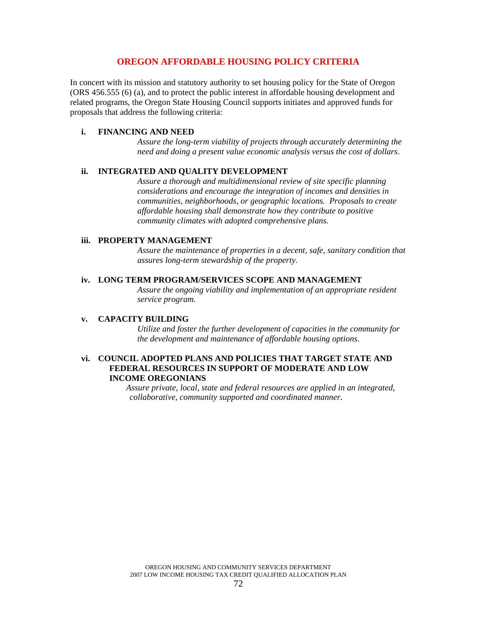#### **OREGON AFFORDABLE HOUSING POLICY CRITERIA**

In concert with its mission and statutory authority to set housing policy for the State of Oregon (ORS 456.555 (6) (a), and to protect the public interest in affordable housing development and related programs, the Oregon State Housing Council supports initiates and approved funds for proposals that address the following criteria:

#### **i. FINANCING AND NEED**

*Assure the long-term viability of projects through accurately determining the need and doing a present value economic analysis versus the cost of dollars*.

#### **ii. INTEGRATED AND QUALITY DEVELOPMENT**

*Assure a thorough and multidimensional review of site specific planning considerations and encourage the integration of incomes and densities in communities, neighborhoods, or geographic locations. Proposals to create affordable housing shall demonstrate how they contribute to positive community climates with adopted comprehensive plans.*

#### **iii. PROPERTY MANAGEMENT**

*Assure the maintenance of properties in a decent, safe, sanitary condition that assures long-term stewardship of the property.*

#### **iv. LONG TERM PROGRAM/SERVICES SCOPE AND MANAGEMENT**

*Assure the ongoing viability and implementation of an appropriate resident service program.*

#### **v. CAPACITY BUILDING**

*Utilize and foster the further development of capacities in the community for the development and maintenance of affordable housing options.*

#### **vi. COUNCIL ADOPTED PLANS AND POLICIES THAT TARGET STATE AND FEDERAL RESOURCES IN SUPPORT OF MODERATE AND LOW INCOME OREGONIANS**

 *Assure private, local, state and federal resources are applied in an integrated, collaborative, community supported and coordinated manner.*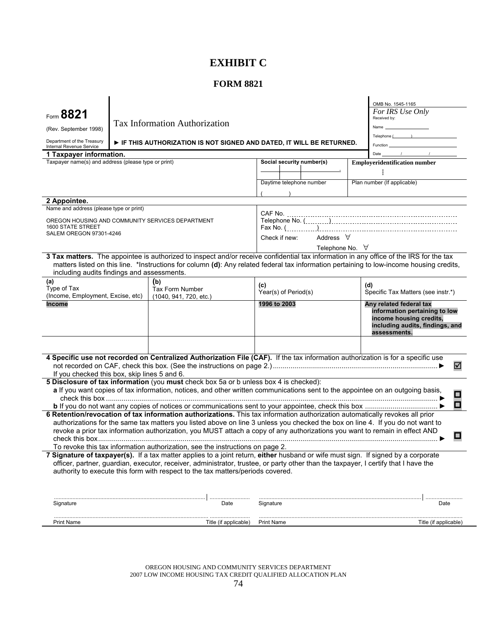# **EXHIBIT C**

# **FORM 8821**

| Form 8821<br>(Rev. September 1998)<br>Department of the Treasury<br>Internal Revenue Service                                                |  | <b>Tax Information Authorization</b><br>FIF THIS AUTHORIZATION IS NOT SIGNED AND DATED, IT WILL BE RETURNED.                                                                                                                                                                                                                                                                                                                                                                   |                             |                           |  | OMB No. 1545-1165<br>For IRS Use Only<br>Received by:<br>Name<br>$\text{Telephone}$ ( )<br>Function                                    |
|---------------------------------------------------------------------------------------------------------------------------------------------|--|--------------------------------------------------------------------------------------------------------------------------------------------------------------------------------------------------------------------------------------------------------------------------------------------------------------------------------------------------------------------------------------------------------------------------------------------------------------------------------|-----------------------------|---------------------------|--|----------------------------------------------------------------------------------------------------------------------------------------|
| 1 Taxpayer information.                                                                                                                     |  |                                                                                                                                                                                                                                                                                                                                                                                                                                                                                |                             |                           |  | $\sqrt{2}$<br>Date                                                                                                                     |
| Taxpayer name(s) and address (please type or print)                                                                                         |  |                                                                                                                                                                                                                                                                                                                                                                                                                                                                                |                             | Social security number(s) |  | <b>Employeridentification number</b>                                                                                                   |
|                                                                                                                                             |  |                                                                                                                                                                                                                                                                                                                                                                                                                                                                                |                             | Daytime telephone number  |  | Plan number (If applicable)                                                                                                            |
| 2 Appointee.                                                                                                                                |  |                                                                                                                                                                                                                                                                                                                                                                                                                                                                                |                             |                           |  |                                                                                                                                        |
| Name and address (please type or print)<br>OREGON HOUSING AND COMMUNITY SERVICES DEPARTMENT<br>1600 STATE STREET<br>SALEM OREGON 97301-4246 |  | Address $\forall$<br>Check if new:<br>Telephone No. $\forall$                                                                                                                                                                                                                                                                                                                                                                                                                  |                             |                           |  |                                                                                                                                        |
| including audits findings and assessments.                                                                                                  |  | 3 Tax matters. The appointee is authorized to inspect and/or receive confidential tax information in any office of the IRS for the tax<br>matters listed on this line. *Instructions for column (d): Any related federal tax information pertaining to low-income housing credits,                                                                                                                                                                                             |                             |                           |  |                                                                                                                                        |
| (a)<br>Type of Tax<br>(Income, Employment, Excise, etc)                                                                                     |  | (b)<br><b>Tax Form Number</b><br>(1040, 941, 720, etc.)                                                                                                                                                                                                                                                                                                                                                                                                                        | (c)<br>Year(s) of Period(s) |                           |  | (d)<br>Specific Tax Matters (see instr.*)                                                                                              |
| <b>Income</b>                                                                                                                               |  |                                                                                                                                                                                                                                                                                                                                                                                                                                                                                | 1996 to 2003                |                           |  | Any related federal tax<br>information pertaining to low<br>income housing credits,<br>including audits, findings, and<br>assessments. |
| If you checked this box, skip lines 5 and 6.                                                                                                |  | 4 Specific use not recorded on Centralized Authorization File (CAF). If the tax information authorization is for a specific use                                                                                                                                                                                                                                                                                                                                                |                             |                           |  | ☑                                                                                                                                      |
|                                                                                                                                             |  | 5 Disclosure of tax information (you must check box 5a or b unless box 4 is checked):                                                                                                                                                                                                                                                                                                                                                                                          |                             |                           |  |                                                                                                                                        |
|                                                                                                                                             |  | a If you want copies of tax information, notices, and other written communications sent to the appointee on an outgoing basis,                                                                                                                                                                                                                                                                                                                                                 |                             |                           |  | О<br>О                                                                                                                                 |
|                                                                                                                                             |  | 6 Retention/revocation of tax information authorizations. This tax information authorization automatically revokes all prior<br>authorizations for the same tax matters you listed above on line 3 unless you checked the box on line 4. If you do not want to<br>revoke a prior tax information authorization, you MUST attach a copy of any authorizations you want to remain in effect AND<br>To revoke this tax information authorization, see the instructions on page 2. |                             |                           |  | □                                                                                                                                      |
|                                                                                                                                             |  | 7 Signature of taxpayer(s). If a tax matter applies to a joint return, either husband or wife must sign. If signed by a corporate                                                                                                                                                                                                                                                                                                                                              |                             |                           |  |                                                                                                                                        |
|                                                                                                                                             |  | officer, partner, guardian, executor, receiver, administrator, trustee, or party other than the taxpayer, I certify that I have the<br>authority to execute this form with respect to the tax matters/periods covered.                                                                                                                                                                                                                                                         |                             |                           |  |                                                                                                                                        |
| Signature                                                                                                                                   |  | .<br>Date                                                                                                                                                                                                                                                                                                                                                                                                                                                                      | Signature                   |                           |  | Date                                                                                                                                   |
| <b>Print Name</b>                                                                                                                           |  | Title (if applicable)                                                                                                                                                                                                                                                                                                                                                                                                                                                          | <b>Print Name</b>           |                           |  | Title (if applicable)                                                                                                                  |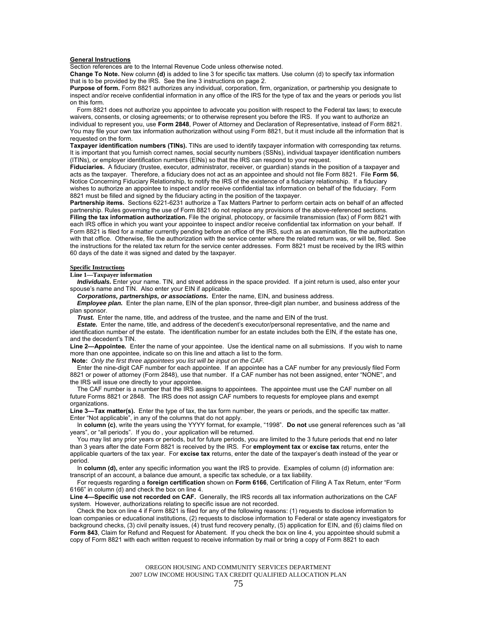#### **General Instructions**

Section references are to the Internal Revenue Code unless otherwise noted.

**Change To Note.** New column **(d)** is added to line 3 for specific tax matters. Use column (d) to specify tax information that is to be provided by the IRS. See the line 3 instructions on page 2.

**Purpose of form.** Form 8821 authorizes any individual, corporation, firm, organization, or partnership you designate to inspect and/or receive confidential information in any office of the IRS for the type of tax and the years or periods you list on this form.

 Form 8821 does not authorize you appointee to advocate you position with respect to the Federal tax laws; to execute waivers, consents, or closing agreements; or to otherwise represent you before the IRS. If you want to authorize an individual to represent you, use **Form 2848**, Power of Attorney and Declaration of Representative, instead of Form 8821. You may file your own tax information authorization without using Form 8821, but it must include all the information that is requested on the form.

**Taxpayer identification numbers (TINs).** TINs are used to identify taxpayer information with corresponding tax returns. It is important that you furnish correct names, social security numbers (SSNs), individual taxpayer identification numbers (ITINs), or employer identification numbers (EINs) so that the IRS can respond to your request.

**Fiduciaries.** A fiduciary (trustee, executor, administrator, receiver, or guardian) stands in the position of a taxpayer and acts as the taxpayer. Therefore, a fiduciary does not act as an appointee and should not file Form 8821. File **Form 56**, Notice Concerning Fiduciary Relationship, to notify the IRS of the existence of a fiduciary relationship. If a fiduciary wishes to authorize an appointee to inspect and/or receive confidential tax information on behalf of the fiduciary. Form 8821 must be filled and signed by the fiduciary acting in the position of the taxpayer.

**Partnership items.** Sections 6221-6231 authorize a Tax Matters Partner to perform certain acts on behalf of an affected partnership. Rules governing the use of Form 8821 do not replace any provisions of the above-referenced sections. **Filing the tax information authorization.** File the original, photocopy, or facsimile transmission (fax) of Form 8821 with each IRS office in which you want your appointee to inspect and/or receive confidential tax information on your behalf. If Form 8821 is filed for a matter currently pending before an office of the IRS, such as an examination, file the authorization with that office. Otherwise, file the authorization with the service center where the related return was, or will be, filed. See the instructions for the related tax return for the service center addresses. Form 8821 must be received by the IRS within

#### **Specific Instructions**

**Line 1—Taxpayer information** 

*Individuals.* Enter your name. TIN, and street address in the space provided. If a joint return is used, also enter your spouse's name and TIN. Also enter your EIN if applicable.

*Corporations, partnerships, or associations.* Enter the name, EIN, and business address.

*Employee plan.* Enter the plan name, EIN of the plan sponsor, three-digit plan number, and business address of the plan sponsor.

*Trust.* Enter the name, title, and address of the trustee, and the name and EIN of the trust.

*Estate.* Enter the name, title, and address of the decedent's executor/personal representative, and the name and identification number of the estate. The identification number for an estate includes both the EIN, if the estate has one, and the decedent's TIN.

**Line 2—Appointee***.* Enter the name of your appointee. Use the identical name on all submissions. If you wish to name more than one appointee, indicate so on this line and attach a list to the form.

**Note:** *Only the first three appointees you list will be input on the CAF.*

60 days of the date it was signed and dated by the taxpayer.

 Enter the nine-digit CAF number for each appointee. If an appointee has a CAF number for any previously filed Form 8821 or power of attorney (Form 2848), use that number. If a CAF number has not been assigned, enter "NONE", and the IRS will issue one directly to your appointee.

 The CAF number is a number that the IRS assigns to appointees. The appointee must use the CAF number on all future Forms 8821 or 2848. The IRS does not assign CAF numbers to requests for employee plans and exempt organizations.

Line 3-Tax matter(s). Enter the type of tax, the tax form number, the years or periods, and the specific tax matter. Enter "Not applicable", in any of the columns that do not apply.

 In **column (c)**, write the years using the YYYY format, for example, "1998". **Do not** use general references such as "all years", or "all periods". If you do , your application will be returned.

 You may list any prior years or periods, but for future periods, you are limited to the 3 future periods that end no later than 3 years after the date Form 8821 is received by the IRS. For **employment tax** or **excise tax** returns, enter the applicable quarters of the tax year. For **excise tax** returns, enter the date of the taxpayer's death instead of the year or period.

 In **column (d),** enter any specific information you want the IRS to provide. Examples of column (d) information are: transcript of an account, a balance due amount, a specific tax schedule, or a tax liability.

 For requests regarding a **foreign certification** shown on **Form 6166**, Certification of Filing A Tax Return, enter "Form 6166" in column (d) and check the box on line 4.

**Line 4—Specific use not recorded on CAF.** Generally, the IRS records all tax information authorizations on the CAF system. However, authorizations relating to specific issue are not recorded.

 Check the box on line 4 if Form 8821 is filed for any of the following reasons: (1) requests to disclose information to loan companies or educational institutions, (2) requests to disclose information to Federal or state agency investigators for background checks, (3) civil penalty issues, (4) trust fund recovery penalty, (5) application for EIN, and (6) claims filed on **Form 843**, Claim for Refund and Request for Abatement. If you check the box on line 4, you appointee should submit a copy of Form 8821 with each written request to receive information by mail or bring a copy of Form 8821 to each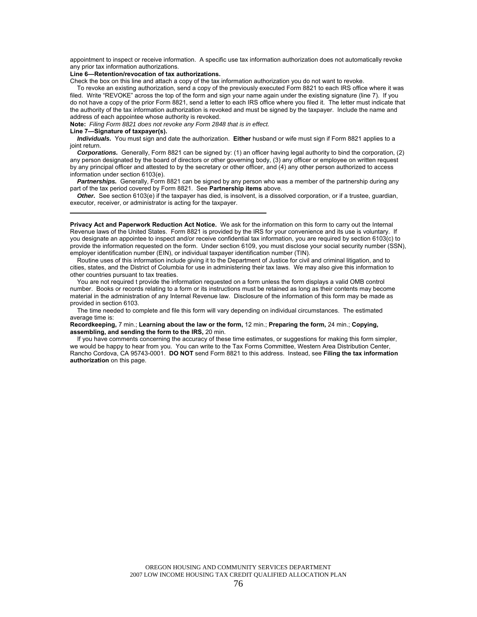appointment to inspect or receive information. A specific use tax information authorization does not automatically revoke any prior tax information authorizations.

#### **Line 6—Retention/revocation of tax authorizations.**

Check the box on this line and attach a copy of the tax information authorization you do not want to revoke.

 To revoke an existing authorization, send a copy of the previously executed Form 8821 to each IRS office where it was filed. Write "REVOKE" across the top of the form and sign your name again under the existing signature (line 7). If you do not have a copy of the prior Form 8821, send a letter to each IRS office where you filed it. The letter must indicate that the authority of the tax information authorization is revoked and must be signed by the taxpayer. Include the name and address of each appointee whose authority is revoked.

**Note:** *Filing Form 8821 does not revoke any Form 2848 that is in effect.*

#### **Line 7—Signature of taxpayer(s).**

l,

*Individuals.* You must sign and date the authorization. **Either** husband or wife must sign if Form 8821 applies to a joint return.

*Corporations.* Generally, Form 8821 can be signed by: (1) an officer having legal authority to bind the corporation, (2) any person designated by the board of directors or other governing body, (3) any officer or employee on written request by any principal officer and attested to by the secretary or other officer, and (4) any other person authorized to access information under section 6103(e).

*Partnerships.* Generally, Form 8821 can be signed by any person who was a member of the partnership during any part of the tax period covered by Form 8821. See **Partnership items** above.

**Other.** See section 6103(e) if the taxpayer has died, is insolvent, is a dissolved corporation, or if a trustee, guardian, executor, receiver, or administrator is acting for the taxpayer.

**Privacy Act and Paperwork Reduction Act Notice.** We ask for the information on this form to carry out the Internal Revenue laws of the United States. Form 8821 is provided by the IRS for your convenience and its use is voluntary. If you designate an appointee to inspect and/or receive confidential tax information, you are required by section 6103(c) to provide the information requested on the form. Under section 6109, you must disclose your social security number (SSN), employer identification number (EIN), or individual taxpayer identification number (TIN).

 Routine uses of this information include giving it to the Department of Justice for civil and criminal litigation, and to cities, states, and the District of Columbia for use in administering their tax laws. We may also give this information to other countries pursuant to tax treaties.

 You are not required t provide the information requested on a form unless the form displays a valid OMB control number. Books or records relating to a form or its instructions must be retained as long as their contents may become material in the administration of any Internal Revenue law. Disclosure of the information of this form may be made as provided in section 6103.

 The time needed to complete and file this form will vary depending on individual circumstances. The estimated average time is:

**Recordkeeping,** 7 min.; **Learning about the law or the form,** 12 min.; **Preparing the form,** 24 min.; **Copying, assembling, and sending the form to the IRS,** 20 min.

 If you have comments concerning the accuracy of these time estimates, or suggestions for making this form simpler, we would be happy to hear from you. You can write to the Tax Forms Committee, Western Area Distribution Center, Rancho Cordova, CA 95743-0001. **DO NOT** send Form 8821 to this address. Instead, see **Filing the tax information authorization** on this page.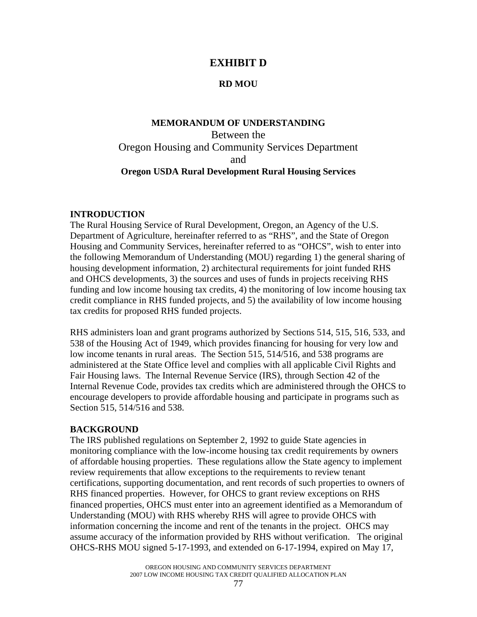# **EXHIBIT D**

### **RD MOU**

# **MEMORANDUM OF UNDERSTANDING**  Between the Oregon Housing and Community Services Department and **Oregon USDA Rural Development Rural Housing Services**

### **INTRODUCTION**

The Rural Housing Service of Rural Development, Oregon, an Agency of the U.S. Department of Agriculture, hereinafter referred to as "RHS", and the State of Oregon Housing and Community Services, hereinafter referred to as "OHCS", wish to enter into the following Memorandum of Understanding (MOU) regarding 1) the general sharing of housing development information, 2) architectural requirements for joint funded RHS and OHCS developments, 3) the sources and uses of funds in projects receiving RHS funding and low income housing tax credits, 4) the monitoring of low income housing tax credit compliance in RHS funded projects, and 5) the availability of low income housing tax credits for proposed RHS funded projects.

RHS administers loan and grant programs authorized by Sections 514, 515, 516, 533, and 538 of the Housing Act of 1949, which provides financing for housing for very low and low income tenants in rural areas. The Section 515, 514/516, and 538 programs are administered at the State Office level and complies with all applicable Civil Rights and Fair Housing laws. The Internal Revenue Service (IRS), through Section 42 of the Internal Revenue Code, provides tax credits which are administered through the OHCS to encourage developers to provide affordable housing and participate in programs such as Section 515, 514/516 and 538.

### **BACKGROUND**

The IRS published regulations on September 2, 1992 to guide State agencies in monitoring compliance with the low-income housing tax credit requirements by owners of affordable housing properties. These regulations allow the State agency to implement review requirements that allow exceptions to the requirements to review tenant certifications, supporting documentation, and rent records of such properties to owners of RHS financed properties. However, for OHCS to grant review exceptions on RHS financed properties, OHCS must enter into an agreement identified as a Memorandum of Understanding (MOU) with RHS whereby RHS will agree to provide OHCS with information concerning the income and rent of the tenants in the project. OHCS may assume accuracy of the information provided by RHS without verification. The original OHCS-RHS MOU signed 5-17-1993, and extended on 6-17-1994, expired on May 17,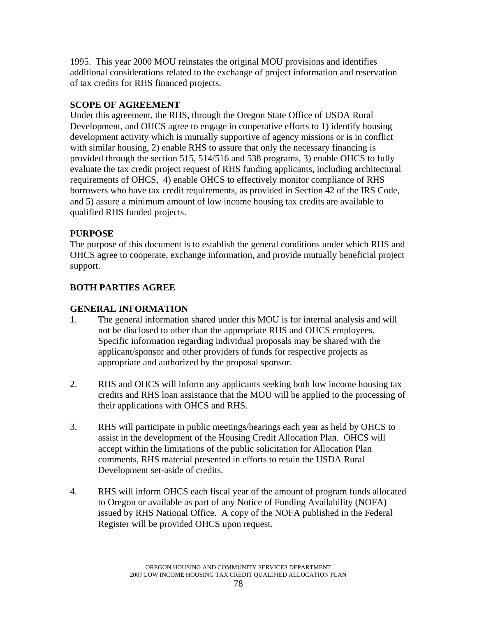1995. This year 2000 MOU reinstates the original MOU provisions and identifies additional considerations related to the exchange of project information and reservation of tax credits for RHS financed projects.

# **SCOPE OF AGREEMENT**

Under this agreement, the RHS, through the Oregon State Office of USDA Rural Development, and OHCS agree to engage in cooperative efforts to 1) identify housing development activity which is mutually supportive of agency missions or is in conflict with similar housing, 2) enable RHS to assure that only the necessary financing is provided through the section 515, 514/516 and 538 programs, 3) enable OHCS to fully evaluate the tax credit project request of RHS funding applicants, including architectural requirements of OHCS, 4) enable OHCS to effectively monitor compliance of RHS borrowers who have tax credit requirements, as provided in Section 42 of the IRS Code, and 5) assure a minimum amount of low income housing tax credits are available to qualified RHS funded projects.

# **PURPOSE**

The purpose of this document is to establish the general conditions under which RHS and OHCS agree to cooperate, exchange information, and provide mutually beneficial project support.

# **BOTH PARTIES AGREE**

## **GENERAL INFORMATION**

- 1. The general information shared under this MOU is for internal analysis and will not be disclosed to other than the appropriate RHS and OHCS employees. Specific information regarding individual proposals may be shared with the applicant/sponsor and other providers of funds for respective projects as appropriate and authorized by the proposal sponsor.
- 2. RHS and OHCS will inform any applicants seeking both low income housing tax credits and RHS loan assistance that the MOU will be applied to the processing of their applications with OHCS and RHS.
- 3. RHS will participate in public meetings/hearings each year as held by OHCS to assist in the development of the Housing Credit Allocation Plan. OHCS will accept within the limitations of the public solicitation for Allocation Plan comments, RHS material presented in efforts to retain the USDA Rural Development set-aside of credits.
- 4. RHS will inform OHCS each fiscal year of the amount of program funds allocated to Oregon or available as part of any Notice of Funding Availability (NOFA) issued by RHS National Office. A copy of the NOFA published in the Federal Register will be provided OHCS upon request.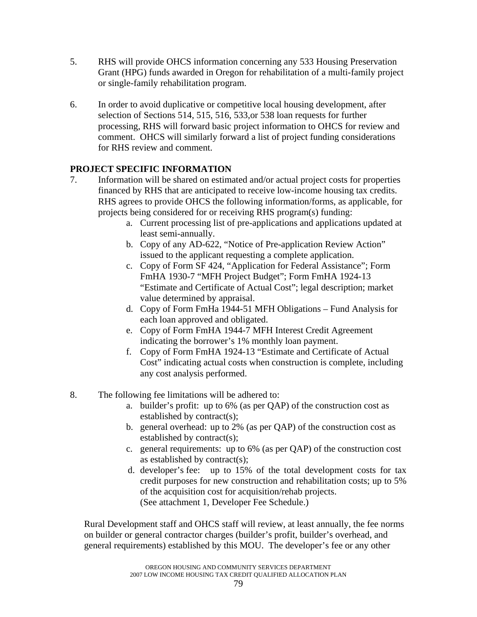- 5. RHS will provide OHCS information concerning any 533 Housing Preservation Grant (HPG) funds awarded in Oregon for rehabilitation of a multi-family project or single-family rehabilitation program.
- 6. In order to avoid duplicative or competitive local housing development, after selection of Sections 514, 515, 516, 533,or 538 loan requests for further processing, RHS will forward basic project information to OHCS for review and comment. OHCS will similarly forward a list of project funding considerations for RHS review and comment.

# **PROJECT SPECIFIC INFORMATION**

- 7. Information will be shared on estimated and/or actual project costs for properties financed by RHS that are anticipated to receive low-income housing tax credits. RHS agrees to provide OHCS the following information/forms, as applicable, for projects being considered for or receiving RHS program(s) funding:
	- a. Current processing list of pre-applications and applications updated at least semi-annually.
	- b. Copy of any AD-622, "Notice of Pre-application Review Action" issued to the applicant requesting a complete application.
	- c. Copy of Form SF 424, "Application for Federal Assistance"; Form FmHA 1930-7 "MFH Project Budget"; Form FmHA 1924-13 "Estimate and Certificate of Actual Cost"; legal description; market value determined by appraisal.
	- d. Copy of Form FmHa 1944-51 MFH Obligations Fund Analysis for each loan approved and obligated.
	- e. Copy of Form FmHA 1944-7 MFH Interest Credit Agreement indicating the borrower's 1% monthly loan payment.
	- f. Copy of Form FmHA 1924-13 "Estimate and Certificate of Actual Cost" indicating actual costs when construction is complete, including any cost analysis performed.
- 8. The following fee limitations will be adhered to:
	- a. builder's profit: up to 6% (as per QAP) of the construction cost as established by contract(s);
	- b. general overhead: up to 2% (as per QAP) of the construction cost as established by contract(s);
	- c. general requirements: up to 6% (as per QAP) of the construction cost as established by contract(s);
	- d. developer's fee: up to 15% of the total development costs for tax credit purposes for new construction and rehabilitation costs; up to 5% of the acquisition cost for acquisition/rehab projects. (See attachment 1, Developer Fee Schedule.)

Rural Development staff and OHCS staff will review, at least annually, the fee norms on builder or general contractor charges (builder's profit, builder's overhead, and general requirements) established by this MOU. The developer's fee or any other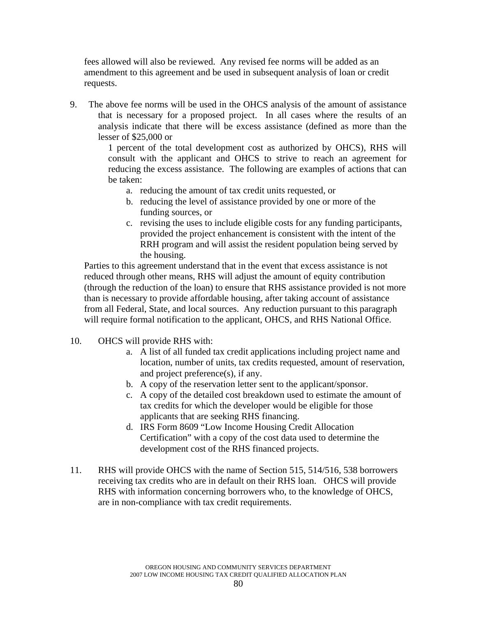fees allowed will also be reviewed. Any revised fee norms will be added as an amendment to this agreement and be used in subsequent analysis of loan or credit requests.

9. The above fee norms will be used in the OHCS analysis of the amount of assistance that is necessary for a proposed project. In all cases where the results of an analysis indicate that there will be excess assistance (defined as more than the lesser of \$25,000 or

> 1 percent of the total development cost as authorized by OHCS), RHS will consult with the applicant and OHCS to strive to reach an agreement for reducing the excess assistance. The following are examples of actions that can be taken:

- a. reducing the amount of tax credit units requested, or
- b. reducing the level of assistance provided by one or more of the funding sources, or
- c. revising the uses to include eligible costs for any funding participants, provided the project enhancement is consistent with the intent of the RRH program and will assist the resident population being served by the housing.

Parties to this agreement understand that in the event that excess assistance is not reduced through other means, RHS will adjust the amount of equity contribution (through the reduction of the loan) to ensure that RHS assistance provided is not more than is necessary to provide affordable housing, after taking account of assistance from all Federal, State, and local sources. Any reduction pursuant to this paragraph will require formal notification to the applicant, OHCS, and RHS National Office.

- 10. OHCS will provide RHS with:
	- a. A list of all funded tax credit applications including project name and location, number of units, tax credits requested, amount of reservation, and project preference(s), if any.
	- b. A copy of the reservation letter sent to the applicant/sponsor.
	- c. A copy of the detailed cost breakdown used to estimate the amount of tax credits for which the developer would be eligible for those applicants that are seeking RHS financing.
	- d. IRS Form 8609 "Low Income Housing Credit Allocation Certification" with a copy of the cost data used to determine the development cost of the RHS financed projects.
- 11. RHS will provide OHCS with the name of Section 515, 514/516, 538 borrowers receiving tax credits who are in default on their RHS loan. OHCS will provide RHS with information concerning borrowers who, to the knowledge of OHCS, are in non-compliance with tax credit requirements.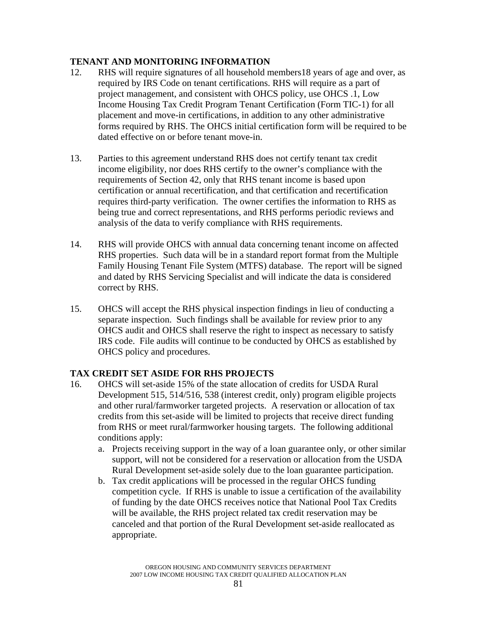### **TENANT AND MONITORING INFORMATION**

- 12. RHS will require signatures of all household members18 years of age and over, as required by IRS Code on tenant certifications. RHS will require as a part of project management, and consistent with OHCS policy, use OHCS .1, Low Income Housing Tax Credit Program Tenant Certification (Form TIC-1) for all placement and move-in certifications, in addition to any other administrative forms required by RHS. The OHCS initial certification form will be required to be dated effective on or before tenant move-in.
- 13. Parties to this agreement understand RHS does not certify tenant tax credit income eligibility, nor does RHS certify to the owner's compliance with the requirements of Section 42, only that RHS tenant income is based upon certification or annual recertification, and that certification and recertification requires third-party verification. The owner certifies the information to RHS as being true and correct representations, and RHS performs periodic reviews and analysis of the data to verify compliance with RHS requirements.
- 14. RHS will provide OHCS with annual data concerning tenant income on affected RHS properties. Such data will be in a standard report format from the Multiple Family Housing Tenant File System (MTFS) database. The report will be signed and dated by RHS Servicing Specialist and will indicate the data is considered correct by RHS.
- 15. OHCS will accept the RHS physical inspection findings in lieu of conducting a separate inspection. Such findings shall be available for review prior to any OHCS audit and OHCS shall reserve the right to inspect as necessary to satisfy IRS code. File audits will continue to be conducted by OHCS as established by OHCS policy and procedures.

### **TAX CREDIT SET ASIDE FOR RHS PROJECTS**

- 16. OHCS will set-aside 15% of the state allocation of credits for USDA Rural Development 515, 514/516, 538 (interest credit, only) program eligible projects and other rural/farmworker targeted projects. A reservation or allocation of tax credits from this set-aside will be limited to projects that receive direct funding from RHS or meet rural/farmworker housing targets. The following additional conditions apply:
	- a. Projects receiving support in the way of a loan guarantee only, or other similar support, will not be considered for a reservation or allocation from the USDA Rural Development set-aside solely due to the loan guarantee participation.
	- b. Tax credit applications will be processed in the regular OHCS funding competition cycle. If RHS is unable to issue a certification of the availability of funding by the date OHCS receives notice that National Pool Tax Credits will be available, the RHS project related tax credit reservation may be canceled and that portion of the Rural Development set-aside reallocated as appropriate.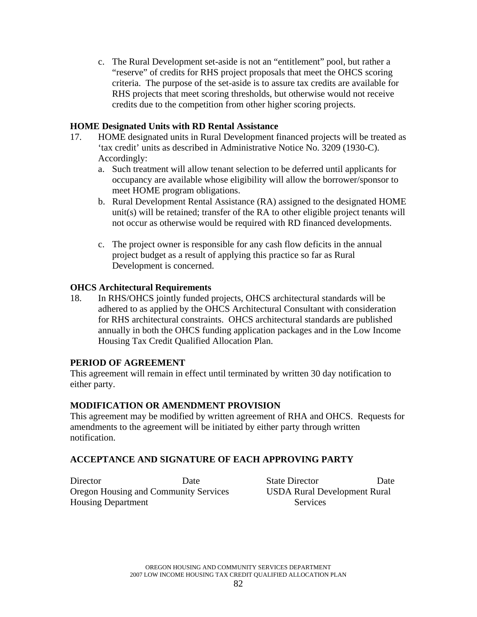c. The Rural Development set-aside is not an "entitlement" pool, but rather a "reserve" of credits for RHS project proposals that meet the OHCS scoring criteria. The purpose of the set-aside is to assure tax credits are available for RHS projects that meet scoring thresholds, but otherwise would not receive credits due to the competition from other higher scoring projects.

### **HOME Designated Units with RD Rental Assistance**

- 17. HOME designated units in Rural Development financed projects will be treated as 'tax credit' units as described in Administrative Notice No. 3209 (1930-C). Accordingly:
	- a. Such treatment will allow tenant selection to be deferred until applicants for occupancy are available whose eligibility will allow the borrower/sponsor to meet HOME program obligations.
	- b. Rural Development Rental Assistance (RA) assigned to the designated HOME unit(s) will be retained; transfer of the RA to other eligible project tenants will not occur as otherwise would be required with RD financed developments.
	- c. The project owner is responsible for any cash flow deficits in the annual project budget as a result of applying this practice so far as Rural Development is concerned.

### **OHCS Architectural Requirements**

18. In RHS/OHCS jointly funded projects, OHCS architectural standards will be adhered to as applied by the OHCS Architectural Consultant with consideration for RHS architectural constraints. OHCS architectural standards are published annually in both the OHCS funding application packages and in the Low Income Housing Tax Credit Qualified Allocation Plan.

### **PERIOD OF AGREEMENT**

This agreement will remain in effect until terminated by written 30 day notification to either party.

### **MODIFICATION OR AMENDMENT PROVISION**

This agreement may be modified by written agreement of RHA and OHCS. Requests for amendments to the agreement will be initiated by either party through written notification.

### **ACCEPTANCE AND SIGNATURE OF EACH APPROVING PARTY**

Director Date State Director Date Oregon Housing and Community Services USDA Rural Development Rural Housing Department Services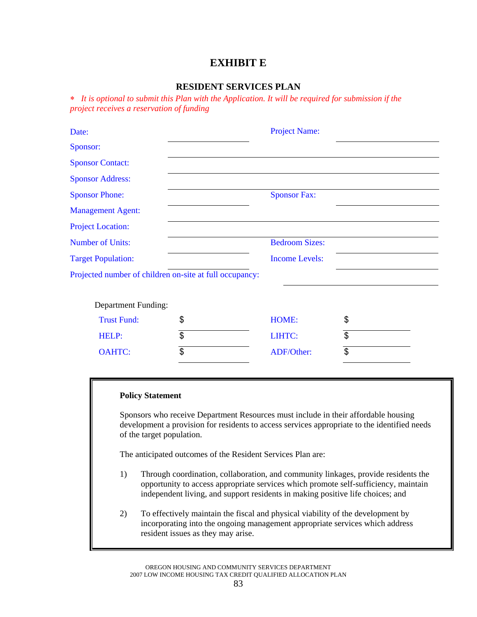# **EXHIBIT E**

### **RESIDENT SERVICES PLAN**

∗ *It is optional to submit this Plan with the Application. It will be required for submission if the project receives a reservation of funding* 

| Date:                                                   | <b>Project Name:</b>  |                |  |
|---------------------------------------------------------|-----------------------|----------------|--|
| Sponsor:                                                |                       |                |  |
| <b>Sponsor Contact:</b>                                 |                       |                |  |
| <b>Sponsor Address:</b>                                 |                       |                |  |
| <b>Sponsor Phone:</b>                                   | <b>Sponsor Fax:</b>   |                |  |
| <b>Management Agent:</b>                                |                       |                |  |
| <b>Project Location:</b>                                |                       |                |  |
| <b>Number of Units:</b>                                 | <b>Bedroom Sizes:</b> |                |  |
| <b>Target Population:</b>                               | <b>Income Levels:</b> |                |  |
| Projected number of children on-site at full occupancy: |                       |                |  |
|                                                         |                       |                |  |
| <b>Department Funding:</b>                              |                       |                |  |
| <b>Trust Fund:</b>                                      | \$<br><b>HOME:</b>    | \$             |  |
| HELP:                                                   | \$<br>LIHTC:          | $\$\$          |  |
| <b>OAHTC:</b>                                           | \$<br>ADF/Other:      | $\mathfrak{S}$ |  |
|                                                         |                       |                |  |

#### **Policy Statement**

Sponsors who receive Department Resources must include in their affordable housing development a provision for residents to access services appropriate to the identified needs of the target population.

The anticipated outcomes of the Resident Services Plan are:

- 1) Through coordination, collaboration, and community linkages, provide residents the opportunity to access appropriate services which promote self-sufficiency, maintain independent living, and support residents in making positive life choices; and
- 2) To effectively maintain the fiscal and physical viability of the development by incorporating into the ongoing management appropriate services which address resident issues as they may arise.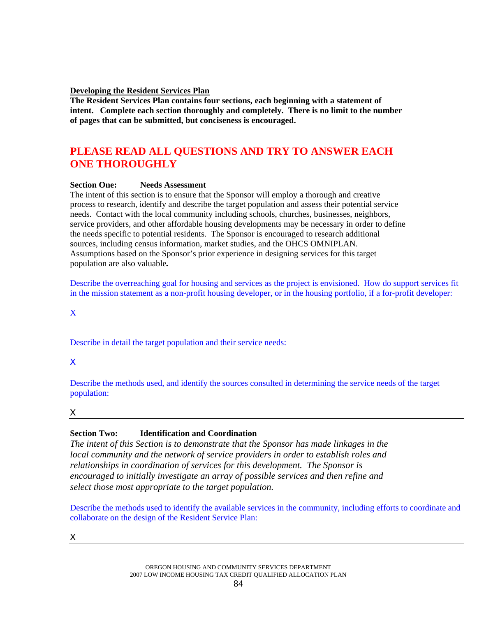#### **Developing the Resident Services Plan**

**The Resident Services Plan contains four sections, each beginning with a statement of intent. Complete each section thoroughly and completely. There is no limit to the number of pages that can be submitted, but conciseness is encouraged.** 

# **PLEASE READ ALL QUESTIONS AND TRY TO ANSWER EACH ONE THOROUGHLY**

### **Section One: Needs Assessment**

The intent of this section is to ensure that the Sponsor will employ a thorough and creative process to research, identify and describe the target population and assess their potential service needs. Contact with the local community including schools, churches, businesses, neighbors, service providers, and other affordable housing developments may be necessary in order to define the needs specific to potential residents. The Sponsor is encouraged to research additional sources, including census information, market studies, and the OHCS OMNIPLAN. Assumptions based on the Sponsor's prior experience in designing services for this target population are also valuable*.*

Describe the overreaching goal for housing and services as the project is envisioned. How do support services fit in the mission statement as a non-profit housing developer, or in the housing portfolio, if a for-profit developer:

X

Describe in detail the target population and their service needs:

X

Describe the methods used, and identify the sources consulted in determining the service needs of the target population:

X and the contract of the contract of the contract of the contract of the contract of the contract of the contract of the contract of the contract of the contract of the contract of the contract of the contract of the cont

### **Section Two: Identification and Coordination**

*The intent of this Section is to demonstrate that the Sponsor has made linkages in the local community and the network of service providers in order to establish roles and relationships in coordination of services for this development. The Sponsor is encouraged to initially investigate an array of possible services and then refine and select those most appropriate to the target population.* 

Describe the methods used to identify the available services in the community, including efforts to coordinate and collaborate on the design of the Resident Service Plan:

X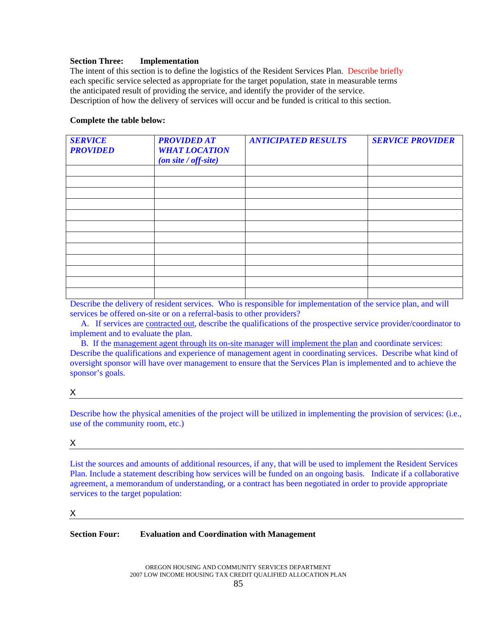#### **Section Three: Implementation**

The intent of this section is to define the logistics of the Resident Services Plan. Describe briefly each specific service selected as appropriate for the target population, state in measurable terms the anticipated result of providing the service, and identify the provider of the service. Description of how the delivery of services will occur and be funded is critical to this section.

#### **Complete the table below:**

| <b>SERVICE</b><br><b>PROVIDED</b> | <b>PROVIDED AT</b><br><b>WHAT LOCATION</b><br>(on site / off-site) | <b>ANTICIPATED RESULTS</b> | <b>SERVICE PROVIDER</b> |
|-----------------------------------|--------------------------------------------------------------------|----------------------------|-------------------------|
|                                   |                                                                    |                            |                         |
|                                   |                                                                    |                            |                         |
|                                   |                                                                    |                            |                         |
|                                   |                                                                    |                            |                         |
|                                   |                                                                    |                            |                         |
|                                   |                                                                    |                            |                         |
|                                   |                                                                    |                            |                         |
|                                   |                                                                    |                            |                         |
|                                   |                                                                    |                            |                         |
|                                   |                                                                    |                            |                         |
|                                   |                                                                    |                            |                         |
|                                   |                                                                    |                            |                         |

Describe the delivery of resident services. Who is responsible for implementation of the service plan, and will services be offered on-site or on a referral-basis to other providers?

 A. If services are contracted out, describe the qualifications of the prospective service provider/coordinator to implement and to evaluate the plan.

 B. If the management agent through its on-site manager will implement the plan and coordinate services: Describe the qualifications and experience of management agent in coordinating services. Describe what kind of oversight sponsor will have over management to ensure that the Services Plan is implemented and to achieve the sponsor's goals.

### X

Describe how the physical amenities of the project will be utilized in implementing the provision of services: (i.e., use of the community room, etc.)

### X

List the sources and amounts of additional resources, if any, that will be used to implement the Resident Services Plan. Include a statement describing how services will be funded on an ongoing basis. Indicate if a collaborative agreement, a memorandum of understanding, or a contract has been negotiated in order to provide appropriate services to the target population:

#### $\boldsymbol{X}$

### **Section Four: Evaluation and Coordination with Management**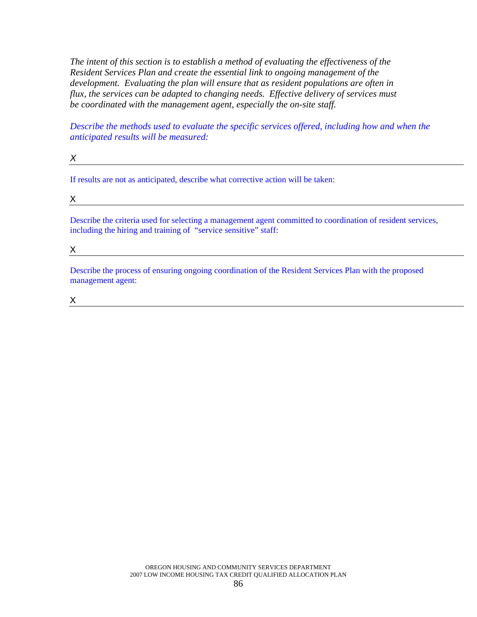*The intent of this section is to establish a method of evaluating the effectiveness of the Resident Services Plan and create the essential link to ongoing management of the development. Evaluating the plan will ensure that as resident populations are often in flux, the services can be adapted to changing needs. Effective delivery of services must be coordinated with the management agent, especially the on-site staff.* 

*X* 

*Describe the methods used to evaluate the specific services offered, including how and when the anticipated results will be measured:*

If results are not as anticipated, describe what corrective action will be taken:

X and the contract of the contract of the contract of the contract of the contract of the contract of the contract of the contract of the contract of the contract of the contract of the contract of the contract of the cont

Describe the criteria used for selecting a management agent committed to coordination of resident services, including the hiring and training of "service sensitive" staff:

 $\mathsf X$  and  $\mathsf X$  and  $\mathsf X$  are  $\mathsf X$  . The set of  $\mathsf X$  and  $\mathsf X$  are  $\mathsf X$  and  $\mathsf X$  are  $\mathsf X$  and  $\mathsf X$  are  $\mathsf X$  and  $\mathsf X$  are  $\mathsf X$  and  $\mathsf X$  are  $\mathsf X$  and  $\mathsf X$  are  $\mathsf X$  and  $\mathsf X$  are  $\mathsf X$  and  $\math$ 

Describe the process of ensuring ongoing coordination of the Resident Services Plan with the proposed management agent:

 $\mathsf X$  and  $\mathsf X$  and  $\mathsf X$  are all  $\mathsf X$  and  $\mathsf X$  and  $\mathsf X$  are all  $\mathsf X$  and  $\mathsf X$  are all  $\mathsf X$  and  $\mathsf X$  are all  $\mathsf X$  and  $\mathsf X$  are all  $\mathsf X$  and  $\mathsf X$  are all  $\mathsf X$  are all  $\mathsf X$  and  $\mathsf X$  are all  $\$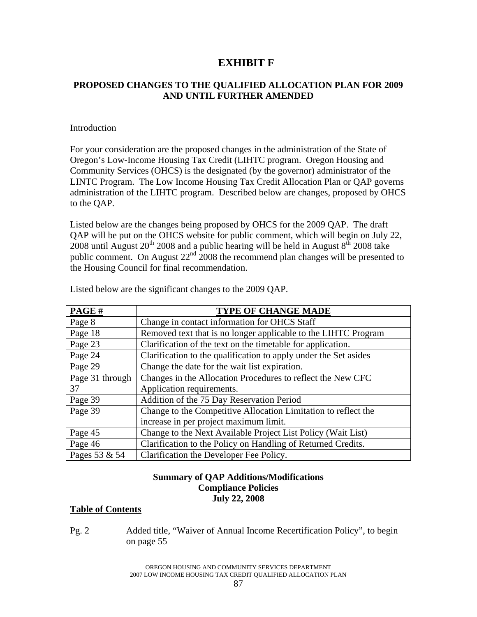# **EXHIBIT F**

### **PROPOSED CHANGES TO THE QUALIFIED ALLOCATION PLAN FOR 2009 AND UNTIL FURTHER AMENDED**

### Introduction

For your consideration are the proposed changes in the administration of the State of Oregon's Low-Income Housing Tax Credit (LIHTC program. Oregon Housing and Community Services (OHCS) is the designated (by the governor) administrator of the LINTC Program. The Low Income Housing Tax Credit Allocation Plan or QAP governs administration of the LIHTC program. Described below are changes, proposed by OHCS to the QAP.

Listed below are the changes being proposed by OHCS for the 2009 QAP. The draft QAP will be put on the OHCS website for public comment, which will begin on July 22, 2008 until August  $20^{th}$  2008 and a public hearing will be held in August  $8^{th}$  2008 take public comment. On August 22<sup>nd</sup> 2008 the recommend plan changes will be presented to the Housing Council for final recommendation.

| PAGE#           | <b>TYPE OF CHANGE MADE</b>                                       |
|-----------------|------------------------------------------------------------------|
| Page 8          | Change in contact information for OHCS Staff                     |
| Page 18         | Removed text that is no longer applicable to the LIHTC Program   |
| Page 23         | Clarification of the text on the timetable for application.      |
| Page 24         | Clarification to the qualification to apply under the Set asides |
| Page 29         | Change the date for the wait list expiration.                    |
| Page 31 through | Changes in the Allocation Procedures to reflect the New CFC      |
| 37              | Application requirements.                                        |
| Page 39         | Addition of the 75 Day Reservation Period                        |
| Page 39         | Change to the Competitive Allocation Limitation to reflect the   |
|                 | increase in per project maximum limit.                           |
| Page 45         | Change to the Next Available Project List Policy (Wait List)     |
| Page 46         | Clarification to the Policy on Handling of Returned Credits.     |
| Pages 53 & 54   | Clarification the Developer Fee Policy.                          |

Listed below are the significant changes to the 2009 QAP.

### **Summary of QAP Additions/Modifications Compliance Policies July 22, 2008**

### **Table of Contents**

Pg. 2 Added title, "Waiver of Annual Income Recertification Policy", to begin on page 55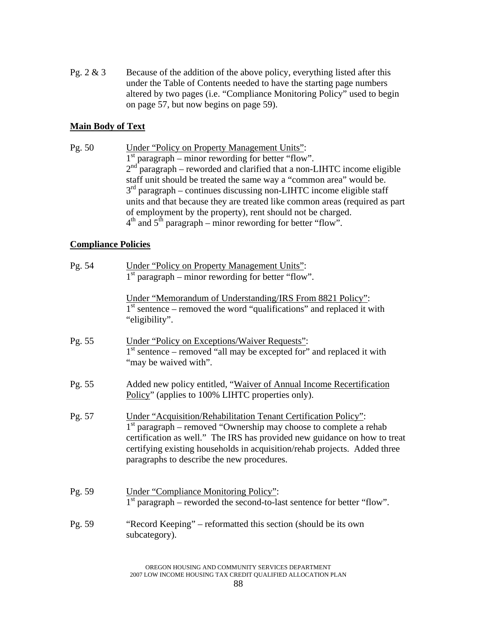Pg.  $2 \& 3$  Because of the addition of the above policy, everything listed after this under the Table of Contents needed to have the starting page numbers altered by two pages (i.e. "Compliance Monitoring Policy" used to begin on page 57, but now begins on page 59).

## **Main Body of Text**

Pg. 50 Under "Policy on Property Management Units":  $1<sup>st</sup>$  paragraph – minor rewording for better "flow".  $2<sup>nd</sup>$  paragraph – reworded and clarified that a non-LIHTC income eligible staff unit should be treated the same way a "common area" would be.  $3<sup>rd</sup>$  paragraph – continues discussing non-LIHTC income eligible staff units and that because they are treated like common areas (required as part of employment by the property), rent should not be charged.  $4<sup>th</sup>$  and  $5<sup>th</sup>$  paragraph – minor rewording for better "flow".

### **Compliance Policies**

| Pg. 54 | <b>Under "Policy on Property Management Units":</b><br>$1st$ paragraph – minor rewording for better "flow".                                                                                                                                                                                                                                           |
|--------|-------------------------------------------------------------------------------------------------------------------------------------------------------------------------------------------------------------------------------------------------------------------------------------------------------------------------------------------------------|
|        | Under "Memorandum of Understanding/IRS From 8821 Policy":<br>$1st$ sentence – removed the word "qualifications" and replaced it with<br>"eligibility".                                                                                                                                                                                                |
| Pg. 55 | <b>Under "Policy on Exceptions/Waiver Requests":</b><br>1 <sup>st</sup> sentence – removed "all may be excepted for" and replaced it with<br>"may be waived with".                                                                                                                                                                                    |
| Pg. 55 | Added new policy entitled, "Waiver of Annual Income Recertification<br>Policy" (applies to 100% LIHTC properties only).                                                                                                                                                                                                                               |
| Pg. 57 | <b>Under "Acquisition/Rehabilitation Tenant Certification Policy":</b><br>$1st$ paragraph – removed "Ownership may choose to complete a rehab<br>certification as well." The IRS has provided new guidance on how to treat<br>certifying existing households in acquisition/rehab projects. Added three<br>paragraphs to describe the new procedures. |
| Pg. 59 | <b>Under "Compliance Monitoring Policy":</b><br>$1st$ paragraph – reworded the second-to-last sentence for better "flow".                                                                                                                                                                                                                             |
| Pg. 59 | "Record Keeping" – reformatted this section (should be its own<br>subcategory).                                                                                                                                                                                                                                                                       |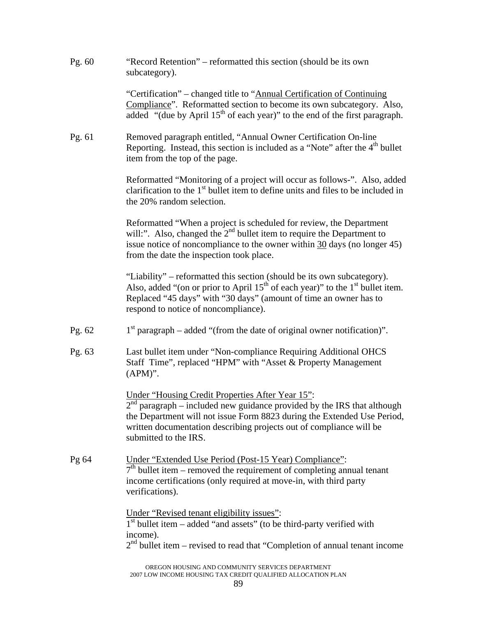| Pg. $60$ | "Record Retention" – reformatted this section (should be its own<br>subcategory).                                                                                                                                                                                                                               |
|----------|-----------------------------------------------------------------------------------------------------------------------------------------------------------------------------------------------------------------------------------------------------------------------------------------------------------------|
|          | "Certification" – changed title to "Annual Certification of Continuing<br>Compliance". Reformatted section to become its own subcategory. Also,<br>added "(due by April 15 <sup>th</sup> of each year)" to the end of the first paragraph.                                                                      |
| Pg. 61   | Removed paragraph entitled, "Annual Owner Certification On-line<br>Reporting. Instead, this section is included as a "Note" after the 4 <sup>th</sup> bullet<br>item from the top of the page.                                                                                                                  |
|          | Reformatted "Monitoring of a project will occur as follows-". Also, added<br>clarification to the $1st$ bullet item to define units and files to be included in<br>the 20% random selection.                                                                                                                    |
|          | Reformatted "When a project is scheduled for review, the Department<br>will:". Also, changed the $2nd$ bullet item to require the Department to<br>issue notice of noncompliance to the owner within $30$ days (no longer 45)<br>from the date the inspection took place.                                       |
|          | "Liability" – reformatted this section (should be its own subcategory).<br>Also, added "(on or prior to April $15th$ of each year)" to the 1 <sup>st</sup> bullet item.<br>Replaced "45 days" with "30 days" (amount of time an owner has to<br>respond to notice of noncompliance).                            |
| Pg. $62$ | $1st$ paragraph – added "(from the date of original owner notification)".                                                                                                                                                                                                                                       |
| Pg. 63   | Last bullet item under "Non-compliance Requiring Additional OHCS<br>Staff Time", replaced "HPM" with "Asset & Property Management<br>$(APM)$ ".                                                                                                                                                                 |
|          | <b>Under "Housing Credit Properties After Year 15":</b><br>$2nd$ paragraph – included new guidance provided by the IRS that although<br>the Department will not issue Form 8823 during the Extended Use Period,<br>written documentation describing projects out of compliance will be<br>submitted to the IRS. |
| Pg 64    | Under "Extended Use Period (Post-15 Year) Compliance":<br>$7th$ bullet item – removed the requirement of completing annual tenant<br>income certifications (only required at move-in, with third party<br>verifications).                                                                                       |
|          | Under "Revised tenant eligibility issues":<br>$1st$ bullet item – added "and assets" (to be third-party verified with<br>income).<br>$2nd$ bullet item – revised to read that "Completion of annual tenant income                                                                                               |
|          |                                                                                                                                                                                                                                                                                                                 |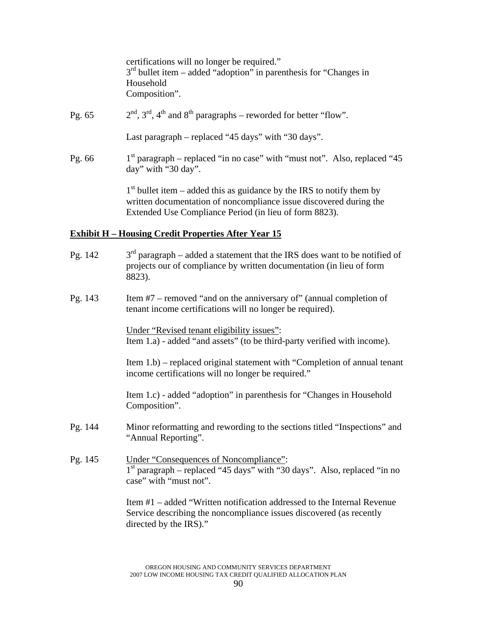certifications will no longer be required."  $3<sup>rd</sup>$  bullet item – added "adoption" in parenthesis for "Changes in Household Composition".

Pg. 65  $2<sup>nd</sup>$ ,  $3<sup>rd</sup>$ ,  $4<sup>th</sup>$  and  $8<sup>th</sup>$  paragraphs – reworded for better "flow". Last paragraph – replaced "45 days" with "30 days". Pg. 66  $1<sup>st</sup>$  paragraph – replaced "in no case" with "must not". Also, replaced "45 day" with "30 day".

 $1<sup>st</sup>$  bullet item – added this as guidance by the IRS to notify them by written documentation of noncompliance issue discovered during the Extended Use Compliance Period (in lieu of form 8823).

### **Exhibit H – Housing Credit Properties After Year 15**

- Pg. 142  $3<sup>rd</sup>$  paragraph added a statement that the IRS does want to be notified of projects our of compliance by written documentation (in lieu of form 8823).
- Pg. 143 Item #7 removed "and on the anniversary of" (annual completion of tenant income certifications will no longer be required).

Under "Revised tenant eligibility issues": Item 1.a) - added "and assets" (to be third-party verified with income).

Item 1.b) – replaced original statement with "Completion of annual tenant income certifications will no longer be required."

Item 1.c) - added "adoption" in parenthesis for "Changes in Household Composition".

- Pg. 144 Minor reformatting and rewording to the sections titled "Inspections" and "Annual Reporting".
- Pg. 145 Under "Consequences of Noncompliance":  $1<sup>st</sup>$  paragraph – replaced "45 days" with "30 days". Also, replaced "in no case" with "must not".

Item #1 – added "Written notification addressed to the Internal Revenue Service describing the noncompliance issues discovered (as recently directed by the IRS)."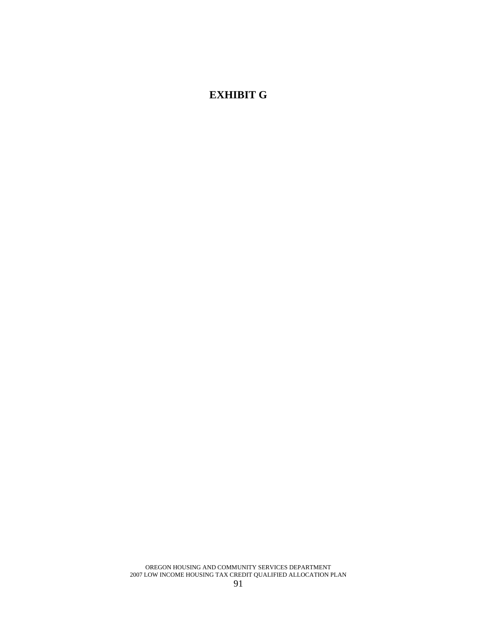# **EXHIBIT G**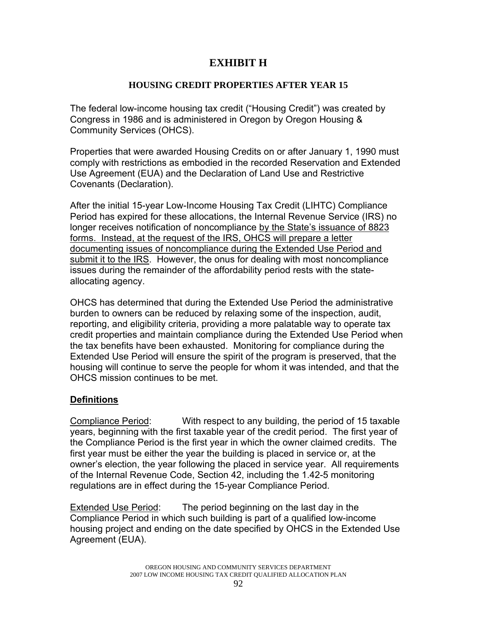# **EXHIBIT H**

# **HOUSING CREDIT PROPERTIES AFTER YEAR 15**

The federal low-income housing tax credit ("Housing Credit") was created by Congress in 1986 and is administered in Oregon by Oregon Housing & Community Services (OHCS).

Properties that were awarded Housing Credits on or after January 1, 1990 must comply with restrictions as embodied in the recorded Reservation and Extended Use Agreement (EUA) and the Declaration of Land Use and Restrictive Covenants (Declaration).

After the initial 15-year Low-Income Housing Tax Credit (LIHTC) Compliance Period has expired for these allocations, the Internal Revenue Service (IRS) no longer receives notification of noncompliance by the State's issuance of 8823 forms. Instead, at the request of the IRS, OHCS will prepare a letter documenting issues of noncompliance during the Extended Use Period and submit it to the IRS. However, the onus for dealing with most noncompliance issues during the remainder of the affordability period rests with the stateallocating agency.

OHCS has determined that during the Extended Use Period the administrative burden to owners can be reduced by relaxing some of the inspection, audit, reporting, and eligibility criteria, providing a more palatable way to operate tax credit properties and maintain compliance during the Extended Use Period when the tax benefits have been exhausted. Monitoring for compliance during the Extended Use Period will ensure the spirit of the program is preserved, that the housing will continue to serve the people for whom it was intended, and that the OHCS mission continues to be met.

# **Definitions**

Compliance Period: With respect to any building, the period of 15 taxable years, beginning with the first taxable year of the credit period. The first year of the Compliance Period is the first year in which the owner claimed credits. The first year must be either the year the building is placed in service or, at the owner's election, the year following the placed in service year. All requirements of the Internal Revenue Code, Section 42, including the 1.42-5 monitoring regulations are in effect during the 15-year Compliance Period.

Extended Use Period: The period beginning on the last day in the Compliance Period in which such building is part of a qualified low-income housing project and ending on the date specified by OHCS in the Extended Use Agreement (EUA).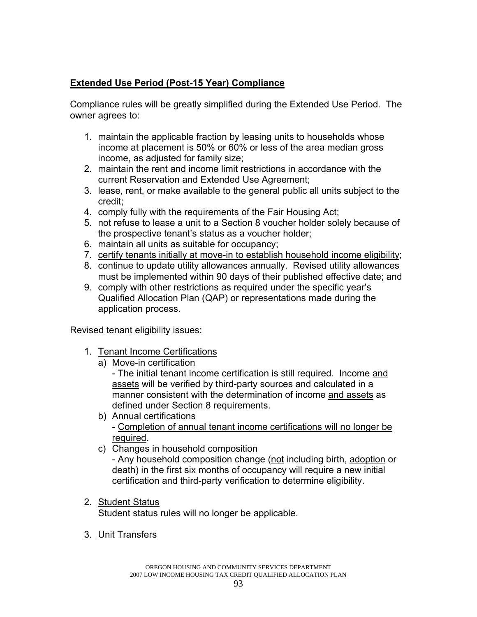# **Extended Use Period (Post-15 Year) Compliance**

Compliance rules will be greatly simplified during the Extended Use Period. The owner agrees to:

- 1. maintain the applicable fraction by leasing units to households whose income at placement is 50% or 60% or less of the area median gross income, as adjusted for family size;
- 2. maintain the rent and income limit restrictions in accordance with the current Reservation and Extended Use Agreement;
- 3. lease, rent, or make available to the general public all units subject to the credit;
- 4. comply fully with the requirements of the Fair Housing Act;
- 5. not refuse to lease a unit to a Section 8 voucher holder solely because of the prospective tenant's status as a voucher holder;
- 6. maintain all units as suitable for occupancy;
- 7. certify tenants initially at move-in to establish household income eligibility;
- 8. continue to update utility allowances annually. Revised utility allowances must be implemented within 90 days of their published effective date; and
- 9. comply with other restrictions as required under the specific year's Qualified Allocation Plan (QAP) or representations made during the application process.

Revised tenant eligibility issues:

- 1. Tenant Income Certifications
	- a) Move-in certification

- The initial tenant income certification is still required. Income and assets will be verified by third-party sources and calculated in a manner consistent with the determination of income and assets as defined under Section 8 requirements.

- b) Annual certifications - Completion of annual tenant income certifications will no longer be required.
- c) Changes in household composition

- Any household composition change (not including birth, adoption or death) in the first six months of occupancy will require a new initial certification and third-party verification to determine eligibility.

2. Student Status

Student status rules will no longer be applicable.

3. Unit Transfers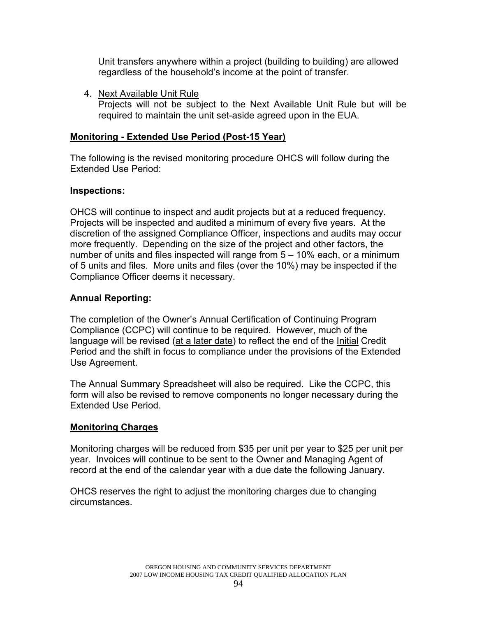Unit transfers anywhere within a project (building to building) are allowed regardless of the household's income at the point of transfer.

4. Next Available Unit Rule Projects will not be subject to the Next Available Unit Rule but will be required to maintain the unit set-aside agreed upon in the EUA.

# **Monitoring - Extended Use Period (Post-15 Year)**

The following is the revised monitoring procedure OHCS will follow during the Extended Use Period:

# **Inspections:**

OHCS will continue to inspect and audit projects but at a reduced frequency. Projects will be inspected and audited a minimum of every five years. At the discretion of the assigned Compliance Officer, inspections and audits may occur more frequently. Depending on the size of the project and other factors, the number of units and files inspected will range from 5 – 10% each, or a minimum of 5 units and files. More units and files (over the 10%) may be inspected if the Compliance Officer deems it necessary.

# **Annual Reporting:**

The completion of the Owner's Annual Certification of Continuing Program Compliance (CCPC) will continue to be required. However, much of the language will be revised (at a later date) to reflect the end of the *Initial* Credit Period and the shift in focus to compliance under the provisions of the Extended Use Agreement.

The Annual Summary Spreadsheet will also be required. Like the CCPC, this form will also be revised to remove components no longer necessary during the Extended Use Period.

# **Monitoring Charges**

Monitoring charges will be reduced from \$35 per unit per year to \$25 per unit per year. Invoices will continue to be sent to the Owner and Managing Agent of record at the end of the calendar year with a due date the following January.

OHCS reserves the right to adjust the monitoring charges due to changing circumstances.